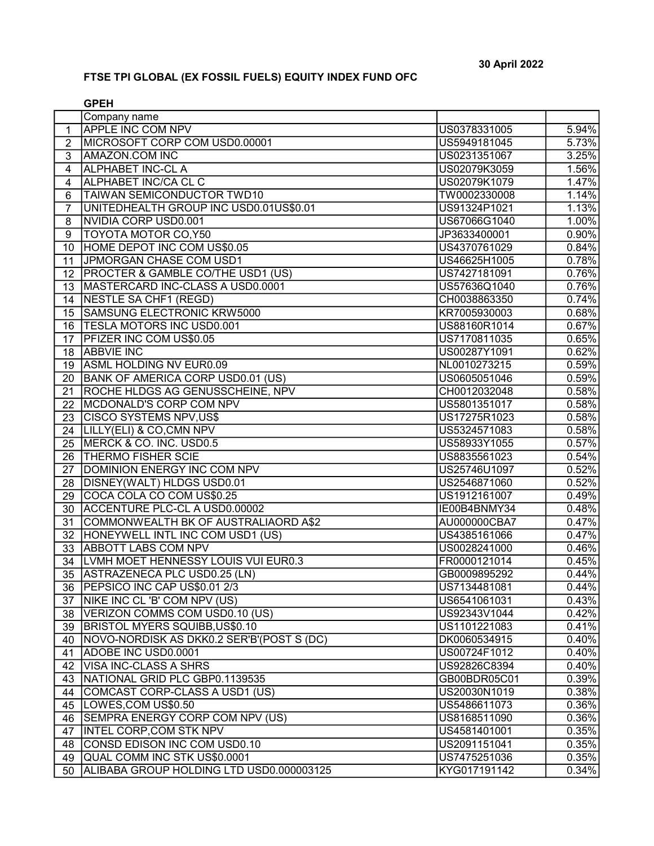## FTSE TPI GLOBAL (EX FOSSIL FUELS) EQUITY INDEX FUND OFC

|                | <b>GPEH</b>                                |              |                     |
|----------------|--------------------------------------------|--------------|---------------------|
|                | Company name                               |              |                     |
| 1              | <b>APPLE INC COM NPV</b>                   | US0378331005 | 5.94%               |
| $\overline{2}$ | MICROSOFT CORP COM USD0.00001              | US5949181045 | 5.73%               |
| 3              | <b>AMAZON.COM INC</b>                      | US0231351067 | 3.25%               |
| 4              | <b>ALPHABET INC-CL A</b>                   | US02079K3059 | 1.56%               |
| $\overline{4}$ | ALPHABET INC/CA CL C                       | US02079K1079 | 1.47%               |
| 6              | <b>TAIWAN SEMICONDUCTOR TWD10</b>          | TW0002330008 | 1.14%               |
| $\overline{7}$ | UNITEDHEALTH GROUP INC USD0.01US\$0.01     | US91324P1021 | 1.13%               |
| 8              | NVIDIA CORP USD0.001                       | US67066G1040 | 1.00%               |
| 9              | <b>TOYOTA MOTOR CO, Y50</b>                | JP3633400001 | 0.90%               |
| 10             | HOME DEPOT INC COM US\$0.05                | US4370761029 | 0.84%               |
| 11             | JPMORGAN CHASE COM USD1                    | US46625H1005 | 0.78%               |
| 12             | PROCTER & GAMBLE CO/THE USD1 (US)          | US7427181091 | 0.76%               |
| 13             | MASTERCARD INC-CLASS A USD0.0001           | US57636Q1040 | 0.76%               |
| 14             | NESTLE SA CHF1 (REGD)                      | CH0038863350 | 0.74%               |
| 15             | SAMSUNG ELECTRONIC KRW5000                 | KR7005930003 | 0.68%               |
| 16             | <b>TESLA MOTORS INC USD0.001</b>           | US88160R1014 | 0.67%               |
| 17             | <b>PFIZER INC COM US\$0.05</b>             | US7170811035 | 0.65%               |
| 18             | <b>ABBVIE INC</b>                          | US00287Y1091 | 0.62%               |
| 19             | ASML HOLDING NV EUR0.09                    | NL0010273215 | 0.59%               |
| 20             | <b>BANK OF AMERICA CORP USD0.01 (US)</b>   | US0605051046 | 0.59%               |
| 21             | <b>ROCHE HLDGS AG GENUSSCHEINE, NPV</b>    | CH0012032048 | 0.58%               |
| 22             | MCDONALD'S CORP COM NPV                    | US5801351017 | 0.58%               |
| 23             | <b>CISCO SYSTEMS NPV, US\$</b>             | US17275R1023 | 0.58%               |
| 24             | LILLY(ELI) & CO, CMN NPV                   | US5324571083 | 0.58%               |
| 25             | MERCK & CO. INC. USD0.5                    | US58933Y1055 | 0.57%               |
| 26             | <b>THERMO FISHER SCIE</b>                  | US8835561023 | 0.54%               |
| 27             | DOMINION ENERGY INC COM NPV                | US25746U1097 | 0.52%               |
| 28             | DISNEY(WALT) HLDGS USD0.01                 | US2546871060 | 0.52%               |
| 29             | COCA COLA CO COM US\$0.25                  | US1912161007 | 0.49%               |
| 30             | ACCENTURE PLC-CL A USD0.00002              | IE00B4BNMY34 | 0.48%               |
| 31             | COMMONWEALTH BK OF AUSTRALIAORD A\$2       | AU000000CBA7 | 0.47%               |
| 32             | HONEYWELL INTL INC COM USD1 (US)           | US4385161066 | 0.47%               |
| 33             | <b>ABBOTT LABS COM NPV</b>                 | US0028241000 | 0.46%               |
| 34             | <b>LVMH MOET HENNESSY LOUIS VUI EUR0.3</b> | FR0000121014 | 0.45%               |
| 35             | ASTRAZENECA PLC USD0.25 (LN)               | GB0009895292 | 0.44%               |
|                | 36   PEPSICO INC CAP US\$0.01 2/3          | US7134481081 | 0.44%               |
| 37             | NIKE INC CL 'B' COM NPV (US)               | US6541061031 | 0.43%               |
| 38             | VERIZON COMMS COM USD0.10 (US)             | US92343V1044 | 0.42%               |
| 39             | BRISTOL MYERS SQUIBB, US\$0.10             | US1101221083 | 0.41%               |
| 40             | NOVO-NORDISK AS DKK0.2 SER'B'(POST S (DC)  | DK0060534915 | 0.40%               |
| 41             | ADOBE INC USD0.0001                        | US00724F1012 | 0.40%               |
|                | 42   VISA INC-CLASS A SHRS                 | US92826C8394 | 0.40%               |
|                | 43   NATIONAL GRID PLC GBP0.1139535        | GB00BDR05C01 | $\overline{0.39\%}$ |
| 44             | COMCAST CORP-CLASS A USD1 (US)             | US20030N1019 | 0.38%               |
| 45             | LOWES, COM US\$0.50                        | US5486611073 | 0.36%               |
| 46             | SEMPRA ENERGY CORP COM NPV (US)            | US8168511090 | 0.36%               |
| 47             | <b>INTEL CORP, COM STK NPV</b>             | US4581401001 | 0.35%               |
| 48             | CONSD EDISON INC COM USD0.10               | US2091151041 | 0.35%               |
| 49             | QUAL COMM INC STK US\$0.0001               | US7475251036 | 0.35%               |
| 50             | ALIBABA GROUP HOLDING LTD USD0.000003125   | KYG017191142 | 0.34%               |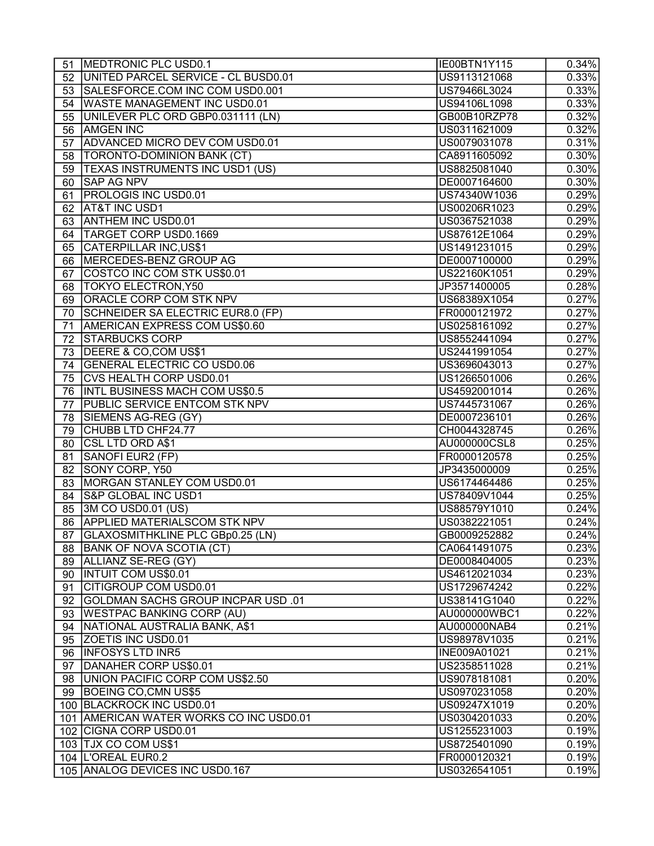| 51       | MEDTRONIC PLC USD0.1                       | IE00BTN1Y115 | 0.34%               |
|----------|--------------------------------------------|--------------|---------------------|
| 52       | UNITED PARCEL SERVICE - CL BUSD0.01        | US9113121068 | 0.33%               |
| 53       | SALESFORCE.COM INC COM USD0.001            | US79466L3024 | 0.33%               |
| 54       | <b>WASTE MANAGEMENT INC USD0.01</b>        | US94106L1098 | 0.33%               |
| 55       | UNILEVER PLC ORD GBP0.031111 (LN)          | GB00B10RZP78 | 0.32%               |
| 56       | <b>AMGEN INC</b>                           | US0311621009 | 0.32%               |
| 57       | ADVANCED MICRO DEV COM USD0.01             | US0079031078 | 0.31%               |
| 58       | <b>TORONTO-DOMINION BANK (CT)</b>          | CA8911605092 | 0.30%               |
| 59       | <b>TEXAS INSTRUMENTS INC USD1 (US)</b>     | US8825081040 | 0.30%               |
| 60       | <b>SAP AG NPV</b>                          | DE0007164600 | 0.30%               |
| 61       | <b>PROLOGIS INC USD0.01</b>                | US74340W1036 | 0.29%               |
| 62       | <b>AT&amp;T INC USD1</b>                   | US00206R1023 | 0.29%               |
| 63       | <b>ANTHEM INC USD0.01</b>                  | US0367521038 | $\overline{0.29\%}$ |
| 64       | <b>TARGET CORP USD0.1669</b>               | US87612E1064 | 0.29%               |
| 65       | CATERPILLAR INC, US\$1                     | US1491231015 | 0.29%               |
| 66       | MERCEDES-BENZ GROUP AG                     | DE0007100000 | 0.29%               |
| 67       | COSTCO INC COM STK US\$0.01                | US22160K1051 | 0.29%               |
| 68       | TOKYO ELECTRON, Y50                        | JP3571400005 | 0.28%               |
| 69       | <b>ORACLE CORP COM STK NPV</b>             | US68389X1054 | 0.27%               |
| 70       | SCHNEIDER SA ELECTRIC EUR8.0 (FP)          | FR0000121972 | 0.27%               |
| 71       | AMERICAN EXPRESS COM US\$0.60              | US0258161092 | 0.27%               |
| 72       | <b>STARBUCKS CORP</b>                      | US8552441094 | 0.27%               |
| 73       | DEERE & CO, COM US\$1                      | US2441991054 | 0.27%               |
|          | <b>GENERAL ELECTRIC CO USD0.06</b>         | US3696043013 | $\overline{0.27\%}$ |
| 74<br>75 | CVS HEALTH CORP USD0.01                    | US1266501006 | 0.26%               |
|          |                                            |              |                     |
| 76       | <b>INTL BUSINESS MACH COM US\$0.5</b>      | US4592001014 | 0.26%               |
| 77       | <b>PUBLIC SERVICE ENTCOM STK NPV</b>       | US7445731067 | 0.26%               |
| 78       | SIEMENS AG-REG (GY)                        | DE0007236101 | 0.26%               |
| 79       | CHUBB LTD CHF24.77                         | CH0044328745 | 0.26%               |
| 80       | <b>CSL LTD ORD A\$1</b>                    | AU000000CSL8 | 0.25%               |
| 81       | SANOFI EUR2 (FP)                           | FR0000120578 | 0.25%               |
| 82       | SONY CORP, Y50                             | JP3435000009 | 0.25%               |
| 83       | MORGAN STANLEY COM USD0.01                 | US6174464486 | 0.25%               |
| 84       | <b>S&amp;P GLOBAL INC USD1</b>             | US78409V1044 | 0.25%               |
| 85       | 3M CO USD0.01 (US)                         | US88579Y1010 | 0.24%               |
| 86       | <b>APPLIED MATERIALSCOM STK NPV</b>        | US0382221051 | 0.24%               |
|          | 87 GLAXOSMITHKLINE PLC GBp0.25 (LN)        | GB0009252882 | $0.24\%$            |
|          | 88 BANK OF NOVA SCOTIA (CT)                | CA0641491075 | 0.23%               |
|          | 89 ALLIANZ SE-REG (GY)                     | DE0008404005 | 0.23%               |
| 90       | <b>INTUIT COM US\$0.01</b>                 | US4612021034 | 0.23%               |
| 91       | CITIGROUP COM USD0.01                      | US1729674242 | 0.22%               |
| 92       | <b>IGOLDMAN SACHS GROUP INCPAR USD .01</b> | US38141G1040 | 0.22%               |
| 93       | <b>WESTPAC BANKING CORP (AU)</b>           | AU000000WBC1 | 0.22%               |
| 94       | NATIONAL AUSTRALIA BANK, A\$1              | AU000000NAB4 | 0.21%               |
|          | 95 ZOETIS INC USD0.01                      | US98978V1035 | 0.21%               |
|          | 96 INFOSYS LTD INR5                        | INE009A01021 | 0.21%               |
| 97       | DANAHER CORP US\$0.01                      | US2358511028 | 0.21%               |
| 98       | UNION PACIFIC CORP COM US\$2.50            | US9078181081 | 0.20%               |
| 99       | BOEING CO, CMN US\$5                       | US0970231058 | 0.20%               |
|          | 100 BLACKROCK INC USD0.01                  | US09247X1019 | 0.20%               |
|          | 101 AMERICAN WATER WORKS CO INC USD0.01    | US0304201033 | 0.20%               |
|          | 102 CIGNA CORP USD0.01                     | US1255231003 | 0.19%               |
|          | 103 TJX CO COM US\$1                       | US8725401090 | 0.19%               |
|          | 104   L'OREAL EUR0.2                       | FR0000120321 | 0.19%               |
|          | 105 ANALOG DEVICES INC USD0.167            | US0326541051 | 0.19%               |
|          |                                            |              |                     |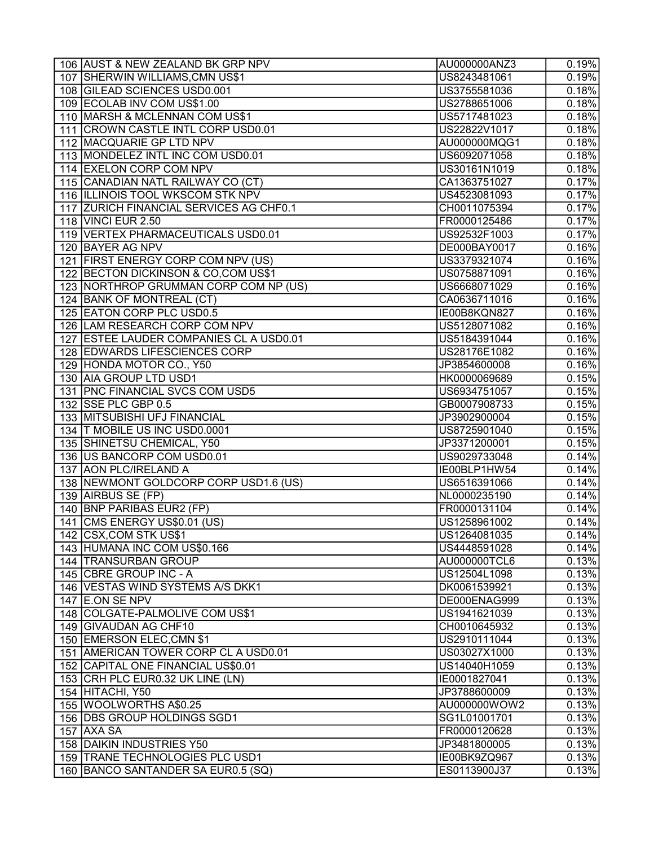| 106 AUST & NEW ZEALAND BK GRP NPV       | AU000000ANZ3 | 0.19%    |
|-----------------------------------------|--------------|----------|
| 107 SHERWIN WILLIAMS, CMN US\$1         | US8243481061 | 0.19%    |
| 108 GILEAD SCIENCES USD0.001            | US3755581036 | 0.18%    |
| 109 ECOLAB INV COM US\$1.00             | US2788651006 | 0.18%    |
| 110 MARSH & MCLENNAN COM US\$1          | US5717481023 | 0.18%    |
| 111 CROWN CASTLE INTL CORP USD0.01      | US22822V1017 | 0.18%    |
| 112 MACQUARIE GP LTD NPV                | AU000000MQG1 | 0.18%    |
| 113 MONDELEZ INTL INC COM USD0.01       | US6092071058 | 0.18%    |
| 114 EXELON CORP COM NPV                 | US30161N1019 | 0.18%    |
| 115 CANADIAN NATL RAILWAY CO (CT)       | CA1363751027 | 0.17%    |
| 116 ILLINOIS TOOL WKSCOM STK NPV        | US4523081093 | 0.17%    |
| 117 ZURICH FINANCIAL SERVICES AG CHF0.1 | CH0011075394 | 0.17%    |
| 118 VINCI EUR 2.50                      | FR0000125486 | 0.17%    |
| 119   VERTEX PHARMACEUTICALS USD0.01    | US92532F1003 | 0.17%    |
| 120 BAYER AG NPV                        | DE000BAY0017 | 0.16%    |
| 121 FIRST ENERGY CORP COM NPV (US)      | US3379321074 | 0.16%    |
| 122 BECTON DICKINSON & CO, COM US\$1    | US0758871091 | 0.16%    |
| 123 NORTHROP GRUMMAN CORP COM NP (US)   | US6668071029 | 0.16%    |
| 124 BANK OF MONTREAL (CT)               | CA0636711016 | 0.16%    |
| 125 EATON CORP PLC USD0.5               | IE00B8KQN827 | 0.16%    |
| 126 LAM RESEARCH CORP COM NPV           | US5128071082 | 0.16%    |
| 127 ESTEE LAUDER COMPANIES CL A USD0.01 | US5184391044 | 0.16%    |
| 128 EDWARDS LIFESCIENCES CORP           | US28176E1082 | 0.16%    |
| 129 HONDA MOTOR CO., Y50                | JP3854600008 | 0.16%    |
| 130 AIA GROUP LTD USD1                  | HK0000069689 | 0.15%    |
| 131   PNC FINANCIAL SVCS COM USD5       |              | 0.15%    |
|                                         | US6934751057 |          |
| 132 SSE PLC GBP 0.5                     | GB0007908733 | 0.15%    |
| 133 MITSUBISHI UFJ FINANCIAL            | JP3902900004 | 0.15%    |
| 134  T MOBILE US INC USD0.0001          | US8725901040 | 0.15%    |
| 135 SHINETSU CHEMICAL, Y50              | JP3371200001 | 0.15%    |
| 136   US BANCORP COM USD0.01            | US9029733048 | 0.14%    |
| 137 AON PLC/IRELAND A                   | IE00BLP1HW54 | 0.14%    |
| 138 NEWMONT GOLDCORP CORP USD1.6 (US)   | US6516391066 | 0.14%    |
| 139 AIRBUS SE (FP)                      | NL0000235190 | 0.14%    |
| 140 BNP PARIBAS EUR2 (FP)               | FR0000131104 | 0.14%    |
| 141 CMS ENERGY US\$0.01 (US)            | US1258961002 | 0.14%    |
| 142 CSX, COM STK US\$1                  | US1264081035 | $0.14\%$ |
| 143 HUMANA INC COM US\$0.166            | US4448591028 | 0.14%    |
| 144 TRANSURBAN GROUP                    | AU000000TCL6 | 0.13%    |
| 145 CBRE GROUP INC - A                  | US12504L1098 | 0.13%    |
| 146 VESTAS WIND SYSTEMS A/S DKK1        | DK0061539921 | 0.13%    |
| 147 E.ON SE NPV                         | DE000ENAG999 | 0.13%    |
| 148 COLGATE-PALMOLIVE COM US\$1         | US1941621039 | 0.13%    |
| 149 GIVAUDAN AG CHF10                   | CH0010645932 | 0.13%    |
| 150 EMERSON ELEC, CMN \$1               | US2910111044 | 0.13%    |
| 151   AMERICAN TOWER CORP CL A USD0.01  | US03027X1000 | 0.13%    |
| 152 CAPITAL ONE FINANCIAL US\$0.01      | US14040H1059 | 0.13%    |
| 153 CRH PLC EUR0.32 UK LINE (LN)        | IE0001827041 | 0.13%    |
| 154 HITACHI, Y50                        | JP3788600009 | 0.13%    |
| 155 WOOLWORTHS A\$0.25                  | AU000000WOW2 | 0.13%    |
| 156 DBS GROUP HOLDINGS SGD1             | SG1L01001701 | 0.13%    |
| 157 AXA SA                              | FR0000120628 | 0.13%    |
| 158 DAIKIN INDUSTRIES Y50               | JP3481800005 | 0.13%    |
| 159   TRANE TECHNOLOGIES PLC USD1       | IE00BK9ZQ967 | 0.13%    |
| 160 BANCO SANTANDER SA EUR0.5 (SQ)      | ES0113900J37 | 0.13%    |
|                                         |              |          |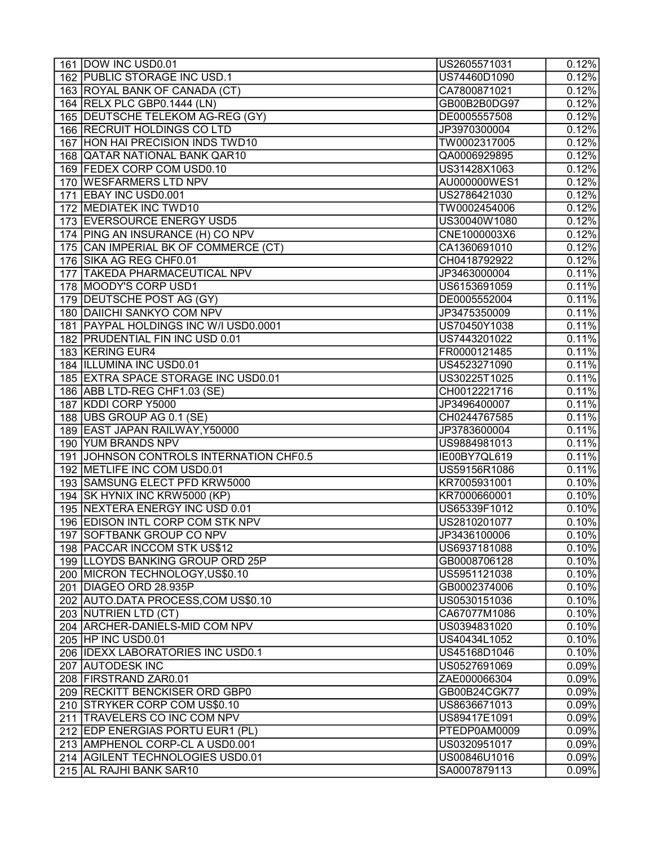| 161 DOW INC USD0.01                     | US2605571031 | 0.12%               |
|-----------------------------------------|--------------|---------------------|
| 162 PUBLIC STORAGE INC USD.1            | US74460D1090 | 0.12%               |
| 163 ROYAL BANK OF CANADA (CT)           | CA7800871021 | 0.12%               |
| 164 RELX PLC GBP0.1444 (LN)             | GB00B2B0DG97 | 0.12%               |
| 165 DEUTSCHE TELEKOM AG-REG (GY)        | DE0005557508 | 0.12%               |
| 166 RECRUIT HOLDINGS CO LTD             | JP3970300004 | 0.12%               |
| 167 HON HAI PRECISION INDS TWD10        | TW0002317005 | 0.12%               |
| 168 QATAR NATIONAL BANK QAR10           | QA0006929895 | 0.12%               |
| 169 FEDEX CORP COM USD0.10              | US31428X1063 | 0.12%               |
| 170 WESFARMERS LTD NPV                  | AU000000WES1 | 0.12%               |
| 171 EBAY INC USD0.001                   | US2786421030 | 0.12%               |
| 172 MEDIATEK INC TWD10                  | TW0002454006 | 0.12%               |
| 173 EVERSOURCE ENERGY USD5              | US30040W1080 | 0.12%               |
| 174 PING AN INSURANCE (H) CO NPV        | CNE1000003X6 | 0.12%               |
| 175 CAN IMPERIAL BK OF COMMERCE (CT)    | CA1360691010 | 0.12%               |
| 176 SIKA AG REG CHF0.01                 | CH0418792922 | 0.12%               |
| 177 TAKEDA PHARMACEUTICAL NPV           | JP3463000004 | 0.11%               |
| 178 MOODY'S CORP USD1                   | US6153691059 | 0.11%               |
| 179 DEUTSCHE POST AG (GY)               | DE0005552004 | 0.11%               |
| 180 DAIICHI SANKYO COM NPV              | JP3475350009 | 0.11%               |
| 181 PAYPAL HOLDINGS INC W/I USD0.0001   | US70450Y1038 | 0.11%               |
| 182 PRUDENTIAL FIN INC USD 0.01         | US7443201022 | 0.11%               |
| 183 KERING EUR4                         | FR0000121485 | 0.11%               |
| 184 ILLUMINA INC USD0.01                | US4523271090 | 0.11%               |
| 185 EXTRA SPACE STORAGE INC USD0.01     | US30225T1025 | 0.11%               |
| 186 ABB LTD-REG CHF1.03 (SE)            | CH0012221716 | 0.11%               |
| 187 KDDI CORP Y5000                     | JP3496400007 | 0.11%               |
| 188   UBS GROUP AG 0.1 (SE)             | CH0244767585 | 0.11%               |
| 189 EAST JAPAN RAILWAY, Y50000          | JP3783600004 | 0.11%               |
| 190 YUM BRANDS NPV                      | US9884981013 | 0.11%               |
| 191 JOHNSON CONTROLS INTERNATION CHF0.5 | IE00BY7QL619 | 0.11%               |
| 192 METLIFE INC COM USD0.01             | US59156R1086 | 0.11%               |
| 193 SAMSUNG ELECT PFD KRW5000           | KR7005931001 | 0.10%               |
| 194 SK HYNIX INC KRW5000 (KP)           | KR7000660001 | 0.10%               |
| 195   NEXTERA ENERGY INC USD 0.01       | US65339F1012 | 0.10%               |
| 196 EDISON INTL CORP COM STK NPV        | US2810201077 | 0.10%               |
| 197 SOFTBANK GROUP CO NPV               | JP3436100006 | 0.10%               |
| 198 PACCAR INCCOM STK US\$12            | US6937181088 | 0.10%               |
| 199 LLOYDS BANKING GROUP ORD 25P        | GB0008706128 | 0.10%               |
| 200 MICRON TECHNOLOGY, US\$0.10         | US5951121038 | 0.10%               |
| 201 DIAGEO ORD 28.935P                  | GB0002374006 | $\overline{0.10\%}$ |
| 202 AUTO.DATA PROCESS, COM US\$0.10     | US0530151036 | 0.10%               |
| 203 NUTRIEN LTD (CT)                    | CA67077M1086 | 0.10%               |
| 204 ARCHER-DANIELS-MID COM NPV          | US0394831020 | 0.10%               |
| 205   HP INC USD0.01                    | US40434L1052 | 0.10%               |
| 206 IDEXX LABORATORIES INC USD0.1       | US45168D1046 | 0.10%               |
| 207 AUTODESK INC                        | US0527691069 | 0.09%               |
| 208 FIRSTRAND ZAR0.01                   | ZAE000066304 | 0.09%               |
| 209 RECKITT BENCKISER ORD GBP0          | GB00B24CGK77 | 0.09%               |
| 210 STRYKER CORP COM US\$0.10           | US8636671013 | 0.09%               |
| 211  TRAVELERS CO INC COM NPV           | US89417E1091 | 0.09%               |
| 212 EDP ENERGIAS PORTU EUR1 (PL)        | PTEDP0AM0009 | 0.09%               |
| 213 AMPHENOL CORP-CL A USD0.001         | US0320951017 | 0.09%               |
| 214   AGILENT TECHNOLOGIES USD0.01      | US00846U1016 | 0.09%               |
| 215 AL RAJHI BANK SAR10                 | SA0007879113 | 0.09%               |
|                                         |              |                     |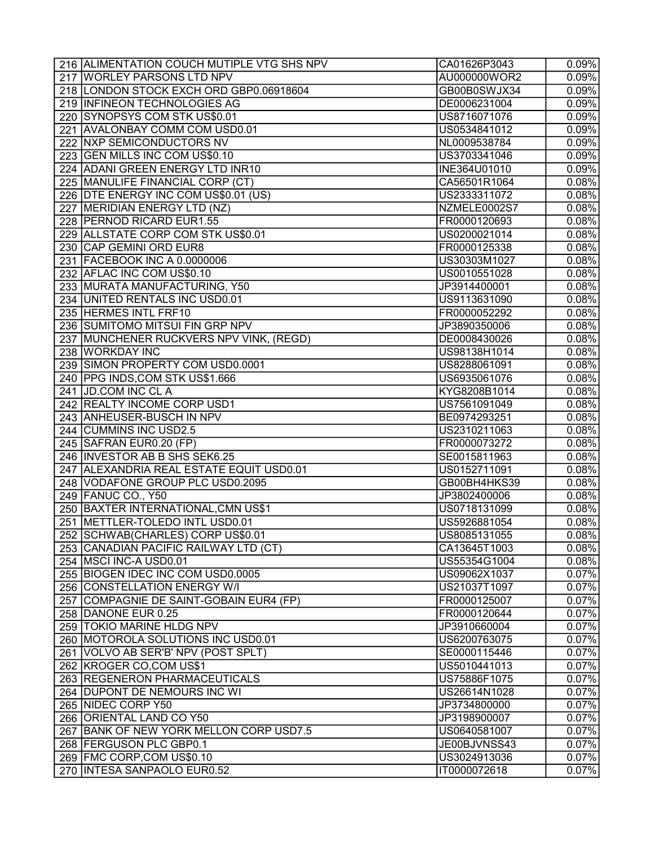| 216 ALIMENTATION COUCH MUTIPLE VTG SHS NPV | CA01626P3043 | 0.09%               |
|--------------------------------------------|--------------|---------------------|
| 217 WORLEY PARSONS LTD NPV                 | AU000000WOR2 | $\overline{0.09\%}$ |
| 218 LONDON STOCK EXCH ORD GBP0.06918604    | GB00B0SWJX34 | 0.09%               |
| 219 INFINEON TECHNOLOGIES AG               | DE0006231004 | 0.09%               |
| 220 SYNOPSYS COM STK US\$0.01              | US8716071076 | 0.09%               |
| 221 AVALONBAY COMM COM USD0.01             | US0534841012 | 0.09%               |
| 222 NXP SEMICONDUCTORS NV                  | NL0009538784 | 0.09%               |
| 223 GEN MILLS INC COM US\$0.10             | US3703341046 | 0.09%               |
| 224 ADANI GREEN ENERGY LTD INR10           | INE364U01010 | 0.09%               |
| 225 MANULIFE FINANCIAL CORP (CT)           | CA56501R1064 | 0.08%               |
| 226 DTE ENERGY INC COM US\$0.01 (US)       | US2333311072 | 0.08%               |
| 227 MERIDIAN ENERGY LTD (NZ)               | NZMELE0002S7 | 0.08%               |
| 228 PERNOD RICARD EUR1.55                  | FR0000120693 | $\overline{0.08\%}$ |
| 229 ALLSTATE CORP COM STK US\$0.01         | US0200021014 | 0.08%               |
| 230 CAP GEMINI ORD EUR8                    | FR0000125338 | 0.08%               |
| 231 FACEBOOK INC A 0.0000006               | US30303M1027 | 0.08%               |
| 232 AFLAC INC COM US\$0.10                 | US0010551028 | 0.08%               |
| 233 MURATA MANUFACTURING, Y50              | JP3914400001 | 0.08%               |
| 234 UNITED RENTALS INC USD0.01             | US9113631090 | 0.08%               |
| 235 HERMES INTL FRF10                      | FR0000052292 | 0.08%               |
| 236 SUMITOMO MITSUI FIN GRP NPV            | JP3890350006 | 0.08%               |
| 237 MUNCHENER RUCKVERS NPV VINK, (REGD)    | DE0008430026 | 0.08%               |
| 238 WORKDAY INC                            | US98138H1014 | 0.08%               |
| 239 SIMON PROPERTY COM USD0.0001           | US8288061091 | 0.08%               |
| 240 PPG INDS, COM STK US\$1.666            | US6935061076 | 0.08%               |
| 241 JD.COM INC CL A                        | KYG8208B1014 | $0.08\%$            |
| 242   REALTY INCOME CORP USD1              | US7561091049 | 0.08%               |
| 243   ANHEUSER-BUSCH IN NPV                | BE0974293251 | 0.08%               |
| 244 CUMMINS INC USD2.5                     | US2310211063 | 0.08%               |
| 245 SAFRAN EUR0.20 (FP)                    | FR0000073272 | 0.08%               |
| 246 INVESTOR AB B SHS SEK6.25              | SE0015811963 | 0.08%               |
| 247 ALEXANDRIA REAL ESTATE EQUIT USD0.01   | US0152711091 | 0.08%               |
| 248 VODAFONE GROUP PLC USD0.2095           | GB00BH4HKS39 | $\overline{0.08\%}$ |
| 249 FANUC CO., Y50                         | JP3802400006 | 0.08%               |
| 250 BAXTER INTERNATIONAL, CMN US\$1        | US0718131099 | 0.08%               |
| 251 METTLER-TOLEDO INTL USD0.01            | US5926881054 | 0.08%               |
| 252   SCHWAB(CHARLES) CORP US\$0.01        | US8085131055 | 0.08%               |
| 253 CANADIAN PACIFIC RAILWAY LTD (CT)      | CA13645T1003 | 0.08%               |
| 254   MSCI INC-A USD0.01                   | US55354G1004 | 0.08%               |
| 255 BIOGEN IDEC INC COM USD0.0005          | US09062X1037 | 0.07%               |
| 256 CONSTELLATION ENERGY W/I               | US21037T1097 | 0.07%               |
| 257 COMPAGNIE DE SAINT-GOBAIN EUR4 (FP)    | FR0000125007 | 0.07%               |
| 258 DANONE EUR 0.25                        | FR0000120644 | 0.07%               |
| 259   TOKIO MARINE HLDG NPV                | JP3910660004 | 0.07%               |
| 260 MOTOROLA SOLUTIONS INC USD0.01         | US6200763075 | 0.07%               |
| 261 VOLVO AB SER'B' NPV (POST SPLT)        | SE0000115446 | 0.07%               |
| 262 KROGER CO, COM US\$1                   | US5010441013 | 0.07%               |
| 263 REGENERON PHARMACEUTICALS              | US75886F1075 | 0.07%               |
| 264 DUPONT DE NEMOURS INC WI               | US26614N1028 | 0.07%               |
| 265 NIDEC CORP Y50                         | JP3734800000 | 0.07%               |
| 266   ORIENTAL LAND CO Y50                 | JP3198900007 | 0.07%               |
| 267 BANK OF NEW YORK MELLON CORP USD7.5    | US0640581007 | 0.07%               |
| 268   FERGUSON PLC GBP0.1                  | JE00BJVNSS43 | 0.07%               |
| 269 FMC CORP, COM US\$0.10                 | US3024913036 | 0.07%               |
| 270 INTESA SANPAOLO EUR0.52                | IT0000072618 | 0.07%               |
|                                            |              |                     |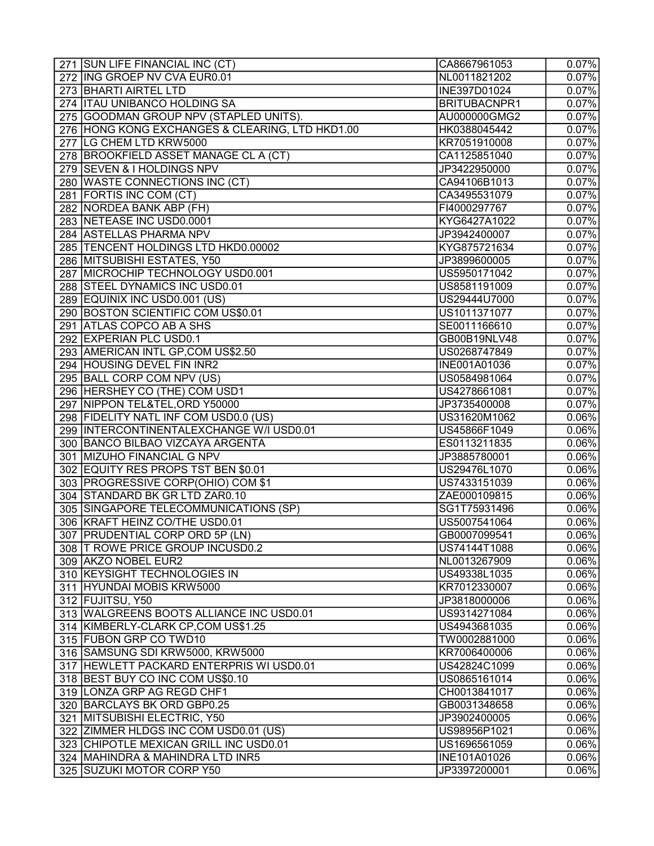| 271 SUN LIFE FINANCIAL INC (CT)                 | CA8667961053        | 0.07%               |
|-------------------------------------------------|---------------------|---------------------|
| 272 ING GROEP NV CVA EUR0.01                    | NL0011821202        | 0.07%               |
| 273 BHARTI AIRTEL LTD                           | INE397D01024        | 0.07%               |
| 274   ITAU UNIBANCO HOLDING SA                  | <b>BRITUBACNPR1</b> | 0.07%               |
| 275 GOODMAN GROUP NPV (STAPLED UNITS).          | AU000000GMG2        | 0.07%               |
| 276 HONG KONG EXCHANGES & CLEARING, LTD HKD1.00 | HK0388045442        | 0.07%               |
| 277 LG CHEM LTD KRW5000                         | KR7051910008        | 0.07%               |
| 278 BROOKFIELD ASSET MANAGE CL A (CT)           | CA1125851040        | 0.07%               |
| 279 SEVEN & I HOLDINGS NPV                      | JP3422950000        | 0.07%               |
| 280 WASTE CONNECTIONS INC (CT)                  | CA94106B1013        | 0.07%               |
| 281 FORTIS INC COM (CT)                         | CA3495531079        | 0.07%               |
| 282 NORDEA BANK ABP (FH)                        | FI4000297767        | 0.07%               |
| 283 NETEASE INC USD0.0001                       | KYG6427A1022        | $\overline{0.07\%}$ |
| 284   ASTELLAS PHARMA NPV                       | JP3942400007        | 0.07%               |
| 285 TENCENT HOLDINGS LTD HKD0.00002             | KYG875721634        | 0.07%               |
| 286 MITSUBISHI ESTATES, Y50                     | JP3899600005        | 0.07%               |
| 287 MICROCHIP TECHNOLOGY USD0.001               | US5950171042        | 0.07%               |
| 288 STEEL DYNAMICS INC USD0.01                  | US8581191009        | 0.07%               |
| 289 EQUINIX INC USD0.001 (US)                   | US29444U7000        | 0.07%               |
| 290 BOSTON SCIENTIFIC COM US\$0.01              | US1011371077        | 0.07%               |
| 291 ATLAS COPCO AB A SHS                        | SE0011166610        | 0.07%               |
| 292 EXPERIAN PLC USD0.1                         | GB00B19NLV48        | 0.07%               |
| 293 AMERICAN INTL GP, COM US\$2.50              | US0268747849        | 0.07%               |
| 294 HOUSING DEVEL FIN INR2                      | INE001A01036        | 0.07%               |
| 295 BALL CORP COM NPV (US)                      | US0584981064        | 0.07%               |
| 296 HERSHEY CO (THE) COM USD1                   | US4278661081        | 0.07%               |
| 297 NIPPON TEL&TEL, ORD Y50000                  | JP3735400008        | 0.07%               |
| 298 FIDELITY NATL INF COM USD0.0 (US)           | US31620M1062        | $0.06\%$            |
| 299   INTERCONTINENTALEXCHANGE W/I USD0.01      | US45866F1049        | $0.06\%$            |
| 300 BANCO BILBAO VIZCAYA ARGENTA                | ES0113211835        | 0.06%               |
| 301 MIZUHO FINANCIAL G NPV                      | JP3885780001        | $0.06\%$            |
| 302 EQUITY RES PROPS TST BEN \$0.01             | US29476L1070        | $0.06\%$            |
| 303 PROGRESSIVE CORP(OHIO) COM \$1              | US7433151039        | $0.06\%$            |
| 304 STANDARD BK GR LTD ZAR0.10                  | ZAE000109815        | $0.06\%$            |
| 305 SINGAPORE TELECOMMUNICATIONS (SP)           | SG1T75931496        | $0.06\%$            |
| 306 KRAFT HEINZ CO/THE USD0.01                  | US5007541064        | $0.06\%$            |
| 307 PRUDENTIAL CORP ORD 5P (LN)                 | GB0007099541        | 0.06%               |
| 308 T ROWE PRICE GROUP INCUSD0.2                | US74144T1088        | $0.06\%$            |
| 309 AKZO NOBEL EUR2                             | NL0013267909        | $0.06\%$            |
| 310 KEYSIGHT TECHNOLOGIES IN                    | US49338L1035        | $0.06\%$            |
| 311 HYUNDAI MOBIS KRW5000                       | KR7012330007        | $0.06\%$            |
| 312 FUJITSU, Y50                                | JP3818000006        | $0.06\%$            |
| 313 WALGREENS BOOTS ALLIANCE INC USD0.01        | US9314271084        | $0.06\%$            |
| 314 KIMBERLY-CLARK CP, COM US\$1.25             | US4943681035        | 0.06%               |
| 315 FUBON GRP CO TWD10                          | TW0002881000        | $0.06\%$            |
| 316 SAMSUNG SDI KRW5000, KRW5000                | KR7006400006        | $0.06\%$            |
| 317 HEWLETT PACKARD ENTERPRIS WI USD0.01        | US42824C1099        | $0.06\%$            |
| 318 BEST BUY CO INC COM US\$0.10                | US0865161014        | $0.06\%$            |
| 319 LONZA GRP AG REGD CHF1                      | CH0013841017        |                     |
| 320 BARCLAYS BK ORD GBP0.25                     |                     | 0.06%<br>$0.06\%$   |
| 321 MITSUBISHI ELECTRIC, Y50                    | GB0031348658        |                     |
|                                                 | JP3902400005        | $0.06\%$            |
| 322 ZIMMER HLDGS INC COM USD0.01 (US)           | US98956P1021        | $0.06\%$            |
| 323 CHIPOTLE MEXICAN GRILL INC USD0.01          | US1696561059        | $0.06\%$            |
| 324   MAHINDRA & MAHINDRA LTD INR5              | <b>INE101A01026</b> | $0.06\%$            |
| 325 SUZUKI MOTOR CORP Y50                       | JP3397200001        | 0.06%               |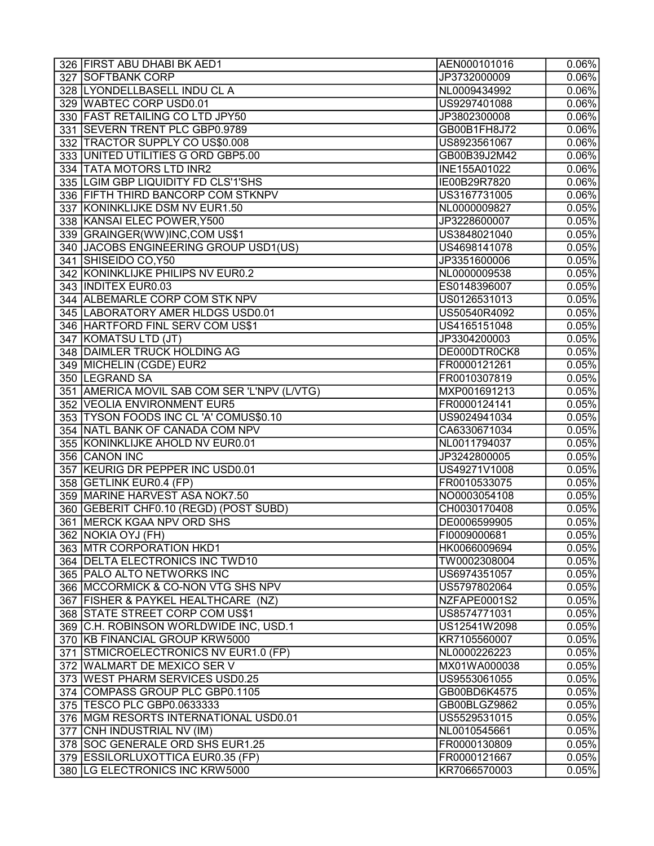| 326 FIRST ABU DHABI BK AED1                  | AEN000101016 | $0.06\%$            |
|----------------------------------------------|--------------|---------------------|
| 327 SOFTBANK CORP                            | JP3732000009 | 0.06%               |
| 328   LYONDELLBASELL INDU CL A               | NL0009434992 | $0.06\%$            |
| 329 WABTEC CORP USD0.01                      | US9297401088 | $0.06\%$            |
| 330 FAST RETAILING CO LTD JPY50              | JP3802300008 | 0.06%               |
| 331 SEVERN TRENT PLC GBP0.9789               | GB00B1FH8J72 | $0.06\%$            |
| 332 TRACTOR SUPPLY CO US\$0.008              | US8923561067 | $0.06\%$            |
| 333 UNITED UTILITIES G ORD GBP5.00           | GB00B39J2M42 | $0.06\%$            |
| 334   TATA MOTORS LTD INR2                   | INE155A01022 | $0.06\%$            |
| 335 LGIM GBP LIQUIDITY FD CLS'1'SHS          | IE00B29R7820 | 0.06%               |
| 336 FIFTH THIRD BANCORP COM STKNPV           | US3167731005 | $0.06\%$            |
| 337 KONINKLIJKE DSM NV EUR1.50               | NL0000009827 | 0.05%               |
| 338 KANSAI ELEC POWER, Y500                  | JP3228600007 | 0.05%               |
| 339 GRAINGER(WW)INC, COM US\$1               | US3848021040 | $\overline{0.05\%}$ |
| 340 JACOBS ENGINEERING GROUP USD1(US)        | US4698141078 | 0.05%               |
| 341 SHISEIDO CO, Y50                         | JP3351600006 | 0.05%               |
| 342 KONINKLIJKE PHILIPS NV EUR0.2            | NL0000009538 | 0.05%               |
| 343 INDITEX EUR0.03                          | ES0148396007 | 0.05%               |
| 344 ALBEMARLE CORP COM STK NPV               | US0126531013 | 0.05%               |
| 345 LABORATORY AMER HLDGS USD0.01            | US50540R4092 | 0.05%               |
| 346 HARTFORD FINL SERV COM US\$1             | US4165151048 | 0.05%               |
| 347 KOMATSU LTD (JT)                         | JP3304200003 | 0.05%               |
| 348 DAIMLER TRUCK HOLDING AG                 | DE000DTR0CK8 | 0.05%               |
| 349 MICHELIN (CGDE) EUR2                     | FR0000121261 | 0.05%               |
| 350 LEGRAND SA                               | FR0010307819 | 0.05%               |
| 351 AMERICA MOVIL SAB COM SER 'L'NPV (L/VTG) | MXP001691213 | 0.05%               |
| 352 VEOLIA ENVIRONMENT EUR5                  | FR0000124141 | 0.05%               |
| 353 TYSON FOODS INC CL 'A' COMUS\$0.10       | US9024941034 | 0.05%               |
| 354 NATL BANK OF CANADA COM NPV              | CA6330671034 | 0.05%               |
| 355 KONINKLIJKE AHOLD NV EUR0.01             | NL0011794037 | 0.05%               |
| 356 CANON INC                                | JP3242800005 | 0.05%               |
| 357 KEURIG DR PEPPER INC USD0.01             | US49271V1008 | 0.05%               |
| 358 GETLINK EUR0.4 (FP)                      | FR0010533075 | 0.05%               |
| 359   MARINE HARVEST ASA NOK7.50             | NO0003054108 | 0.05%               |
| 360 GEBERIT CHF0.10 (REGD) (POST SUBD)       | CH0030170408 | 0.05%               |
| 361   MERCK KGAA NPV ORD SHS                 | DE0006599905 | 0.05%               |
| 362   NOKIA OYJ (FH)                         | FI0009000681 | 0.05%               |
| 363 MTR CORPORATION HKD1                     | HK0066009694 | 0.05%               |
| 364   DELTA ELECTRONICS INC TWD10            | TW0002308004 | 0.05%               |
| 365   PALO ALTO NETWORKS INC                 | US6974351057 | 0.05%               |
| 366 MCCORMICK & CO-NON VTG SHS NPV           | US5797802064 | 0.05%               |
| 367 FISHER & PAYKEL HEALTHCARE (NZ)          | NZFAPE0001S2 | 0.05%               |
| 368 STATE STREET CORP COM US\$1              | US8574771031 | 0.05%               |
| 369 C.H. ROBINSON WORLDWIDE INC, USD.1       | US12541W2098 | 0.05%               |
| 370 KB FINANCIAL GROUP KRW5000               | KR7105560007 | 0.05%               |
| 371 STMICROELECTRONICS NV EUR1.0 (FP)        | NL0000226223 | 0.05%               |
| 372 WALMART DE MEXICO SER V                  | MX01WA000038 | 0.05%               |
| 373 WEST PHARM SERVICES USD0.25              | US9553061055 | 0.05%               |
| 374 COMPASS GROUP PLC GBP0.1105              | GB00BD6K4575 | 0.05%               |
| 375   TESCO PLC GBP0.0633333                 | GB00BLGZ9862 | 0.05%               |
| 376   MGM RESORTS INTERNATIONAL USD0.01      | US5529531015 | 0.05%               |
| 377 CNH INDUSTRIAL NV (IM)                   | NL0010545661 | 0.05%               |
| 378 SOC GENERALE ORD SHS EUR1.25             | FR0000130809 | 0.05%               |
| 379 ESSILORLUXOTTICA EUR0.35 (FP)            | FR0000121667 | 0.05%               |
| 380 LG ELECTRONICS INC KRW5000               | KR7066570003 | 0.05%               |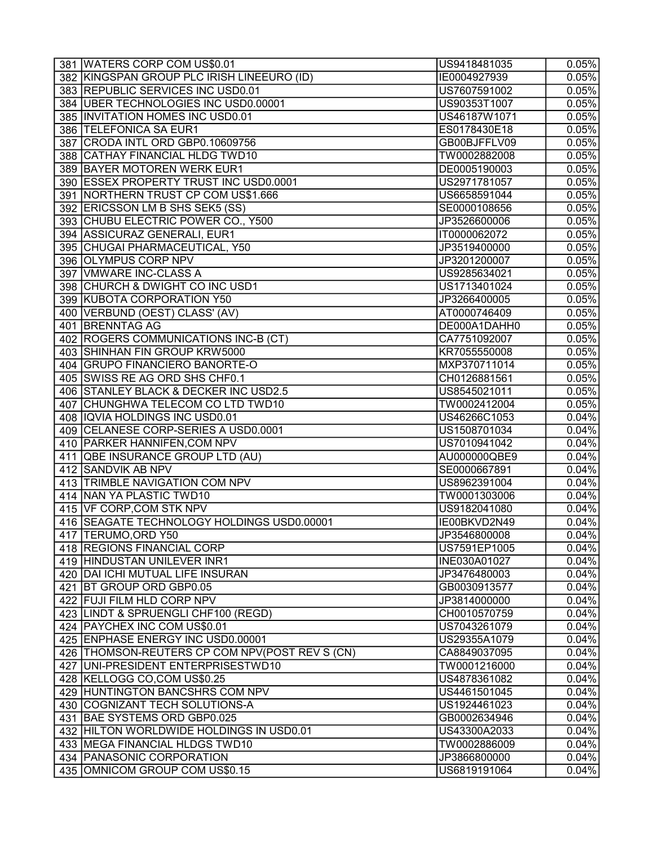| 381 WATERS CORP COM US\$0.01                    | US9418481035                 | 0.05%               |
|-------------------------------------------------|------------------------------|---------------------|
| 382 KINGSPAN GROUP PLC IRISH LINEEURO (ID)      | IE0004927939                 | 0.05%               |
| 383 REPUBLIC SERVICES INC USD0.01               | US7607591002                 | 0.05%               |
| 384 UBER TECHNOLOGIES INC USD0.00001            | US90353T1007                 | 0.05%               |
| 385 INVITATION HOMES INC USD0.01                | US46187W1071                 | 0.05%               |
| 386 TELEFONICA SA EUR1                          | ES0178430E18                 | 0.05%               |
| 387 CRODA INTL ORD GBP0.10609756                | GB00BJFFLV09                 | 0.05%               |
| 388 CATHAY FINANCIAL HLDG TWD10                 | TW0002882008                 | 0.05%               |
| 389 BAYER MOTOREN WERK EUR1                     | DE0005190003                 | 0.05%               |
| 390 ESSEX PROPERTY TRUST INC USD0.0001          | US2971781057                 | 0.05%               |
| 391 NORTHERN TRUST CP COM US\$1.666             | US6658591044                 | 0.05%               |
| 392 ERICSSON LM B SHS SEK5 (SS)                 | SE0000108656                 | 0.05%               |
| 393 CHUBU ELECTRIC POWER CO., Y500              | JP3526600006                 | 0.05%               |
| 394 ASSICURAZ GENERALI, EUR1                    | IT0000062072                 | $\overline{0.05\%}$ |
| 395 CHUGAI PHARMACEUTICAL, Y50                  | JP3519400000                 | 0.05%               |
| 396 OLYMPUS CORP NPV                            | JP3201200007                 | 0.05%               |
| 397 VMWARE INC-CLASS A                          | US9285634021                 | 0.05%               |
| 398 CHURCH & DWIGHT CO INC USD1                 | US1713401024                 | 0.05%               |
| 399 KUBOTA CORPORATION Y50                      | JP3266400005                 | 0.05%               |
| 400 VERBUND (OEST) CLASS' (AV)                  | AT0000746409                 | 0.05%               |
| 401 BRENNTAG AG                                 | DE000A1DAHH0                 | 0.05%               |
| 402 ROGERS COMMUNICATIONS INC-B (CT)            | CA7751092007                 | 0.05%               |
| 403 SHINHAN FIN GROUP KRW5000                   | KR7055550008                 | 0.05%               |
| 404 GRUPO FINANCIERO BANORTE-O                  | MXP370711014                 | 0.05%               |
| 405 SWISS RE AG ORD SHS CHF0.1                  | CH0126881561                 | 0.05%               |
| 406 STANLEY BLACK & DECKER INC USD2.5           | US8545021011                 | 0.05%               |
| 407 CHUNGHWA TELECOM CO LTD TWD10               | TW0002412004                 | 0.05%               |
| 408 IQVIA HOLDINGS INC USD0.01                  | US46266C1053                 | 0.04%               |
| 409 CELANESE CORP-SERIES A USD0.0001            | US1508701034                 | 0.04%               |
| 410 PARKER HANNIFEN, COM NPV                    | US7010941042                 | 0.04%               |
| 411 QBE INSURANCE GROUP LTD (AU)                | AU000000QBE9                 | 0.04%               |
| 412 SANDVIK AB NPV                              | SE0000667891                 | $\overline{0.04\%}$ |
| 413 TRIMBLE NAVIGATION COM NPV                  | US8962391004                 | 0.04%               |
| 414 NAN YA PLASTIC TWD10                        | TW0001303006                 | 0.04%               |
| 415 VF CORP, COM STK NPV                        | US9182041080                 | 0.04%               |
| 416 SEAGATE TECHNOLOGY HOLDINGS USD0.00001      | IE00BKVD2N49                 | 0.04%               |
| 417  TERUMO, ORD Y50                            | JP3546800008                 | 0.04%               |
| 418 REGIONS FINANCIAL CORP                      | US7591EP1005                 | 0.04%               |
| 419 HINDUSTAN UNILEVER INR1                     | <b>INE030A01027</b>          | 0.04%               |
| 420   DAI ICHI MUTUAL LIFE INSURAN              | JP3476480003                 | 0.04%               |
| 421   BT GROUP ORD GBP0.05                      | GB0030913577                 | 0.04%               |
| 422 FUJI FILM HLD CORP NPV                      | JP3814000000                 | 0.04%               |
| 423 LINDT & SPRUENGLI CHF100 (REGD)             | CH0010570759                 | 0.04%               |
| 424   PAYCHEX INC COM US\$0.01                  | US7043261079                 | 0.04%               |
| 425 ENPHASE ENERGY INC USD0.00001               | US29355A1079                 | 0.04%               |
| 426 THOMSON-REUTERS CP COM NPV (POST REV S (CN) | CA8849037095                 | 0.04%               |
| 427 UNI-PRESIDENT ENTERPRISESTWD10              | TW0001216000                 | 0.04%               |
| 428 KELLOGG CO, COM US\$0.25                    | US4878361082                 | 0.04%               |
| 429 HUNTINGTON BANCSHRS COM NPV                 | US4461501045                 | 0.04%               |
| 430 COGNIZANT TECH SOLUTIONS-A                  | US1924461023                 | 0.04%               |
| 431 BAE SYSTEMS ORD GBP0.025                    | GB0002634946                 | 0.04%               |
| 432 HILTON WORLDWIDE HOLDINGS IN USD0.01        | US43300A2033                 | 0.04%               |
| 433   MEGA FINANCIAL HLDGS TWD10                | TW0002886009                 | 0.04%               |
| 434   PANASONIC CORPORATION                     |                              |                     |
| 435 OMNICOM GROUP COM US\$0.15                  | JP3866800000<br>US6819191064 | 0.04%               |
|                                                 |                              | 0.04%               |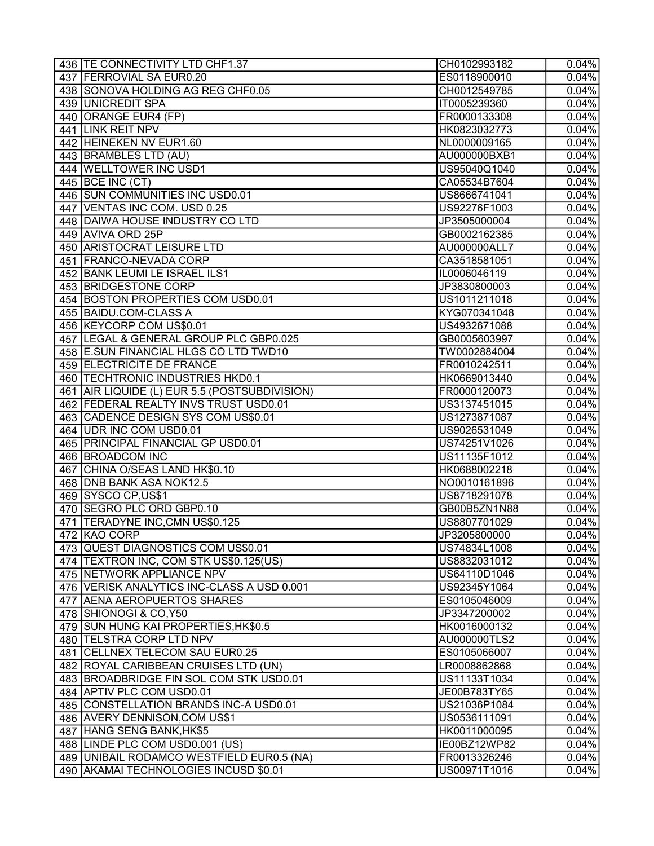| 436   TE CONNECTIVITY LTD CHF1.37             | CH0102993182        | 0.04%               |
|-----------------------------------------------|---------------------|---------------------|
| 437 FERROVIAL SA EUR0.20                      | ES0118900010        | $\overline{0.04\%}$ |
| 438 SONOVA HOLDING AG REG CHF0.05             | CH0012549785        | 0.04%               |
| 439   UNICREDIT SPA                           | IT0005239360        | 0.04%               |
| 440 ORANGE EUR4 (FP)                          | FR0000133308        | 0.04%               |
| 441 LINK REIT NPV                             | HK0823032773        | 0.04%               |
| 442 HEINEKEN NV EUR1.60                       | NL0000009165        | $\overline{0.04\%}$ |
| 443 BRAMBLES LTD (AU)                         | AU000000BXB1        | $\overline{0.04\%}$ |
| 444 WELLTOWER INC USD1                        | US95040Q1040        | 0.04%               |
| 445 BCE INC (CT)                              | CA05534B7604        | 0.04%               |
| 446 SUN COMMUNITIES INC USD0.01               | US8666741041        | 0.04%               |
| 447 VENTAS INC COM. USD 0.25                  | US92276F1003        | 0.04%               |
| 448 DAIWA HOUSE INDUSTRY CO LTD               | JP3505000004        | 0.04%               |
| 449 AVIVA ORD 25P                             | GB0002162385        | 0.04%               |
| <b>450 ARISTOCRAT LEISURE LTD</b>             | AU000000ALL7        | 0.04%               |
| 451   FRANCO-NEVADA CORP                      | CA3518581051        | 0.04%               |
| 452 BANK LEUMI LE ISRAEL ILS1                 | IL0006046119        | 0.04%               |
| 453 BRIDGESTONE CORP                          | JP3830800003        | 0.04%               |
| 454 BOSTON PROPERTIES COM USD0.01             | US1011211018        | 0.04%               |
| 455 BAIDU.COM-CLASS A                         | KYG070341048        | $\overline{0.04\%}$ |
| 456 KEYCORP COM US\$0.01                      | US4932671088        | 0.04%               |
| 457   LEGAL & GENERAL GROUP PLC GBP0.025      | GB0005603997        | 0.04%               |
| 458 E.SUN FINANCIAL HLGS CO LTD TWD10         | TW0002884004        | 0.04%               |
| 459 ELECTRICITE DE FRANCE                     | FR0010242511        | 0.04%               |
| 460 TECHTRONIC INDUSTRIES HKD0.1              | HK0669013440        | 0.04%               |
| 461 AIR LIQUIDE (L) EUR 5.5 (POSTSUBDIVISION) | FR0000120073        | 0.04%               |
|                                               |                     |                     |
| 462   FEDERAL REALTY INVS TRUST USD0.01       | US3137451015        | 0.04%               |
| 463 CADENCE DESIGN SYS COM US\$0.01           | US1273871087        | 0.04%               |
| 464 UDR INC COM USD0.01                       | US9026531049        | 0.04%               |
| 465 PRINCIPAL FINANCIAL GP USD0.01            | US74251V1026        | 0.04%               |
| 466 BROADCOM INC                              | US11135F1012        | 0.04%               |
| 467 CHINA O/SEAS LAND HK\$0.10                | HK0688002218        | $\overline{0.04\%}$ |
| 468   DNB BANK ASA NOK12.5                    | NO0010161896        | 0.04%               |
| 469 SYSCO CP, US\$1                           | US8718291078        | 0.04%               |
| 470 SEGRO PLC ORD GBP0.10                     | GB00B5ZN1N88        | 0.04%               |
| 471 TERADYNE INC, CMN US\$0.125               | US8807701029        | 0.04%               |
| 472 KAO CORP                                  | JP3205800000        | 0.04%               |
| 473 QUEST DIAGNOSTICS COM US\$0.01            | US74834L1008        | 0.04%               |
| 474 TEXTRON INC, COM STK US\$0.125(US)        | US8832031012        | 0.04%               |
| 475 NETWORK APPLIANCE NPV                     | US64110D1046        | 0.04%               |
| 476 VERISK ANALYTICS INC-CLASS A USD 0.001    | US92345Y1064        | 0.04%               |
| 477 AENA AEROPUERTOS SHARES                   | ES0105046009        | 0.04%               |
| 478 SHIONOGI & CO, Y50                        | JP3347200002        | 0.04%               |
| 479 SUN HUNG KAI PROPERTIES, HK\$0.5          | HK0016000132        | 0.04%               |
| 480   TELSTRA CORP LTD NPV                    | <b>AU000000TLS2</b> | 0.04%               |
| 481   CELLNEX TELECOM SAU EUR0.25             | ES0105066007        | 0.04%               |
| 482 ROYAL CARIBBEAN CRUISES LTD (UN)          | LR0008862868        | 0.04%               |
| 483 BROADBRIDGE FIN SOL COM STK USD0.01       | US11133T1034        | 0.04%               |
| 484 APTIV PLC COM USD0.01                     | JE00B783TY65        | 0.04%               |
| 485 CONSTELLATION BRANDS INC-A USD0.01        | US21036P1084        | 0.04%               |
| 486 AVERY DENNISON, COM US\$1                 | US0536111091        | 0.04%               |
| 487 HANG SENG BANK, HK\$5                     | HK0011000095        | 0.04%               |
| 488   LINDE PLC COM USD0.001 (US)             | IE00BZ12WP82        | 0.04%               |
| 489 UNIBAIL RODAMCO WESTFIELD EUR0.5 (NA)     | FR0013326246        | 0.04%               |
| 490 AKAMAI TECHNOLOGIES INCUSD \$0.01         | US00971T1016        | 0.04%               |
|                                               |                     |                     |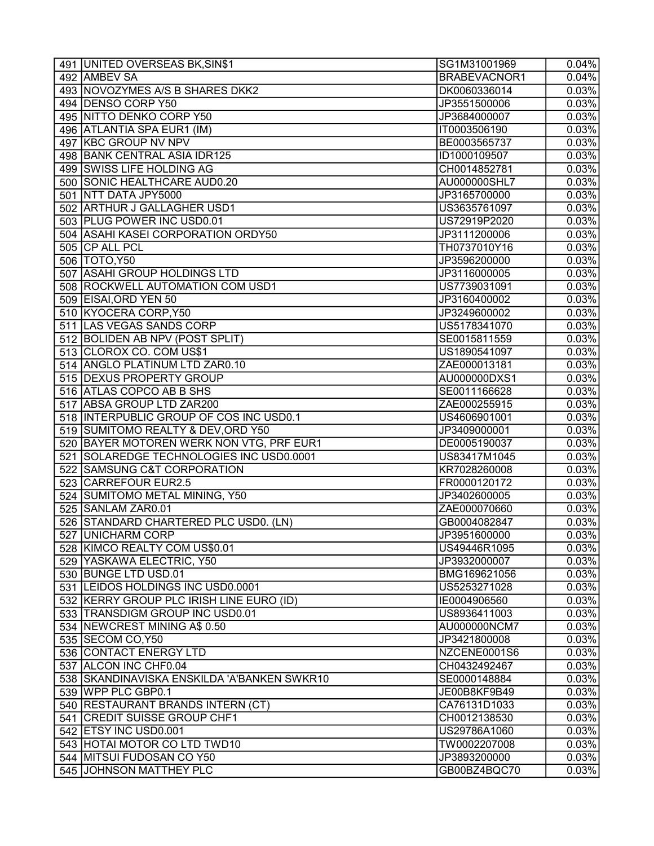| 491 UNITED OVERSEAS BK, SIN\$1              | SG1M31001969                 | 0.04%               |
|---------------------------------------------|------------------------------|---------------------|
| 492 AMBEV SA                                | BRABEVACNOR1                 | 0.04%               |
| 493 NOVOZYMES A/S B SHARES DKK2             | DK0060336014                 | 0.03%               |
| 494 DENSO CORP Y50                          | JP3551500006                 | 0.03%               |
| 495 NITTO DENKO CORP Y50                    | JP3684000007                 | 0.03%               |
| 496 ATLANTIA SPA EUR1 (IM)                  | IT0003506190                 | 0.03%               |
| 497 KBC GROUP NV NPV                        | BE0003565737                 | 0.03%               |
| 498 BANK CENTRAL ASIA IDR125                | ID1000109507                 | 0.03%               |
| 499 SWISS LIFE HOLDING AG                   | CH0014852781                 | 0.03%               |
| 500 SONIC HEALTHCARE AUD0.20                | AU000000SHL7                 | 0.03%               |
| 501 NTT DATA JPY5000                        | JP3165700000                 | 0.03%               |
| 502 ARTHUR J GALLAGHER USD1                 | US3635761097                 | 0.03%               |
| 503 PLUG POWER INC USD0.01                  | US72919P2020                 | 0.03%               |
| 504 ASAHI KASEI CORPORATION ORDY50          | JP3111200006                 | $\overline{0.03\%}$ |
| 505 CP ALL PCL                              | TH0737010Y16                 | 0.03%               |
| 506   TOTO, Y50                             | JP3596200000                 | 0.03%               |
| 507 ASAHI GROUP HOLDINGS LTD                | JP3116000005                 | 0.03%               |
| 508 ROCKWELL AUTOMATION COM USD1            | US7739031091                 | 0.03%               |
| 509 EISAI, ORD YEN 50                       | JP3160400002                 | 0.03%               |
| 510 KYOCERA CORP, Y50                       | JP3249600002                 | 0.03%               |
| 511 LAS VEGAS SANDS CORP                    | US5178341070                 | 0.03%               |
| 512 BOLIDEN AB NPV (POST SPLIT)             | SE0015811559                 | 0.03%               |
| 513 CLOROX CO. COM US\$1                    | US1890541097                 | 0.03%               |
| 514 ANGLO PLATINUM LTD ZAR0.10              | ZAE000013181                 | 0.03%               |
| 515 DEXUS PROPERTY GROUP                    | AU000000DXS1                 | 0.03%               |
| 516 ATLAS COPCO AB B SHS                    | SE0011166628                 | 0.03%               |
| 517 ABSA GROUP LTD ZAR200                   | ZAE000255915                 | 0.03%               |
| 518 INTERPUBLIC GROUP OF COS INC USD0.1     | US4606901001                 | 0.03%               |
| 519 SUMITOMO REALTY & DEV, ORD Y50          | JP3409000001                 | 0.03%               |
| 520 BAYER MOTOREN WERK NON VTG, PRF EUR1    | DE0005190037                 | 0.03%               |
| 521 SOLAREDGE TECHNOLOGIES INC USD0.0001    | US83417M1045                 | 0.03%               |
| 522 SAMSUNG C&T CORPORATION                 | KR7028260008                 | 0.03%               |
| 523 CARREFOUR EUR2.5                        | FR0000120172                 | 0.03%               |
| 524 SUMITOMO METAL MINING, Y50              | JP3402600005                 | 0.03%               |
| 525 SANLAM ZAR0.01                          | ZAE000070660                 | 0.03%               |
| 526 STANDARD CHARTERED PLC USD0. (LN)       | GB0004082847                 | 0.03%               |
| 527 UNICHARM CORP                           | JP3951600000                 |                     |
| 528 KIMCO REALTY COM US\$0.01               |                              | 0.03%<br>0.03%      |
| 529 YASKAWA ELECTRIC, Y50                   | US49446R1095<br>JP3932000007 | 0.03%               |
| 530 BUNGE LTD USD.01                        |                              |                     |
|                                             | BMG169621056                 | 0.03%               |
| 531 LEIDOS HOLDINGS INC USD0.0001           | US5253271028                 | 0.03%               |
| 532 KERRY GROUP PLC IRISH LINE EURO (ID)    | IE0004906560                 | 0.03%               |
| 533 TRANSDIGM GROUP INC USD0.01             | US8936411003                 | 0.03%               |
| 534 NEWCREST MINING A\$ 0.50                | AU000000NCM7                 | 0.03%               |
| 535 SECOM CO, Y50                           | JP3421800008                 | 0.03%               |
| 536 CONTACT ENERGY LTD                      | NZCENE0001S6                 | 0.03%               |
| 537 ALCON INC CHF0.04                       | CH0432492467                 | 0.03%               |
| 538 SKANDINAVISKA ENSKILDA 'A'BANKEN SWKR10 | SE0000148884                 | 0.03%               |
| 539 WPP PLC GBP0.1                          | JE00B8KF9B49                 | 0.03%               |
| 540 RESTAURANT BRANDS INTERN (CT)           | CA76131D1033                 | 0.03%               |
| 541 CREDIT SUISSE GROUP CHF1                | CH0012138530                 | 0.03%               |
| 542 ETSY INC USD0.001                       | US29786A1060                 | 0.03%               |
| 543 HOTAI MOTOR CO LTD TWD10                | TW0002207008                 | 0.03%               |
| 544 MITSUI FUDOSAN CO Y50                   | JP3893200000                 | 0.03%               |
| 545 JOHNSON MATTHEY PLC                     | GB00BZ4BQC70                 | 0.03%               |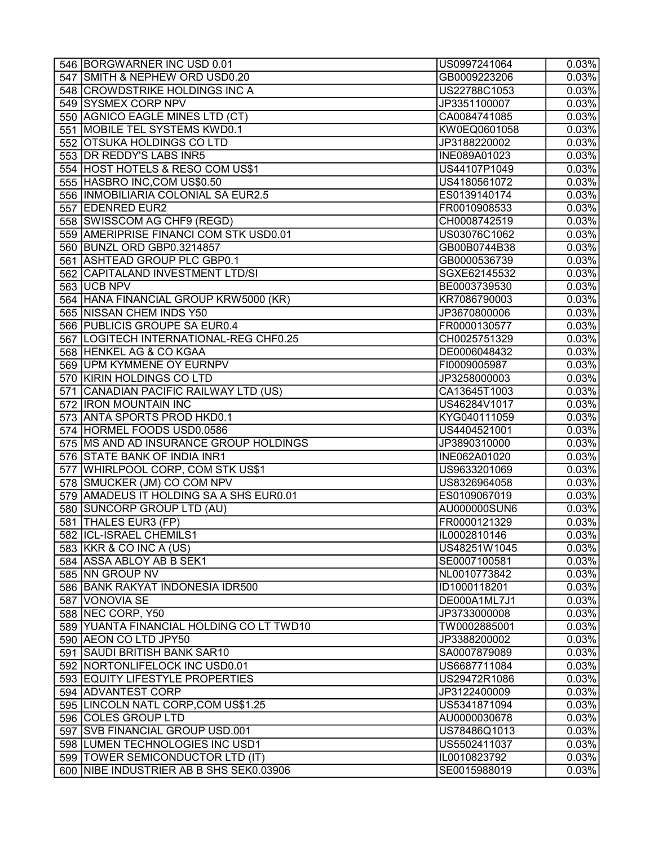| 546 BORGWARNER INC USD 0.01              | US0997241064                 | $\overline{0.03\%}$ |
|------------------------------------------|------------------------------|---------------------|
| 547 SMITH & NEPHEW ORD USD0.20           | GB0009223206                 | $\overline{0.03\%}$ |
| 548 CROWDSTRIKE HOLDINGS INC A           | US22788C1053                 | 0.03%               |
| 549 SYSMEX CORP NPV                      | JP3351100007                 | 0.03%               |
| 550 AGNICO EAGLE MINES LTD (CT)          | CA0084741085                 | 0.03%               |
| 551 MOBILE TEL SYSTEMS KWD0.1            | KW0EQ0601058                 | 0.03%               |
| 552 OTSUKA HOLDINGS COLTD                | JP3188220002                 | 0.03%               |
| 553 DR REDDY'S LABS INR5                 | INE089A01023                 | 0.03%               |
| 554 HOST HOTELS & RESO COM US\$1         | US44107P1049                 | 0.03%               |
| 555 HASBRO INC, COM US\$0.50             | US4180561072                 | 0.03%               |
| 556  INMOBILIARIA COLONIAL SA EUR2.5     | ES0139140174                 | 0.03%               |
| 557 EDENRED EUR2                         | FR0010908533                 | 0.03%               |
| 558 SWISSCOM AG CHF9 (REGD)              | CH0008742519                 | 0.03%               |
| 559 AMERIPRISE FINANCI COM STK USD0.01   | US03076C1062                 | 0.03%               |
| 560 BUNZL ORD GBP0.3214857               | GB00B0744B38                 | 0.03%               |
| 561 ASHTEAD GROUP PLC GBP0.1             | GB0000536739                 | 0.03%               |
| 562 CAPITALAND INVESTMENT LTD/SI         | SGXE62145532                 | 0.03%               |
| 563   UCB NPV                            | BE0003739530                 | 0.03%               |
| 564 HANA FINANCIAL GROUP KRW5000 (KR)    | KR7086790003                 | 0.03%               |
| 565 NISSAN CHEM INDS Y50                 | JP3670800006                 | 0.03%               |
| 566 PUBLICIS GROUPE SA EUR0.4            | FR0000130577                 | 0.03%               |
| 567 LOGITECH INTERNATIONAL-REG CHF0.25   | CH0025751329                 | 0.03%               |
| 568 HENKEL AG & CO KGAA                  | DE0006048432                 | 0.03%               |
| 569 UPM KYMMENE OY EURNPV                | FI0009005987                 | 0.03%               |
| 570 KIRIN HOLDINGS CO LTD                | JP3258000003                 | 0.03%               |
| 571 CANADIAN PACIFIC RAILWAY LTD (US)    | CA13645T1003                 | 0.03%               |
| 572 IRON MOUNTAIN INC                    | US46284V1017                 | 0.03%               |
| 573 ANTA SPORTS PROD HKD0.1              | KYG040111059                 | 0.03%               |
| 574 HORMEL FOODS USD0.0586               | US4404521001                 | 0.03%               |
| 575   MS AND AD INSURANCE GROUP HOLDINGS | JP3890310000                 | 0.03%               |
| 576 STATE BANK OF INDIA INR1             | INE062A01020                 | 0.03%               |
| 577 WHIRLPOOL CORP, COM STK US\$1        | US9633201069                 | 0.03%               |
| 578 SMUCKER (JM) CO COM NPV              | US8326964058                 | 0.03%               |
| 579 AMADEUS IT HOLDING SA A SHS EUR0.01  | ES0109067019                 | 0.03%               |
| 580 SUNCORP GROUP LTD (AU)               | AU000000SUN6                 | 0.03%               |
| 581 THALES EUR3 (FP)                     | FR0000121329                 | 0.03%               |
| 582 ICL-ISRAEL CHEMILS1                  | IL0002810146                 | 0.03%               |
| 583 KKR & CO INC A (US)                  | US48251W1045                 | 0.03%               |
| 584 ASSA ABLOY AB B SEK1                 | SE0007100581                 | 0.03%               |
| 585 NN GROUP NV                          | NL0010773842                 | 0.03%               |
| 586 BANK RAKYAT INDONESIA IDR500         |                              |                     |
| 587 VONOVIA SE                           | ID1000118201<br>DE000A1ML7J1 | 0.03%<br>0.03%      |
|                                          |                              |                     |
| 588 NEC CORP, Y50                        | JP3733000008                 | 0.03%               |
| 589 YUANTA FINANCIAL HOLDING CO LT TWD10 | TW0002885001                 | 0.03%               |
| 590 AEON CO LTD JPY50                    | JP3388200002                 | 0.03%               |
| 591 SAUDI BRITISH BANK SAR10             | SA0007879089                 | 0.03%               |
| 592 NORTONLIFELOCK INC USD0.01           | US6687711084                 | 0.03%               |
| 593 EQUITY LIFESTYLE PROPERTIES          | US29472R1086                 | 0.03%               |
| 594 ADVANTEST CORP                       | JP3122400009                 | 0.03%               |
| 595 LINCOLN NATL CORP, COM US\$1.25      | US5341871094                 | 0.03%               |
| 596 COLES GROUP LTD                      | AU0000030678                 | 0.03%               |
| 597 SVB FINANCIAL GROUP USD.001          | US78486Q1013                 | 0.03%               |
| 598 LUMEN TECHNOLOGIES INC USD1          | US5502411037                 | 0.03%               |
| 599  TOWER SEMICONDUCTOR LTD (IT)        | IL0010823792                 | 0.03%               |
| 600 NIBE INDUSTRIER AB B SHS SEK0.03906  | SE0015988019                 | 0.03%               |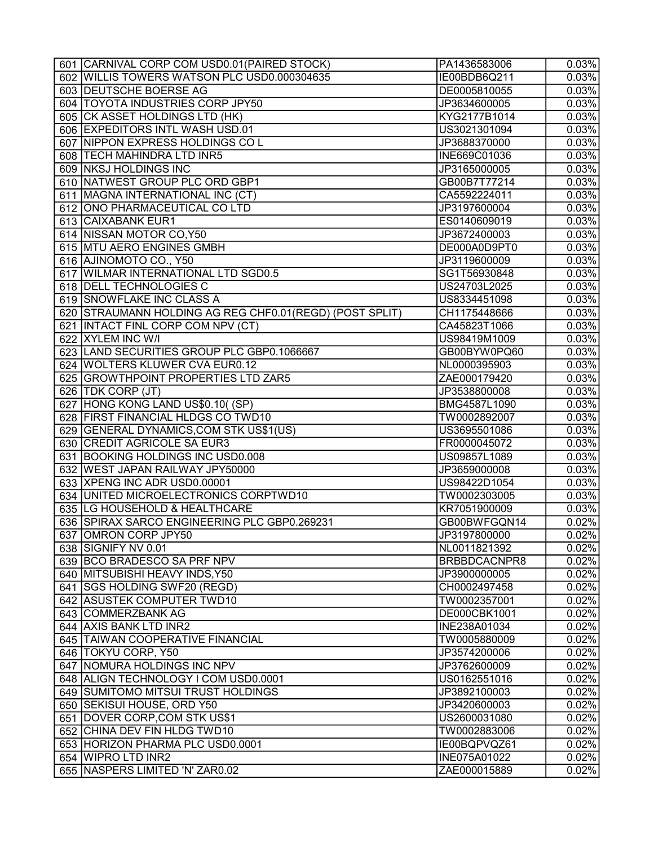| 602 WILLIS TOWERS WATSON PLC USD0.000304635<br>0.03%<br>IE00BDB6Q211<br>603 DEUTSCHE BOERSE AG<br>0.03%<br>DE0005810055<br>604 TOYOTA INDUSTRIES CORP JPY50<br>0.03%<br>JP3634600005<br>605 CK ASSET HOLDINGS LTD (HK)<br>KYG2177B1014<br>0.03%<br>606 EXPEDITORS INTL WASH USD.01<br>0.03%<br>US3021301094<br>607 NIPPON EXPRESS HOLDINGS COL<br>0.03%<br>JP3688370000<br>0.03%<br>608 TECH MAHINDRA LTD INR5<br>INE669C01036<br>609 NKSJ HOLDINGS INC<br>0.03%<br>JP3165000005<br>610 NATWEST GROUP PLC ORD GBP1<br>0.03%<br>GB00B7T77214<br>0.03%<br>611   MAGNA INTERNATIONAL INC (CT)<br>CA5592224011<br>612   ONO PHARMACEUTICAL CO LTD<br>0.03%<br>JP3197600004<br>613 CAIXABANK EUR1<br>ES0140609019<br>0.03%<br>614 NISSAN MOTOR CO, Y50<br>0.03%<br>JP3672400003<br>615 MTU AERO ENGINES GMBH<br>DE000A0D9PT0<br>0.03%<br>616 AJINOMOTO CO., Y50<br>0.03%<br>JP3119600009<br>617 WILMAR INTERNATIONAL LTD SGD0.5<br>SG1T56930848<br>0.03%<br>618 DELL TECHNOLOGIES C<br>0.03%<br>US24703L2025<br>619 SNOWFLAKE INC CLASS A<br>0.03%<br>US8334451098<br>620 STRAUMANN HOLDING AG REG CHF0.01 (REGD) (POST SPLIT)<br>0.03%<br>CH1175448666<br>621 INTACT FINL CORP COM NPV (CT)<br>0.03%<br>CA45823T1066<br>622 XYLEM INC W/I<br>0.03%<br>US98419M1009<br>623 LAND SECURITIES GROUP PLC GBP0.1066667<br>0.03%<br>GB00BYW0PQ60<br>624 WOLTERS KLUWER CVA EUR0.12<br>0.03%<br>NL0000395903<br>625 GROWTHPOINT PROPERTIES LTD ZAR5<br>0.03%<br>ZAE000179420<br>0.03%<br>626   TDK CORP (JT)<br>JP3538800008<br>627 HONG KONG LAND US\$0.10( (SP)<br>0.03%<br>BMG4587L1090<br>628 FIRST FINANCIAL HLDGS CO TWD10<br>0.03%<br>TW0002892007<br>629 GENERAL DYNAMICS, COM STK US\$1(US)<br>US3695501086<br>0.03%<br>630 CREDIT AGRICOLE SA EUR3<br>0.03%<br>FR0000045072<br>631 BOOKING HOLDINGS INC USD0.008<br>0.03%<br>US09857L1089<br>0.03%<br>632 WEST JAPAN RAILWAY JPY50000<br>JP3659000008<br>0.03%<br>633 XPENG INC ADR USD0.00001<br>US98422D1054<br>634 UNITED MICROELECTRONICS CORPTWD10<br>0.03%<br>TW0002303005<br>635 LG HOUSEHOLD & HEALTHCARE<br>0.03%<br>KR7051900009<br>0.02%<br>636 SPIRAX SARCO ENGINEERING PLC GBP0.269231<br>GB00BWFGQN14<br>637 OMRON CORP JPY50<br>0.02%<br>JP3197800000<br>0.02%<br>638 SIGNIFY NV 0.01<br>NL0011821392<br>639 BCO BRADESCO SA PRF NPV<br>0.02%<br>BRBBDCACNPR8<br>640 MITSUBISHI HEAVY INDS, Y50<br>0.02%<br>JP3900000005<br>641 SGS HOLDING SWF20 (REGD)<br>CH0002497458<br>0.02%<br>642 ASUSTEK COMPUTER TWD10<br>0.02%<br>TW0002357001<br>643 COMMERZBANK AG<br>0.02%<br>DE000CBK1001<br>0.02%<br>644 AXIS BANK LTD INR2<br>INE238A01034 | 601 CARNIVAL CORP COM USD0.01 (PAIRED STOCK) | PA1436583006 | 0.03% |
|---------------------------------------------------------------------------------------------------------------------------------------------------------------------------------------------------------------------------------------------------------------------------------------------------------------------------------------------------------------------------------------------------------------------------------------------------------------------------------------------------------------------------------------------------------------------------------------------------------------------------------------------------------------------------------------------------------------------------------------------------------------------------------------------------------------------------------------------------------------------------------------------------------------------------------------------------------------------------------------------------------------------------------------------------------------------------------------------------------------------------------------------------------------------------------------------------------------------------------------------------------------------------------------------------------------------------------------------------------------------------------------------------------------------------------------------------------------------------------------------------------------------------------------------------------------------------------------------------------------------------------------------------------------------------------------------------------------------------------------------------------------------------------------------------------------------------------------------------------------------------------------------------------------------------------------------------------------------------------------------------------------------------------------------------------------------------------------------------------------------------------------------------------------------------------------------------------------------------------------------------------------------------------------------------------------------------------------------------------------------------------------------------------------------------------------------------------------------------------------------------------------------------------------------------------------------------------------------------------|----------------------------------------------|--------------|-------|
|                                                                                                                                                                                                                                                                                                                                                                                                                                                                                                                                                                                                                                                                                                                                                                                                                                                                                                                                                                                                                                                                                                                                                                                                                                                                                                                                                                                                                                                                                                                                                                                                                                                                                                                                                                                                                                                                                                                                                                                                                                                                                                                                                                                                                                                                                                                                                                                                                                                                                                                                                                                                         |                                              |              |       |
|                                                                                                                                                                                                                                                                                                                                                                                                                                                                                                                                                                                                                                                                                                                                                                                                                                                                                                                                                                                                                                                                                                                                                                                                                                                                                                                                                                                                                                                                                                                                                                                                                                                                                                                                                                                                                                                                                                                                                                                                                                                                                                                                                                                                                                                                                                                                                                                                                                                                                                                                                                                                         |                                              |              |       |
|                                                                                                                                                                                                                                                                                                                                                                                                                                                                                                                                                                                                                                                                                                                                                                                                                                                                                                                                                                                                                                                                                                                                                                                                                                                                                                                                                                                                                                                                                                                                                                                                                                                                                                                                                                                                                                                                                                                                                                                                                                                                                                                                                                                                                                                                                                                                                                                                                                                                                                                                                                                                         |                                              |              |       |
|                                                                                                                                                                                                                                                                                                                                                                                                                                                                                                                                                                                                                                                                                                                                                                                                                                                                                                                                                                                                                                                                                                                                                                                                                                                                                                                                                                                                                                                                                                                                                                                                                                                                                                                                                                                                                                                                                                                                                                                                                                                                                                                                                                                                                                                                                                                                                                                                                                                                                                                                                                                                         |                                              |              |       |
|                                                                                                                                                                                                                                                                                                                                                                                                                                                                                                                                                                                                                                                                                                                                                                                                                                                                                                                                                                                                                                                                                                                                                                                                                                                                                                                                                                                                                                                                                                                                                                                                                                                                                                                                                                                                                                                                                                                                                                                                                                                                                                                                                                                                                                                                                                                                                                                                                                                                                                                                                                                                         |                                              |              |       |
|                                                                                                                                                                                                                                                                                                                                                                                                                                                                                                                                                                                                                                                                                                                                                                                                                                                                                                                                                                                                                                                                                                                                                                                                                                                                                                                                                                                                                                                                                                                                                                                                                                                                                                                                                                                                                                                                                                                                                                                                                                                                                                                                                                                                                                                                                                                                                                                                                                                                                                                                                                                                         |                                              |              |       |
|                                                                                                                                                                                                                                                                                                                                                                                                                                                                                                                                                                                                                                                                                                                                                                                                                                                                                                                                                                                                                                                                                                                                                                                                                                                                                                                                                                                                                                                                                                                                                                                                                                                                                                                                                                                                                                                                                                                                                                                                                                                                                                                                                                                                                                                                                                                                                                                                                                                                                                                                                                                                         |                                              |              |       |
|                                                                                                                                                                                                                                                                                                                                                                                                                                                                                                                                                                                                                                                                                                                                                                                                                                                                                                                                                                                                                                                                                                                                                                                                                                                                                                                                                                                                                                                                                                                                                                                                                                                                                                                                                                                                                                                                                                                                                                                                                                                                                                                                                                                                                                                                                                                                                                                                                                                                                                                                                                                                         |                                              |              |       |
|                                                                                                                                                                                                                                                                                                                                                                                                                                                                                                                                                                                                                                                                                                                                                                                                                                                                                                                                                                                                                                                                                                                                                                                                                                                                                                                                                                                                                                                                                                                                                                                                                                                                                                                                                                                                                                                                                                                                                                                                                                                                                                                                                                                                                                                                                                                                                                                                                                                                                                                                                                                                         |                                              |              |       |
|                                                                                                                                                                                                                                                                                                                                                                                                                                                                                                                                                                                                                                                                                                                                                                                                                                                                                                                                                                                                                                                                                                                                                                                                                                                                                                                                                                                                                                                                                                                                                                                                                                                                                                                                                                                                                                                                                                                                                                                                                                                                                                                                                                                                                                                                                                                                                                                                                                                                                                                                                                                                         |                                              |              |       |
|                                                                                                                                                                                                                                                                                                                                                                                                                                                                                                                                                                                                                                                                                                                                                                                                                                                                                                                                                                                                                                                                                                                                                                                                                                                                                                                                                                                                                                                                                                                                                                                                                                                                                                                                                                                                                                                                                                                                                                                                                                                                                                                                                                                                                                                                                                                                                                                                                                                                                                                                                                                                         |                                              |              |       |
|                                                                                                                                                                                                                                                                                                                                                                                                                                                                                                                                                                                                                                                                                                                                                                                                                                                                                                                                                                                                                                                                                                                                                                                                                                                                                                                                                                                                                                                                                                                                                                                                                                                                                                                                                                                                                                                                                                                                                                                                                                                                                                                                                                                                                                                                                                                                                                                                                                                                                                                                                                                                         |                                              |              |       |
|                                                                                                                                                                                                                                                                                                                                                                                                                                                                                                                                                                                                                                                                                                                                                                                                                                                                                                                                                                                                                                                                                                                                                                                                                                                                                                                                                                                                                                                                                                                                                                                                                                                                                                                                                                                                                                                                                                                                                                                                                                                                                                                                                                                                                                                                                                                                                                                                                                                                                                                                                                                                         |                                              |              |       |
|                                                                                                                                                                                                                                                                                                                                                                                                                                                                                                                                                                                                                                                                                                                                                                                                                                                                                                                                                                                                                                                                                                                                                                                                                                                                                                                                                                                                                                                                                                                                                                                                                                                                                                                                                                                                                                                                                                                                                                                                                                                                                                                                                                                                                                                                                                                                                                                                                                                                                                                                                                                                         |                                              |              |       |
|                                                                                                                                                                                                                                                                                                                                                                                                                                                                                                                                                                                                                                                                                                                                                                                                                                                                                                                                                                                                                                                                                                                                                                                                                                                                                                                                                                                                                                                                                                                                                                                                                                                                                                                                                                                                                                                                                                                                                                                                                                                                                                                                                                                                                                                                                                                                                                                                                                                                                                                                                                                                         |                                              |              |       |
|                                                                                                                                                                                                                                                                                                                                                                                                                                                                                                                                                                                                                                                                                                                                                                                                                                                                                                                                                                                                                                                                                                                                                                                                                                                                                                                                                                                                                                                                                                                                                                                                                                                                                                                                                                                                                                                                                                                                                                                                                                                                                                                                                                                                                                                                                                                                                                                                                                                                                                                                                                                                         |                                              |              |       |
|                                                                                                                                                                                                                                                                                                                                                                                                                                                                                                                                                                                                                                                                                                                                                                                                                                                                                                                                                                                                                                                                                                                                                                                                                                                                                                                                                                                                                                                                                                                                                                                                                                                                                                                                                                                                                                                                                                                                                                                                                                                                                                                                                                                                                                                                                                                                                                                                                                                                                                                                                                                                         |                                              |              |       |
|                                                                                                                                                                                                                                                                                                                                                                                                                                                                                                                                                                                                                                                                                                                                                                                                                                                                                                                                                                                                                                                                                                                                                                                                                                                                                                                                                                                                                                                                                                                                                                                                                                                                                                                                                                                                                                                                                                                                                                                                                                                                                                                                                                                                                                                                                                                                                                                                                                                                                                                                                                                                         |                                              |              |       |
|                                                                                                                                                                                                                                                                                                                                                                                                                                                                                                                                                                                                                                                                                                                                                                                                                                                                                                                                                                                                                                                                                                                                                                                                                                                                                                                                                                                                                                                                                                                                                                                                                                                                                                                                                                                                                                                                                                                                                                                                                                                                                                                                                                                                                                                                                                                                                                                                                                                                                                                                                                                                         |                                              |              |       |
|                                                                                                                                                                                                                                                                                                                                                                                                                                                                                                                                                                                                                                                                                                                                                                                                                                                                                                                                                                                                                                                                                                                                                                                                                                                                                                                                                                                                                                                                                                                                                                                                                                                                                                                                                                                                                                                                                                                                                                                                                                                                                                                                                                                                                                                                                                                                                                                                                                                                                                                                                                                                         |                                              |              |       |
|                                                                                                                                                                                                                                                                                                                                                                                                                                                                                                                                                                                                                                                                                                                                                                                                                                                                                                                                                                                                                                                                                                                                                                                                                                                                                                                                                                                                                                                                                                                                                                                                                                                                                                                                                                                                                                                                                                                                                                                                                                                                                                                                                                                                                                                                                                                                                                                                                                                                                                                                                                                                         |                                              |              |       |
|                                                                                                                                                                                                                                                                                                                                                                                                                                                                                                                                                                                                                                                                                                                                                                                                                                                                                                                                                                                                                                                                                                                                                                                                                                                                                                                                                                                                                                                                                                                                                                                                                                                                                                                                                                                                                                                                                                                                                                                                                                                                                                                                                                                                                                                                                                                                                                                                                                                                                                                                                                                                         |                                              |              |       |
|                                                                                                                                                                                                                                                                                                                                                                                                                                                                                                                                                                                                                                                                                                                                                                                                                                                                                                                                                                                                                                                                                                                                                                                                                                                                                                                                                                                                                                                                                                                                                                                                                                                                                                                                                                                                                                                                                                                                                                                                                                                                                                                                                                                                                                                                                                                                                                                                                                                                                                                                                                                                         |                                              |              |       |
|                                                                                                                                                                                                                                                                                                                                                                                                                                                                                                                                                                                                                                                                                                                                                                                                                                                                                                                                                                                                                                                                                                                                                                                                                                                                                                                                                                                                                                                                                                                                                                                                                                                                                                                                                                                                                                                                                                                                                                                                                                                                                                                                                                                                                                                                                                                                                                                                                                                                                                                                                                                                         |                                              |              |       |
|                                                                                                                                                                                                                                                                                                                                                                                                                                                                                                                                                                                                                                                                                                                                                                                                                                                                                                                                                                                                                                                                                                                                                                                                                                                                                                                                                                                                                                                                                                                                                                                                                                                                                                                                                                                                                                                                                                                                                                                                                                                                                                                                                                                                                                                                                                                                                                                                                                                                                                                                                                                                         |                                              |              |       |
|                                                                                                                                                                                                                                                                                                                                                                                                                                                                                                                                                                                                                                                                                                                                                                                                                                                                                                                                                                                                                                                                                                                                                                                                                                                                                                                                                                                                                                                                                                                                                                                                                                                                                                                                                                                                                                                                                                                                                                                                                                                                                                                                                                                                                                                                                                                                                                                                                                                                                                                                                                                                         |                                              |              |       |
|                                                                                                                                                                                                                                                                                                                                                                                                                                                                                                                                                                                                                                                                                                                                                                                                                                                                                                                                                                                                                                                                                                                                                                                                                                                                                                                                                                                                                                                                                                                                                                                                                                                                                                                                                                                                                                                                                                                                                                                                                                                                                                                                                                                                                                                                                                                                                                                                                                                                                                                                                                                                         |                                              |              |       |
|                                                                                                                                                                                                                                                                                                                                                                                                                                                                                                                                                                                                                                                                                                                                                                                                                                                                                                                                                                                                                                                                                                                                                                                                                                                                                                                                                                                                                                                                                                                                                                                                                                                                                                                                                                                                                                                                                                                                                                                                                                                                                                                                                                                                                                                                                                                                                                                                                                                                                                                                                                                                         |                                              |              |       |
|                                                                                                                                                                                                                                                                                                                                                                                                                                                                                                                                                                                                                                                                                                                                                                                                                                                                                                                                                                                                                                                                                                                                                                                                                                                                                                                                                                                                                                                                                                                                                                                                                                                                                                                                                                                                                                                                                                                                                                                                                                                                                                                                                                                                                                                                                                                                                                                                                                                                                                                                                                                                         |                                              |              |       |
|                                                                                                                                                                                                                                                                                                                                                                                                                                                                                                                                                                                                                                                                                                                                                                                                                                                                                                                                                                                                                                                                                                                                                                                                                                                                                                                                                                                                                                                                                                                                                                                                                                                                                                                                                                                                                                                                                                                                                                                                                                                                                                                                                                                                                                                                                                                                                                                                                                                                                                                                                                                                         |                                              |              |       |
|                                                                                                                                                                                                                                                                                                                                                                                                                                                                                                                                                                                                                                                                                                                                                                                                                                                                                                                                                                                                                                                                                                                                                                                                                                                                                                                                                                                                                                                                                                                                                                                                                                                                                                                                                                                                                                                                                                                                                                                                                                                                                                                                                                                                                                                                                                                                                                                                                                                                                                                                                                                                         |                                              |              |       |
|                                                                                                                                                                                                                                                                                                                                                                                                                                                                                                                                                                                                                                                                                                                                                                                                                                                                                                                                                                                                                                                                                                                                                                                                                                                                                                                                                                                                                                                                                                                                                                                                                                                                                                                                                                                                                                                                                                                                                                                                                                                                                                                                                                                                                                                                                                                                                                                                                                                                                                                                                                                                         |                                              |              |       |
|                                                                                                                                                                                                                                                                                                                                                                                                                                                                                                                                                                                                                                                                                                                                                                                                                                                                                                                                                                                                                                                                                                                                                                                                                                                                                                                                                                                                                                                                                                                                                                                                                                                                                                                                                                                                                                                                                                                                                                                                                                                                                                                                                                                                                                                                                                                                                                                                                                                                                                                                                                                                         |                                              |              |       |
|                                                                                                                                                                                                                                                                                                                                                                                                                                                                                                                                                                                                                                                                                                                                                                                                                                                                                                                                                                                                                                                                                                                                                                                                                                                                                                                                                                                                                                                                                                                                                                                                                                                                                                                                                                                                                                                                                                                                                                                                                                                                                                                                                                                                                                                                                                                                                                                                                                                                                                                                                                                                         |                                              |              |       |
|                                                                                                                                                                                                                                                                                                                                                                                                                                                                                                                                                                                                                                                                                                                                                                                                                                                                                                                                                                                                                                                                                                                                                                                                                                                                                                                                                                                                                                                                                                                                                                                                                                                                                                                                                                                                                                                                                                                                                                                                                                                                                                                                                                                                                                                                                                                                                                                                                                                                                                                                                                                                         |                                              |              |       |
|                                                                                                                                                                                                                                                                                                                                                                                                                                                                                                                                                                                                                                                                                                                                                                                                                                                                                                                                                                                                                                                                                                                                                                                                                                                                                                                                                                                                                                                                                                                                                                                                                                                                                                                                                                                                                                                                                                                                                                                                                                                                                                                                                                                                                                                                                                                                                                                                                                                                                                                                                                                                         |                                              |              |       |
|                                                                                                                                                                                                                                                                                                                                                                                                                                                                                                                                                                                                                                                                                                                                                                                                                                                                                                                                                                                                                                                                                                                                                                                                                                                                                                                                                                                                                                                                                                                                                                                                                                                                                                                                                                                                                                                                                                                                                                                                                                                                                                                                                                                                                                                                                                                                                                                                                                                                                                                                                                                                         |                                              |              |       |
|                                                                                                                                                                                                                                                                                                                                                                                                                                                                                                                                                                                                                                                                                                                                                                                                                                                                                                                                                                                                                                                                                                                                                                                                                                                                                                                                                                                                                                                                                                                                                                                                                                                                                                                                                                                                                                                                                                                                                                                                                                                                                                                                                                                                                                                                                                                                                                                                                                                                                                                                                                                                         |                                              |              |       |
|                                                                                                                                                                                                                                                                                                                                                                                                                                                                                                                                                                                                                                                                                                                                                                                                                                                                                                                                                                                                                                                                                                                                                                                                                                                                                                                                                                                                                                                                                                                                                                                                                                                                                                                                                                                                                                                                                                                                                                                                                                                                                                                                                                                                                                                                                                                                                                                                                                                                                                                                                                                                         |                                              |              |       |
|                                                                                                                                                                                                                                                                                                                                                                                                                                                                                                                                                                                                                                                                                                                                                                                                                                                                                                                                                                                                                                                                                                                                                                                                                                                                                                                                                                                                                                                                                                                                                                                                                                                                                                                                                                                                                                                                                                                                                                                                                                                                                                                                                                                                                                                                                                                                                                                                                                                                                                                                                                                                         |                                              |              |       |
|                                                                                                                                                                                                                                                                                                                                                                                                                                                                                                                                                                                                                                                                                                                                                                                                                                                                                                                                                                                                                                                                                                                                                                                                                                                                                                                                                                                                                                                                                                                                                                                                                                                                                                                                                                                                                                                                                                                                                                                                                                                                                                                                                                                                                                                                                                                                                                                                                                                                                                                                                                                                         |                                              |              |       |
|                                                                                                                                                                                                                                                                                                                                                                                                                                                                                                                                                                                                                                                                                                                                                                                                                                                                                                                                                                                                                                                                                                                                                                                                                                                                                                                                                                                                                                                                                                                                                                                                                                                                                                                                                                                                                                                                                                                                                                                                                                                                                                                                                                                                                                                                                                                                                                                                                                                                                                                                                                                                         |                                              |              |       |
|                                                                                                                                                                                                                                                                                                                                                                                                                                                                                                                                                                                                                                                                                                                                                                                                                                                                                                                                                                                                                                                                                                                                                                                                                                                                                                                                                                                                                                                                                                                                                                                                                                                                                                                                                                                                                                                                                                                                                                                                                                                                                                                                                                                                                                                                                                                                                                                                                                                                                                                                                                                                         |                                              |              |       |
|                                                                                                                                                                                                                                                                                                                                                                                                                                                                                                                                                                                                                                                                                                                                                                                                                                                                                                                                                                                                                                                                                                                                                                                                                                                                                                                                                                                                                                                                                                                                                                                                                                                                                                                                                                                                                                                                                                                                                                                                                                                                                                                                                                                                                                                                                                                                                                                                                                                                                                                                                                                                         | 645 TAIWAN COOPERATIVE FINANCIAL             | TW0005880009 | 0.02% |
| 646 TOKYU CORP, Y50<br>JP3574200006<br>0.02%                                                                                                                                                                                                                                                                                                                                                                                                                                                                                                                                                                                                                                                                                                                                                                                                                                                                                                                                                                                                                                                                                                                                                                                                                                                                                                                                                                                                                                                                                                                                                                                                                                                                                                                                                                                                                                                                                                                                                                                                                                                                                                                                                                                                                                                                                                                                                                                                                                                                                                                                                            |                                              |              |       |
| 647 NOMURA HOLDINGS INC NPV<br>0.02%<br>JP3762600009                                                                                                                                                                                                                                                                                                                                                                                                                                                                                                                                                                                                                                                                                                                                                                                                                                                                                                                                                                                                                                                                                                                                                                                                                                                                                                                                                                                                                                                                                                                                                                                                                                                                                                                                                                                                                                                                                                                                                                                                                                                                                                                                                                                                                                                                                                                                                                                                                                                                                                                                                    |                                              |              |       |
| 648 ALIGN TECHNOLOGY I COM USD0.0001<br>US0162551016<br>0.02%                                                                                                                                                                                                                                                                                                                                                                                                                                                                                                                                                                                                                                                                                                                                                                                                                                                                                                                                                                                                                                                                                                                                                                                                                                                                                                                                                                                                                                                                                                                                                                                                                                                                                                                                                                                                                                                                                                                                                                                                                                                                                                                                                                                                                                                                                                                                                                                                                                                                                                                                           |                                              |              |       |
| 649 SUMITOMO MITSUI TRUST HOLDINGS<br>JP3892100003<br>0.02%                                                                                                                                                                                                                                                                                                                                                                                                                                                                                                                                                                                                                                                                                                                                                                                                                                                                                                                                                                                                                                                                                                                                                                                                                                                                                                                                                                                                                                                                                                                                                                                                                                                                                                                                                                                                                                                                                                                                                                                                                                                                                                                                                                                                                                                                                                                                                                                                                                                                                                                                             |                                              |              |       |
| 650 SEKISUI HOUSE, ORD Y50<br>JP3420600003<br>0.02%                                                                                                                                                                                                                                                                                                                                                                                                                                                                                                                                                                                                                                                                                                                                                                                                                                                                                                                                                                                                                                                                                                                                                                                                                                                                                                                                                                                                                                                                                                                                                                                                                                                                                                                                                                                                                                                                                                                                                                                                                                                                                                                                                                                                                                                                                                                                                                                                                                                                                                                                                     |                                              |              |       |
| 651 DOVER CORP, COM STK US\$1<br>US2600031080<br>0.02%                                                                                                                                                                                                                                                                                                                                                                                                                                                                                                                                                                                                                                                                                                                                                                                                                                                                                                                                                                                                                                                                                                                                                                                                                                                                                                                                                                                                                                                                                                                                                                                                                                                                                                                                                                                                                                                                                                                                                                                                                                                                                                                                                                                                                                                                                                                                                                                                                                                                                                                                                  |                                              |              |       |
| 652 CHINA DEV FIN HLDG TWD10<br>TW0002883006<br>0.02%                                                                                                                                                                                                                                                                                                                                                                                                                                                                                                                                                                                                                                                                                                                                                                                                                                                                                                                                                                                                                                                                                                                                                                                                                                                                                                                                                                                                                                                                                                                                                                                                                                                                                                                                                                                                                                                                                                                                                                                                                                                                                                                                                                                                                                                                                                                                                                                                                                                                                                                                                   |                                              |              |       |
| 653 HORIZON PHARMA PLC USD0.0001<br>0.02%<br>IE00BQPVQZ61                                                                                                                                                                                                                                                                                                                                                                                                                                                                                                                                                                                                                                                                                                                                                                                                                                                                                                                                                                                                                                                                                                                                                                                                                                                                                                                                                                                                                                                                                                                                                                                                                                                                                                                                                                                                                                                                                                                                                                                                                                                                                                                                                                                                                                                                                                                                                                                                                                                                                                                                               |                                              |              |       |
| 654 WIPRO LTD INR2<br><b>INE075A01022</b><br>0.02%                                                                                                                                                                                                                                                                                                                                                                                                                                                                                                                                                                                                                                                                                                                                                                                                                                                                                                                                                                                                                                                                                                                                                                                                                                                                                                                                                                                                                                                                                                                                                                                                                                                                                                                                                                                                                                                                                                                                                                                                                                                                                                                                                                                                                                                                                                                                                                                                                                                                                                                                                      |                                              |              |       |
| 655 NASPERS LIMITED 'N' ZAR0.02<br>ZAE000015889<br>0.02%                                                                                                                                                                                                                                                                                                                                                                                                                                                                                                                                                                                                                                                                                                                                                                                                                                                                                                                                                                                                                                                                                                                                                                                                                                                                                                                                                                                                                                                                                                                                                                                                                                                                                                                                                                                                                                                                                                                                                                                                                                                                                                                                                                                                                                                                                                                                                                                                                                                                                                                                                |                                              |              |       |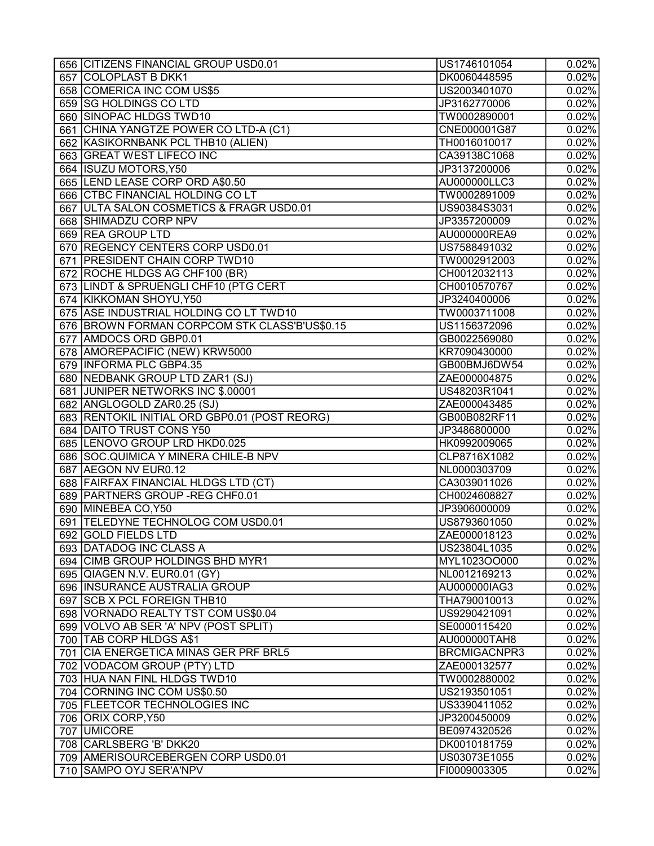| 656 CITIZENS FINANCIAL GROUP USD0.01          | US1746101054        | 0.02%               |
|-----------------------------------------------|---------------------|---------------------|
| 657 COLOPLAST B DKK1                          | DK0060448595        | 0.02%               |
| 658 COMERICA INC COM US\$5                    | US2003401070        | 0.02%               |
| 659 SG HOLDINGS CO LTD                        | JP3162770006        | 0.02%               |
| 660 SINOPAC HLDGS TWD10                       | TW0002890001        | 0.02%               |
| 661 CHINA YANGTZE POWER CO LTD-A (C1)         | CNE000001G87        | 0.02%               |
| 662 KASIKORNBANK PCL THB10 (ALIEN)            | TH0016010017        | 0.02%               |
| 663 GREAT WEST LIFECO INC                     | CA39138C1068        | 0.02%               |
| 664 ISUZU MOTORS, Y50                         | JP3137200006        | 0.02%               |
| 665 LEND LEASE CORP ORD A\$0.50               | AU000000LLC3        | 0.02%               |
| 666 CTBC FINANCIAL HOLDING COLT               | TW0002891009        | 0.02%               |
| 667 ULTA SALON COSMETICS & FRAGR USD0.01      | US90384S3031        | $\overline{0.02\%}$ |
| 668 SHIMADZU CORP NPV                         | JP3357200009        | 0.02%               |
| 669 REA GROUP LTD                             | AU000000REA9        | 0.02%               |
| 670 REGENCY CENTERS CORP USD0.01              | US7588491032        | 0.02%               |
| 671 PRESIDENT CHAIN CORP TWD10                |                     |                     |
|                                               | TW0002912003        | 0.02%               |
| 672 ROCHE HLDGS AG CHF100 (BR)                | CH0012032113        | 0.02%               |
| 673 LINDT & SPRUENGLI CHF10 (PTG CERT         | CH0010570767        | 0.02%               |
| 674 KIKKOMAN SHOYU, Y50                       | JP3240400006        | 0.02%               |
| 675 ASE INDUSTRIAL HOLDING CO LT TWD10        | TW0003711008        | 0.02%               |
| 676 BROWN FORMAN CORPCOM STK CLASS'B'US\$0.15 | US1156372096        | 0.02%               |
| 677 AMDOCS ORD GBP0.01                        | GB0022569080        | 0.02%               |
| 678 AMOREPACIFIC (NEW) KRW5000                | KR7090430000        | 0.02%               |
| 679 INFORMA PLC GBP4.35                       | GB00BMJ6DW54        | 0.02%               |
| 680 NEDBANK GROUP LTD ZAR1 (SJ)               | ZAE000004875        | 0.02%               |
| 681 JUNIPER NETWORKS INC \$.00001             | US48203R1041        | 0.02%               |
| 682 ANGLOGOLD ZAR0.25 (SJ)                    | ZAE000043485        | 0.02%               |
| 683 RENTOKIL INITIAL ORD GBP0.01 (POST REORG) | GB00B082RF11        | 0.02%               |
| 684 DAITO TRUST CONS Y50                      | JP3486800000        | 0.02%               |
| 685  LENOVO GROUP LRD HKD0.025                | HK0992009065        | 0.02%               |
| 686 SOC.QUIMICA Y MINERA CHILE-B NPV          | CLP8716X1082        | 0.02%               |
| 687 AEGON NV EUR0.12                          | NL0000303709        | 0.02%               |
| 688 FAIRFAX FINANCIAL HLDGS LTD (CT)          | CA3039011026        | 0.02%               |
| 689 PARTNERS GROUP - REG CHF0.01              | CH0024608827        | 0.02%               |
| 690 MINEBEA CO, Y50                           | JP3906000009        | 0.02%               |
| 691 TELEDYNE TECHNOLOG COM USD0.01            | US8793601050        | 0.02%               |
| 692 GOLD FIELDS LTD                           | ZAE000018123        | 0.02%               |
| 693 DATADOG INC CLASS A                       | US23804L1035        | 0.02%               |
| 694 CIMB GROUP HOLDINGS BHD MYR1              | MYL1023OO000        | 0.02%               |
| 695 QIAGEN N.V. EUR0.01 (GY)                  | NL0012169213        | 0.02%               |
| 696 INSURANCE AUSTRALIA GROUP                 | AU000000IAG3        | 0.02%               |
| 697 SCB X PCL FOREIGN THB10                   | THA790010013        | 0.02%               |
| 698   VORNADO REALTY TST COM US\$0.04         | US9290421091        | 0.02%               |
| 699 VOLVO AB SER 'A' NPV (POST SPLIT)         | SE0000115420        | 0.02%               |
| 700   TAB CORP HLDGS A\$1                     | AU000000TAH8        | 0.02%               |
| 701 CIA ENERGETICA MINAS GER PRF BRL5         | <b>BRCMIGACNPR3</b> | 0.02%               |
| 702 VODACOM GROUP (PTY) LTD                   | ZAE000132577        | 0.02%               |
| 703 HUA NAN FINL HLDGS TWD10                  | TW0002880002        | 0.02%               |
| 704 CORNING INC COM US\$0.50                  | US2193501051        | 0.02%               |
| 705 FLEETCOR TECHNOLOGIES INC                 | US3390411052        | 0.02%               |
| 706 ORIX CORP, Y50                            | JP3200450009        | 0.02%               |
| 707   UMICORE                                 | BE0974320526        | 0.02%               |
| 708 CARLSBERG 'B' DKK20                       | DK0010181759        | 0.02%               |
| 709   AMERISOURCEBERGEN CORP USD0.01          | US03073E1055        | 0.02%               |
| 710 SAMPO OYJ SER'A'NPV                       | FI0009003305        | $\overline{0.02\%}$ |
|                                               |                     |                     |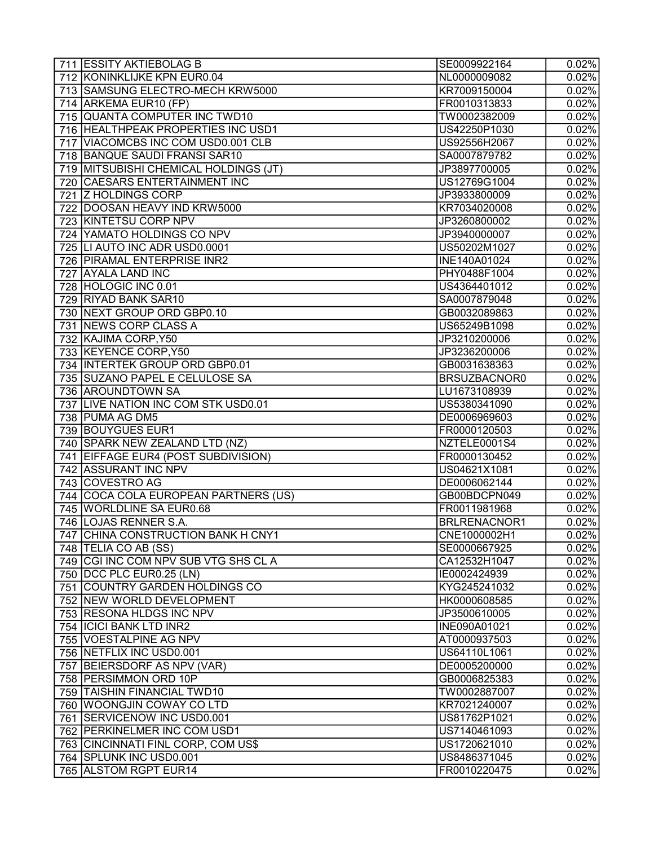| 711 ESSITY AKTIEBOLAG B                                | SE0009922164                 | 0.02%               |
|--------------------------------------------------------|------------------------------|---------------------|
| 712 KONINKLIJKE KPN EUR0.04                            | NL0000009082                 | 0.02%               |
| 713 SAMSUNG ELECTRO-MECH KRW5000                       | KR7009150004                 | 0.02%               |
| 714 ARKEMA EUR10 (FP)                                  | FR0010313833                 | 0.02%               |
| 715 QUANTA COMPUTER INC TWD10                          | TW0002382009                 | 0.02%               |
| 716 HEALTHPEAK PROPERTIES INC USD1                     | US42250P1030                 | 0.02%               |
| 717 VIACOMCBS INC COM USD0.001 CLB                     | US92556H2067                 | 0.02%               |
| 718 BANQUE SAUDI FRANSI SAR10                          | SA0007879782                 | 0.02%               |
| 719 MITSUBISHI CHEMICAL HOLDINGS (JT)                  | JP3897700005                 | 0.02%               |
| 720 CAESARS ENTERTAINMENT INC                          | US12769G1004                 | 0.02%               |
| 721 Z HOLDINGS CORP                                    | JP3933800009                 | 0.02%               |
| 722 DOOSAN HEAVY IND KRW5000                           | KR7034020008                 | 0.02%               |
| 723 KINTETSU CORP NPV                                  | JP3260800002                 | 0.02%               |
| 724 YAMATO HOLDINGS CO NPV                             | JP3940000007                 | 0.02%               |
| 725 LI AUTO INC ADR USD0.0001                          | US50202M1027                 | 0.02%               |
| 726 PIRAMAL ENTERPRISE INR2                            | INE140A01024                 | 0.02%               |
| 727 AYALA LAND INC                                     | PHY0488F1004                 | 0.02%               |
| 728 HOLOGIC INC 0.01                                   | US4364401012                 | 0.02%               |
| 729 RIYAD BANK SAR10                                   | SA0007879048                 | 0.02%               |
| 730 NEXT GROUP ORD GBP0.10                             | GB0032089863                 | 0.02%               |
| 731 NEWS CORP CLASS A                                  | US65249B1098                 | 0.02%               |
| 732 KAJIMA CORP, Y50                                   | JP3210200006                 | 0.02%               |
| 733 KEYENCE CORP, Y50                                  | JP3236200006                 | 0.02%               |
| 734 INTERTEK GROUP ORD GBP0.01                         | GB0031638363                 | 0.02%               |
| 735 SUZANO PAPEL E CELULOSE SA                         | BRSUZBACNOR0                 | 0.02%               |
| 736 AROUNDTOWN SA                                      |                              | $\overline{0.02\%}$ |
|                                                        | LU1673108939                 |                     |
| 737 LIVE NATION INC COM STK USD0.01<br>738 PUMA AG DM5 | US5380341090                 | 0.02%               |
| 739 BOUYGUES EUR1                                      | DE0006969603                 | 0.02%               |
| 740 SPARK NEW ZEALAND LTD (NZ)                         | FR0000120503<br>NZTELE0001S4 | 0.02%<br>0.02%      |
|                                                        |                              |                     |
| 741 EIFFAGE EUR4 (POST SUBDIVISION)                    | FR0000130452                 | 0.02%               |
| 742 ASSURANT INC NPV                                   | US04621X1081                 | 0.02%               |
| 743 COVESTRO AG                                        | DE0006062144                 | 0.02%               |
| 744 COCA COLA EUROPEAN PARTNERS (US)                   | GB00BDCPN049                 | 0.02%               |
| 745   WORLDLINE SA EUR0.68                             | FR0011981968                 | 0.02%               |
| 746 LOJAS RENNER S.A.                                  | BRLRENACNOR1                 | 0.02%               |
| 747 CHINA CONSTRUCTION BANK H CNY1                     | CNE1000002H1                 | 0.02%               |
| 748   TELIA CO AB (SS)                                 | SE0000667925                 | 0.02%               |
| 749 CGI INC COM NPV SUB VTG SHS CL A                   | CA12532H1047                 | 0.02%               |
| 750 DCC PLC EUR0.25 (LN)                               | IE0002424939                 | 0.02%               |
| 751 COUNTRY GARDEN HOLDINGS CO                         | KYG245241032                 | 0.02%               |
| 752 NEW WORLD DEVELOPMENT                              | HK0000608585                 | 0.02%               |
| 753 RESONA HLDGS INC NPV                               | JP3500610005                 | 0.02%               |
| 754   ICICI BANK LTD INR2                              | INE090A01021                 | 0.02%               |
| 755 VOESTALPINE AG NPV                                 | AT0000937503                 | 0.02%               |
| 756 NETFLIX INC USD0.001                               | US64110L1061                 | 0.02%               |
| 757 BEIERSDORF AS NPV (VAR)                            | DE0005200000                 | 0.02%               |
| 758 PERSIMMON ORD 10P                                  | GB0006825383                 | 0.02%               |
| 759   TAISHIN FINANCIAL TWD10                          | TW0002887007                 | 0.02%               |
| 760   WOONGJIN COWAY CO LTD                            | KR7021240007                 | 0.02%               |
| 761  SERVICENOW INC USD0.001                           | US81762P1021                 | 0.02%               |
| 762   PERKINELMER INC COM USD1                         | US7140461093                 | 0.02%               |
| 763 CINCINNATI FINL CORP, COM US\$                     | US1720621010                 | 0.02%               |
| 764 SPLUNK INC USD0.001                                | US8486371045                 | 0.02%               |
| 765 ALSTOM RGPT EUR14                                  | FR0010220475                 | 0.02%               |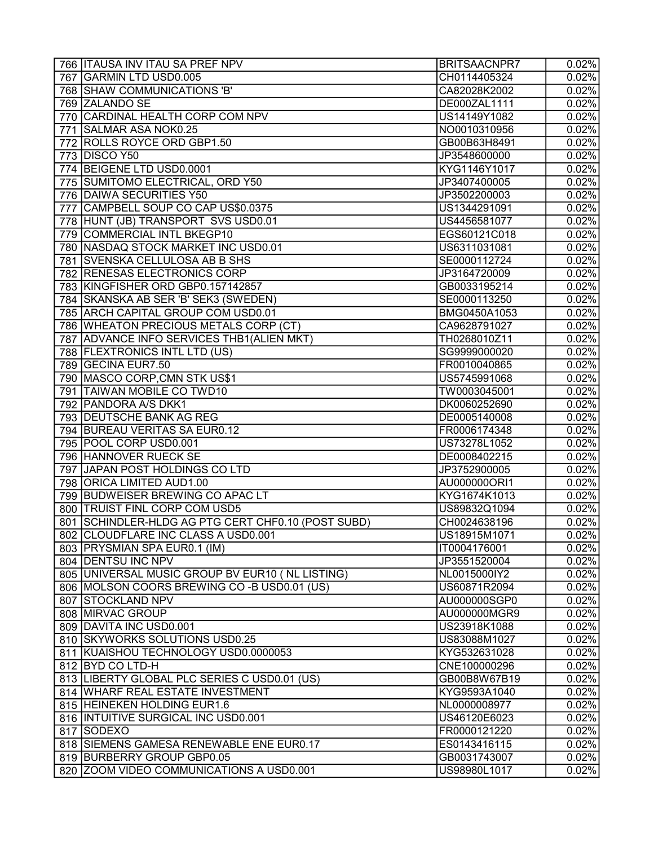|     | 766   ITAUSA INV ITAU SA PREF NPV                                                     | <b>BRITSAACNPR7</b> | 0.02%               |
|-----|---------------------------------------------------------------------------------------|---------------------|---------------------|
|     | 767 GARMIN LTD USD0.005                                                               | CH0114405324        | $\overline{0.02\%}$ |
|     | 768   SHAW COMMUNICATIONS 'B'                                                         | CA82028K2002        | 0.02%               |
|     | 769 ZALANDO SE                                                                        | DE000ZAL1111        | 0.02%               |
| 770 | CARDINAL HEALTH CORP COM NPV                                                          | US14149Y1082        | 0.02%               |
|     | 771 SALMAR ASA NOK0.25                                                                | NO0010310956        | 0.02%               |
|     | 772 ROLLS ROYCE ORD GBP1.50                                                           | GB00B63H8491        | 0.02%               |
|     | 773 DISCO Y50                                                                         | JP3548600000        | 0.02%               |
|     | 774 BEIGENE LTD USD0.0001                                                             | KYG1146Y1017        | 0.02%               |
|     | 775 SUMITOMO ELECTRICAL, ORD Y50                                                      | JP3407400005        | 0.02%               |
|     | 776 DAIWA SECURITIES Y50                                                              | JP3502200003        | 0.02%               |
| 777 | CAMPBELL SOUP CO CAP US\$0.0375                                                       | US1344291091        | $\overline{0.02\%}$ |
|     | 778 HUNT (JB) TRANSPORT SVS USD0.01                                                   | US4456581077        | $\overline{0.02\%}$ |
|     | 779 COMMERCIAL INTL BKEGP10                                                           | EGS60121C018        | $\overline{0.02\%}$ |
|     | 780   NASDAQ STOCK MARKET INC USD0.01                                                 | US6311031081        | 0.02%               |
|     | 781 SVENSKA CELLULOSA AB B SHS                                                        | SE0000112724        | 0.02%               |
|     | 782 RENESAS ELECTRONICS CORP                                                          | JP3164720009        | 0.02%               |
|     | 783 KINGFISHER ORD GBP0.157142857                                                     | GB0033195214        | 0.02%               |
|     | 784 SKANSKA AB SER 'B' SEK3 (SWEDEN)                                                  | SE0000113250        | 0.02%               |
|     | 785 ARCH CAPITAL GROUP COM USD0.01                                                    | BMG0450A1053        | 0.02%               |
|     | 786 WHEATON PRECIOUS METALS CORP (CT)                                                 | CA9628791027        | 0.02%               |
|     | 787 ADVANCE INFO SERVICES THB1 (ALIEN MKT)                                            | TH0268010Z11        | 0.02%               |
|     | 788 FLEXTRONICS INTL LTD (US)                                                         | SG9999000020        | 0.02%               |
|     | 789 GECINA EUR7.50                                                                    | FR0010040865        | 0.02%               |
|     | 790 MASCO CORP, CMN STK US\$1                                                         | US5745991068        | $\overline{0.02\%}$ |
|     | 791 TAIWAN MOBILE CO TWD10                                                            | TW0003045001        | $\overline{0.02\%}$ |
|     | 792 PANDORA A/S DKK1                                                                  | DK0060252690        | 0.02%               |
|     | 793   DEUTSCHE BANK AG REG                                                            | DE0005140008        | 0.02%               |
|     | 794 BUREAU VERITAS SA EUR0.12                                                         | FR0006174348        | 0.02%               |
|     | 795 POOL CORP USD0.001                                                                | US73278L1052        | 0.02%               |
|     | 796 HANNOVER RUECK SE                                                                 | DE0008402215        | 0.02%               |
|     | 797 JAPAN POST HOLDINGS CO LTD                                                        | JP3752900005        | 0.02%               |
|     | 798 ORICA LIMITED AUD1.00                                                             | AU000000ORI1        | 0.02%               |
|     | 799 BUDWEISER BREWING CO APAC LT                                                      | KYG1674K1013        | 0.02%               |
|     |                                                                                       | US89832Q1094        | 0.02%               |
|     | 800 TRUIST FINL CORP COM USD5<br>801   SCHINDLER-HLDG AG PTG CERT CHF0.10 (POST SUBD) | CH0024638196        | 0.02%               |
|     |                                                                                       | US18915M1071        |                     |
|     | 802 CLOUDFLARE INC CLASS A USD0.001                                                   |                     | 0.02%               |
|     | 803 PRYSMIAN SPA EUR0.1 (IM)                                                          | IT0004176001        | 0.02%               |
|     | 804 DENTSU INC NPV                                                                    | JP3551520004        | 0.02%               |
|     | 805 UNIVERSAL MUSIC GROUP BV EUR10 (NL LISTING)                                       | NL0015000IY2        | 0.02%               |
|     | 806 MOLSON COORS BREWING CO-B USD0.01 (US)                                            | US60871R2094        | 0.02%               |
|     | 807 STOCKLAND NPV                                                                     | AU000000SGP0        | 0.02%               |
|     | 808 MIRVAC GROUP                                                                      | AU000000MGR9        | 0.02%               |
|     | 809 DAVITA INC USD0.001                                                               | US23918K1088        | 0.02%               |
|     | 810 SKYWORKS SOLUTIONS USD0.25                                                        | US83088M1027        | 0.02%               |
|     | 811 KUAISHOU TECHNOLOGY USD0.0000053                                                  | KYG532631028        | 0.02%               |
|     | 812 BYD CO LTD-H                                                                      | CNE100000296        | 0.02%               |
|     | 813 LIBERTY GLOBAL PLC SERIES C USD0.01 (US)                                          | GB00B8W67B19        | 0.02%               |
|     | 814 WHARF REAL ESTATE INVESTMENT                                                      | KYG9593A1040        | 0.02%               |
|     | 815 HEINEKEN HOLDING EUR1.6                                                           | NL0000008977        | 0.02%               |
|     | 816 INTUITIVE SURGICAL INC USD0.001                                                   | US46120E6023        | 0.02%               |
|     | 817 SODEXO                                                                            | FR0000121220        | 0.02%               |
|     | 818 SIEMENS GAMESA RENEWABLE ENE EUR0.17                                              | ES0143416115        | 0.02%               |
|     | 819 BURBERRY GROUP GBP0.05                                                            | GB0031743007        | 0.02%               |
|     | 820 ZOOM VIDEO COMMUNICATIONS A USD0.001                                              | US98980L1017        | 0.02%               |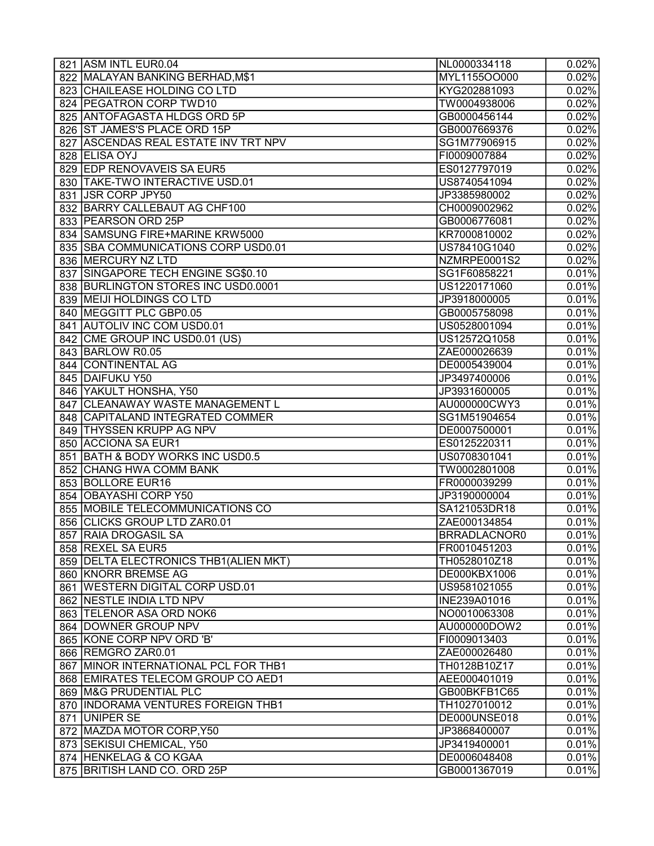| 821 ASM INTL EUR0.04                                   | NL0000334118        | 0.02%    |
|--------------------------------------------------------|---------------------|----------|
| 822 MALAYAN BANKING BERHAD, M\$1                       | MYL1155OO000        | 0.02%    |
| 823 CHAILEASE HOLDING CO LTD                           | KYG202881093        | 0.02%    |
| 824   PEGATRON CORP TWD10                              | TW0004938006        | 0.02%    |
| 825 ANTOFAGASTA HLDGS ORD 5P                           | GB0000456144        | 0.02%    |
| 826 ST JAMES'S PLACE ORD 15P                           | GB0007669376        | 0.02%    |
| 827 ASCENDAS REAL ESTATE INV TRT NPV                   | SG1M77906915        | 0.02%    |
| 828 ELISA OYJ                                          | FI0009007884        | 0.02%    |
| 829 EDP RENOVAVEIS SA EUR5                             | ES0127797019        | 0.02%    |
| 830   TAKE-TWO INTERACTIVE USD.01                      | US8740541094        | 0.02%    |
| 831 JSR CORP JPY50                                     | JP3385980002        | 0.02%    |
| 832 BARRY CALLEBAUT AG CHF100                          | CH0009002962        | 0.02%    |
| 833   PEARSON ORD 25P                                  | GB0006776081        | 0.02%    |
| 834 SAMSUNG FIRE+MARINE KRW5000                        | KR7000810002        | 0.02%    |
| 835 SBA COMMUNICATIONS CORP USD0.01                    | US78410G1040        | 0.02%    |
| 836 MERCURY NZ LTD                                     | NZMRPE0001S2        | 0.02%    |
| 837 SINGAPORE TECH ENGINE SG\$0.10                     | SG1F60858221        | 0.01%    |
| 838 BURLINGTON STORES INC USD0.0001                    | US1220171060        | 0.01%    |
| 839 MEIJI HOLDINGS CO LTD                              | JP3918000005        | 0.01%    |
| 840 MEGGITT PLC GBP0.05                                | GB0005758098        | 0.01%    |
| 841 AUTOLIV INC COM USD0.01                            | US0528001094        | 0.01%    |
| 842 CME GROUP INC USD0.01 (US)                         | US12572Q1058        | 0.01%    |
| 843 BARLOW R0.05                                       | ZAE000026639        | 0.01%    |
| 844 CONTINENTAL AG                                     | DE0005439004        | 0.01%    |
| 845 DAIFUKU Y50                                        | JP3497400006        | 0.01%    |
| 846 YAKULT HONSHA, Y50                                 | JP3931600005        | 0.01%    |
| 847 CLEANAWAY WASTE MANAGEMENT L                       | AU000000CWY3        | 0.01%    |
| 848 CAPITALAND INTEGRATED COMMER                       | SG1M51904654        | 0.01%    |
| 849   THYSSEN KRUPP AG NPV                             | DE0007500001        | 0.01%    |
| 850 ACCIONA SA EUR1                                    | ES0125220311        | 0.01%    |
| 851 BATH & BODY WORKS INC USD0.5                       | US0708301041        | 0.01%    |
| 852 CHANG HWA COMM BANK                                | TW0002801008        | 0.01%    |
| 853 BOLLORE EUR16                                      | FR0000039299        | 0.01%    |
| 854 OBAYASHI CORP Y50                                  | JP3190000004        | 0.01%    |
| 855   MOBILE TELECOMMUNICATIONS CO                     | SA121053DR18        | 0.01%    |
| 856 CLICKS GROUP LTD ZAR0.01                           | ZAE000134854        | 0.01%    |
| 857 RAIA DROGASIL SA                                   | <b>BRRADLACNOR0</b> | $0.01\%$ |
| 858 REXEL SA EUR5                                      | FR0010451203        | 0.01%    |
| 859 DELTA ELECTRONICS THB1 (ALIEN MKT)                 | TH0528010Z18        | 0.01%    |
| 860 KNORR BREMSE AG                                    | DE000KBX1006        | 0.01%    |
| 861 WESTERN DIGITAL CORP USD.01                        | US9581021055        | 0.01%    |
| 862 NESTLE INDIA LTD NPV                               | INE239A01016        | 0.01%    |
| 863 TELENOR ASA ORD NOK6                               | NO0010063308        | 0.01%    |
| 864 DOWNER GROUP NPV                                   | AU000000DOW2        | 0.01%    |
| 865 KONE CORP NPV ORD 'B'                              | FI0009013403        | 0.01%    |
| 866 REMGRO ZAR0.01                                     | ZAE000026480        | 0.01%    |
| 867 MINOR INTERNATIONAL PCL FOR THB1                   | TH0128B10Z17        | 0.01%    |
| 868 EMIRATES TELECOM GROUP CO AED1                     | AEE000401019        | 0.01%    |
| 869   M&G PRUDENTIAL PLC                               | GB00BKFB1C65        | 0.01%    |
| 870   INDORAMA VENTURES FOREIGN THB1                   | TH1027010012        | 0.01%    |
| 871 UNIPER SE                                          | DE000UNSE018        | 0.01%    |
|                                                        | JP3868400007        | 0.01%    |
| 872 MAZDA MOTOR CORP, Y50<br>873 SEKISUI CHEMICAL, Y50 | JP3419400001        | 0.01%    |
|                                                        | DE0006048408        |          |
| 874 HENKELAG & CO KGAA                                 |                     | 0.01%    |
| 875 BRITISH LAND CO. ORD 25P                           | GB0001367019        | 0.01%    |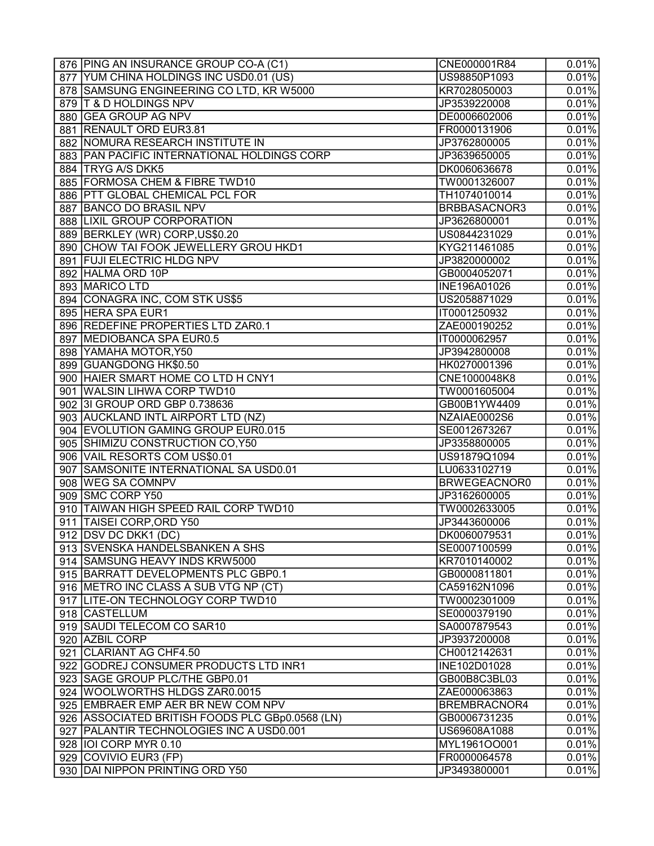| 876 PING AN INSURANCE GROUP CO-A (C1)                         | CNE000001R84        | 0.01%          |
|---------------------------------------------------------------|---------------------|----------------|
| 877 YUM CHINA HOLDINGS INC USD0.01 (US)                       | US98850P1093        | 0.01%          |
| 878 SAMSUNG ENGINEERING CO LTD, KR W5000                      | KR7028050003        | 0.01%          |
| 879 T & D HOLDINGS NPV                                        | JP3539220008        | 0.01%          |
| 880 GEA GROUP AG NPV                                          | DE0006602006        | 0.01%          |
| 881 RENAULT ORD EUR3.81                                       | FR0000131906        | 0.01%          |
| 882 NOMURA RESEARCH INSTITUTE IN                              | JP3762800005        | 0.01%          |
| 883 PAN PACIFIC INTERNATIONAL HOLDINGS CORP                   | JP3639650005        | 0.01%          |
| 884   TRYG A/S DKK5                                           | DK0060636678        | 0.01%          |
| 885 FORMOSA CHEM & FIBRE TWD10                                | TW0001326007        | 0.01%          |
| 886 PTT GLOBAL CHEMICAL PCL FOR                               | TH1074010014        | 0.01%          |
| 887 BANCO DO BRASIL NPV                                       | <b>BRBBASACNOR3</b> | 0.01%          |
| 888 LIXIL GROUP CORPORATION                                   | JP3626800001        | 0.01%          |
| 889 BERKLEY (WR) CORP, US\$0.20                               | US0844231029        | 0.01%          |
| 890 CHOW TAI FOOK JEWELLERY GROU HKD1                         | KYG211461085        | 0.01%          |
| 891 FUJI ELECTRIC HLDG NPV                                    | JP3820000002        | 0.01%          |
| 892 HALMA ORD 10P                                             | GB0004052071        | 0.01%          |
| 893 MARICO LTD                                                | INE196A01026        | 0.01%          |
| 894 CONAGRA INC, COM STK US\$5                                | US2058871029        | 0.01%          |
| 895 HERA SPA EUR1                                             | IT0001250932        | 0.01%          |
| 896 REDEFINE PROPERTIES LTD ZAR0.1                            | ZAE000190252        | 0.01%          |
| 897 MEDIOBANCA SPA EUR0.5                                     | IT0000062957        | 0.01%          |
| 898 YAMAHA MOTOR, Y50                                         | JP3942800008        | 0.01%          |
| 899 GUANGDONG HK\$0.50                                        | HK0270001396        | 0.01%          |
| 900 HAIER SMART HOME CO LTD H CNY1                            | CNE1000048K8        | 0.01%          |
| 901 WALSIN LIHWA CORP TWD10                                   | TW0001605004        | 0.01%          |
| 902 3I GROUP ORD GBP 0.738636                                 | GB00B1YW4409        | 0.01%          |
| 903 AUCKLAND INTL AIRPORT LTD (NZ)                            | NZAIAE0002S6        | 0.01%          |
| 904 EVOLUTION GAMING GROUP EUR0.015                           | SE0012673267        | 0.01%          |
| 905 SHIMIZU CONSTRUCTION CO, Y50                              | JP3358800005        | 0.01%          |
| 906 VAIL RESORTS COM US\$0.01                                 | US91879Q1094        |                |
|                                                               |                     | 0.01%          |
| 907   SAMSONITE INTERNATIONAL SA USD0.01<br>908 WEG SA COMNPV | LU0633102719        | 0.01%<br>0.01% |
|                                                               | BRWEGEACNOR0        |                |
| 909 SMC CORP Y50                                              | JP3162600005        | 0.01%          |
| 910  TAIWAN HIGH SPEED RAIL CORP TWD10                        | TW0002633005        | 0.01%          |
| 911 TAISEI CORP, ORD Y50                                      | JP3443600006        | 0.01%          |
| 912 DSV DC DKK1 (DC)                                          | DK0060079531        | 0.01%          |
| 913 SVENSKA HANDELSBANKEN A SHS                               | SE0007100599        | 0.01%          |
| 914 SAMSUNG HEAVY INDS KRW5000                                | KR7010140002        | 0.01%          |
| 915 BARRATT DEVELOPMENTS PLC GBP0.1                           | GB0000811801        | 0.01%          |
| 916 METRO INC CLASS A SUB VTG NP (CT)                         | CA59162N1096        | 0.01%          |
| 917 LITE-ON TECHNOLOGY CORP TWD10                             | TW0002301009        | 0.01%          |
| 918 CASTELLUM                                                 | SE0000379190        | 0.01%          |
| 919 SAUDI TELECOM CO SAR10                                    | SA0007879543        | 0.01%          |
| 920 AZBIL CORP                                                | JP3937200008        | 0.01%          |
| 921 CLARIANT AG CHF4.50                                       | CH0012142631        | 0.01%          |
| 922 GODREJ CONSUMER PRODUCTS LTD INR1                         | INE102D01028        | 0.01%          |
| 923 SAGE GROUP PLC/THE GBP0.01                                | GB00B8C3BL03        | 0.01%          |
| 924 WOOLWORTHS HLDGS ZAR0.0015                                | ZAE000063863        | 0.01%          |
| 925 EMBRAER EMP AER BR NEW COM NPV                            | <b>BREMBRACNOR4</b> | 0.01%          |
| 926   ASSOCIATED BRITISH FOODS PLC GBp0.0568 (LN)             | GB0006731235        | 0.01%          |
| 927   PALANTIR TECHNOLOGIES INC A USD0.001                    | US69608A1088        | 0.01%          |
| 928  IOI CORP MYR 0.10                                        | MYL1961OO001        | 0.01%          |
| 929 COVIVIO EUR3 (FP)                                         | FR0000064578        | 0.01%          |
| 930 DAI NIPPON PRINTING ORD Y50                               | JP3493800001        | 0.01%          |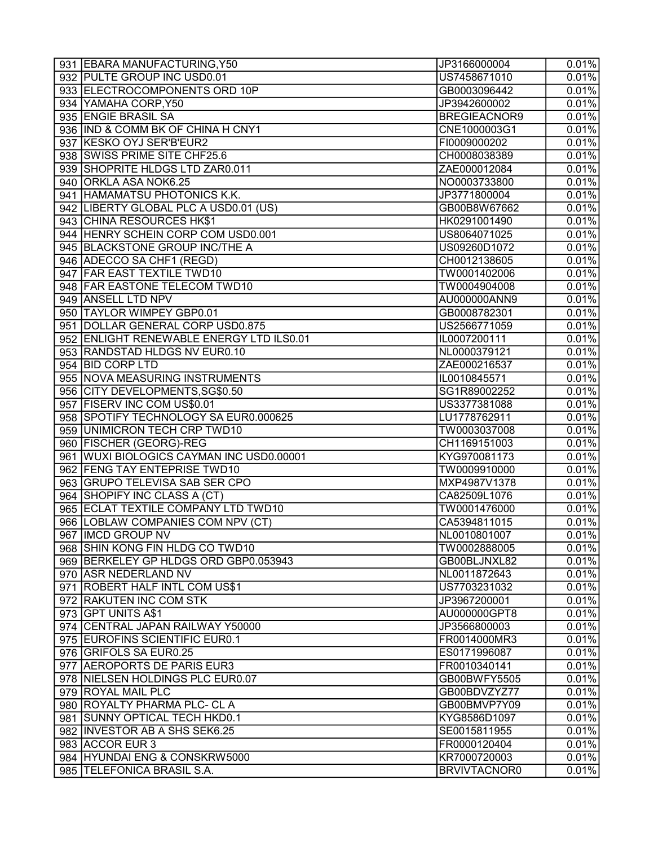| 931 EBARA MANUFACTURING, Y50             | JP3166000004        | 0.01%               |
|------------------------------------------|---------------------|---------------------|
| 932 PULTE GROUP INC USD0.01              | US7458671010        | 0.01%               |
| 933 ELECTROCOMPONENTS ORD 10P            | GB0003096442        | 0.01%               |
| 934 YAMAHA CORP, Y50                     | JP3942600002        | 0.01%               |
| 935 ENGIE BRASIL SA                      | <b>BREGIEACNOR9</b> | 0.01%               |
| 936 IND & COMM BK OF CHINA H CNY1        | CNE1000003G1        | 0.01%               |
| 937 KESKO OYJ SER'B'EUR2                 | FI0009000202        | 0.01%               |
| 938 SWISS PRIME SITE CHF25.6             | CH0008038389        | 0.01%               |
| 939 SHOPRITE HLDGS LTD ZAR0.011          | ZAE000012084        | 0.01%               |
| 940 ORKLA ASA NOK6.25                    | NO0003733800        | 0.01%               |
| 941 HAMAMATSU PHOTONICS K.K.             | JP3771800004        | 0.01%               |
| 942 LIBERTY GLOBAL PLC A USD0.01 (US)    | GB00B8W67662        | 0.01%               |
| 943 CHINA RESOURCES HK\$1                | HK0291001490        | $\overline{0.01\%}$ |
| 944 HENRY SCHEIN CORP COM USD0.001       | US8064071025        | 0.01%               |
| 945 BLACKSTONE GROUP INC/THE A           | US09260D1072        | 0.01%               |
| 946 ADECCO SA CHF1 (REGD)                | CH0012138605        | 0.01%               |
| 947 FAR EAST TEXTILE TWD10               | TW0001402006        | 0.01%               |
| 948 FAR EASTONE TELECOM TWD10            | TW0004904008        | 0.01%               |
| 949 ANSELL LTD NPV                       | AU000000ANN9        | 0.01%               |
| 950 TAYLOR WIMPEY GBP0.01                | GB0008782301        | 0.01%               |
| 951 DOLLAR GENERAL CORP USD0.875         | US2566771059        | 0.01%               |
| 952 ENLIGHT RENEWABLE ENERGY LTD ILS0.01 | IL0007200111        | 0.01%               |
| 953 RANDSTAD HLDGS NV EUR0.10            | NL0000379121        | 0.01%               |
| 954 BID CORP LTD                         | ZAE000216537        | 0.01%               |
| 955 NOVA MEASURING INSTRUMENTS           | IL0010845571        | 0.01%               |
| 956 CITY DEVELOPMENTS, SG\$0.50          | SG1R89002252        | 0.01%               |
| 957 FISERV INC COM US\$0.01              | US3377381088        | 0.01%               |
| 958 SPOTIFY TECHNOLOGY SA EUR0.000625    | LU1778762911        | 0.01%               |
| 959 UNIMICRON TECH CRP TWD10             | TW0003037008        | 0.01%               |
| 960 FISCHER (GEORG)-REG                  | CH1169151003        | 0.01%               |
| 961 WUXI BIOLOGICS CAYMAN INC USD0.00001 | KYG970081173        | 0.01%               |
| 962 FENG TAY ENTEPRISE TWD10             | TW0009910000        | 0.01%               |
| 963 GRUPO TELEVISA SAB SER CPO           | MXP4987V1378        | 0.01%               |
| 964 SHOPIFY INC CLASS A (CT)             | CA82509L1076        | 0.01%               |
| 965 ECLAT TEXTILE COMPANY LTD TWD10      | TW0001476000        | 0.01%               |
| 966   LOBLAW COMPANIES COM NPV (CT)      | CA5394811015        | 0.01%               |
| 967 IMCD GROUP NV                        | NL0010801007        | 0.01%               |
| 968 SHIN KONG FIN HLDG CO TWD10          | TW0002888005        | 0.01%               |
| 969 BERKELEY GP HLDGS ORD GBP0.053943    | GB00BLJNXL82        | 0.01%               |
| 970 ASR NEDERLAND NV                     | NL0011872643        | 0.01%               |
| 971 ROBERT HALF INTL COM US\$1           | US7703231032        | 0.01%               |
| 972 RAKUTEN INC COM STK                  | JP3967200001        | 0.01%               |
| 973 GPT UNITS A\$1                       | AU000000GPT8        | 0.01%               |
| 974 CENTRAL JAPAN RAILWAY Y50000         | JP3566800003        | 0.01%               |
| 975 EUROFINS SCIENTIFIC EUR0.1           | FR0014000MR3        | 0.01%               |
| 976 GRIFOLS SA EUR0.25                   | ES0171996087        | 0.01%               |
| 977 AEROPORTS DE PARIS EUR3              | FR0010340141        | 0.01%               |
| 978 NIELSEN HOLDINGS PLC EUR0.07         | GB00BWFY5505        | 0.01%               |
| 979 ROYAL MAIL PLC                       | GB00BDVZYZ77        | 0.01%               |
| 980 ROYALTY PHARMA PLC- CL A             | GB00BMVP7Y09        | 0.01%               |
| 981 SUNNY OPTICAL TECH HKD0.1            | KYG8586D1097        | 0.01%               |
| 982 INVESTOR AB A SHS SEK6.25            | SE0015811955        | 0.01%               |
| 983 ACCOR EUR 3                          | FR0000120404        | 0.01%               |
| 984 HYUNDAI ENG & CONSKRW5000            | KR7000720003        | 0.01%               |
| 985 TELEFONICA BRASIL S.A.               | <b>BRVIVTACNOR0</b> | 0.01%               |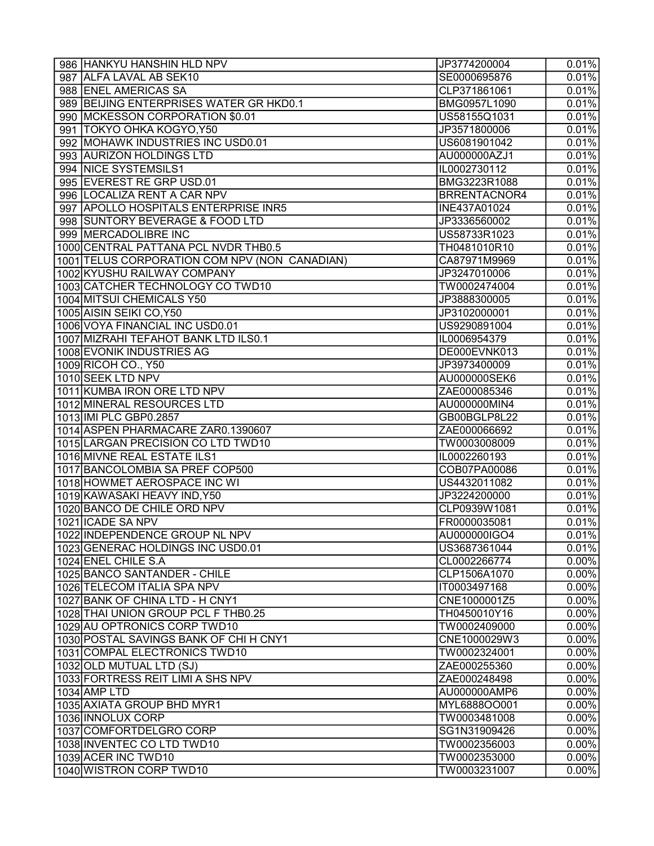| 986 HANKYU HANSHIN HLD NPV                    | JP3774200004        | 0.01%               |
|-----------------------------------------------|---------------------|---------------------|
| 987 ALFA LAVAL AB SEK10                       | SE0000695876        | $\overline{0.01\%}$ |
| 988 ENEL AMERICAS SA                          | CLP371861061        | 0.01%               |
| 989 BEIJING ENTERPRISES WATER GR HKD0.1       | BMG0957L1090        | 0.01%               |
| 990   MCKESSON CORPORATION \$0.01             | US58155Q1031        | 0.01%               |
| 991   TOKYO OHKA KOGYO, Y50                   | JP3571800006        | 0.01%               |
| 992 MOHAWK INDUSTRIES INC USD0.01             | US6081901042        | 0.01%               |
| 993 AURIZON HOLDINGS LTD                      | AU000000AZJ1        | 0.01%               |
| 994 NICE SYSTEMSILS1                          | IL0002730112        | 0.01%               |
| 995 EVEREST RE GRP USD.01                     | BMG3223R1088        | $\overline{0.01\%}$ |
| 996 LOCALIZA RENT A CAR NPV                   | <b>BRRENTACNOR4</b> | 0.01%               |
| 997 APOLLO HOSPITALS ENTERPRISE INR5          | INE437A01024        | 0.01%               |
| 998 SUNTORY BEVERAGE & FOOD LTD               | JP3336560002        | 0.01%               |
| 999 MERCADOLIBRE INC                          | US58733R1023        | 0.01%               |
| 1000 CENTRAL PATTANA PCL NVDR THB0.5          | TH0481010R10        | 0.01%               |
| 1001 TELUS CORPORATION COM NPV (NON CANADIAN) | CA87971M9969        | 0.01%               |
| 1002 KYUSHU RAILWAY COMPANY                   | JP3247010006        | 0.01%               |
| 1003 CATCHER TECHNOLOGY CO TWD10              | TW0002474004        | 0.01%               |
| 1004 MITSUI CHEMICALS Y50                     | JP3888300005        | 0.01%               |
| 1005 AISIN SEIKI CO, Y50                      | JP3102000001        | 0.01%               |
| 1006 VOYA FINANCIAL INC USD0.01               | US9290891004        | 0.01%               |
| 1007 MIZRAHI TEFAHOT BANK LTD ILS0.1          | IL0006954379        | 0.01%               |
| 1008 EVONIK INDUSTRIES AG                     | DE000EVNK013        | 0.01%               |
| 1009 RICOH CO., Y50                           | JP3973400009        | 0.01%               |
| 1010 SEEK LTD NPV                             | AU000000SEK6        | 0.01%               |
| 1011 KUMBA IRON ORE LTD NPV                   | ZAE000085346        | 0.01%               |
| 1012 MINERAL RESOURCES LTD                    | AU000000MIN4        | 0.01%               |
| 1013 IMI PLC GBP0.2857                        | GB00BGLP8L22        | 0.01%               |
| 1014 ASPEN PHARMACARE ZAR0.1390607            | ZAE000066692        | 0.01%               |
| 1015 LARGAN PRECISION CO LTD TWD10            | TW0003008009        | 0.01%               |
| 1016 MIVNE REAL ESTATE ILS1                   | IL0002260193        | 0.01%               |
| 1017 BANCOLOMBIA SA PREF COP500               | COB07PA00086        | 0.01%               |
| 1018 HOWMET AEROSPACE INC WI                  | US4432011082        | 0.01%               |
| 1019 KAWASAKI HEAVY IND, Y50                  | JP3224200000        | 0.01%               |
| 1020 BANCO DE CHILE ORD NPV                   | CLP0939W1081        | 0.01%               |
| 1021 ICADE SA NPV                             | FR0000035081        | 0.01%               |
| 1022 INDEPENDENCE GROUP NL NPV                | AU000000IGO4        | 0.01%               |
| 1023 GENERAC HOLDINGS INC USD0.01             | US3687361044        | 0.01%               |
| 1024 ENEL CHILE S.A                           | CL0002266774        | $0.00\%$            |
| 1025 BANCO SANTANDER - CHILE                  | CLP1506A1070        | $0.00\%$            |
| 1026 TELECOM ITALIA SPA NPV                   | IT0003497168        | $\overline{0.00\%}$ |
| 1027 BANK OF CHINA LTD - H CNY1               | CNE1000001Z5        | $0.00\%$            |
| 1028 THAI UNION GROUP PCL F THB0.25           | TH0450010Y16        | $\overline{0.00\%}$ |
| 1029 AU OPTRONICS CORP TWD10                  | TW0002409000        | $0.00\%$            |
| 1030 POSTAL SAVINGS BANK OF CHI H CNY1        | CNE1000029W3        | $0.00\%$            |
| 1031 COMPAL ELECTRONICS TWD10                 | TW0002324001        | $0.00\%$            |
| 1032 OLD MUTUAL LTD (SJ)                      | ZAE000255360        | $0.00\%$            |
| 1033 FORTRESS REIT LIMI A SHS NPV             | ZAE000248498        | $\overline{0.00\%}$ |
| 1034 AMP LTD                                  | AU000000AMP6        | $0.00\%$            |
| 1035 AXIATA GROUP BHD MYR1                    | MYL6888OO001        | $0.00\%$            |
| 1036 INNOLUX CORP                             | TW0003481008        | $0.00\%$            |
| 1037 COMFORTDELGRO CORP                       | SG1N31909426        | $\overline{0.00\%}$ |
| 1038 INVENTEC COLTD TWD10                     | TW0002356003        | $0.00\%$            |
| 1039 ACER INC TWD10                           | TW0002353000        | $0.00\%$            |
| 1040 WISTRON CORP TWD10                       | TW0003231007        | 0.00%               |
|                                               |                     |                     |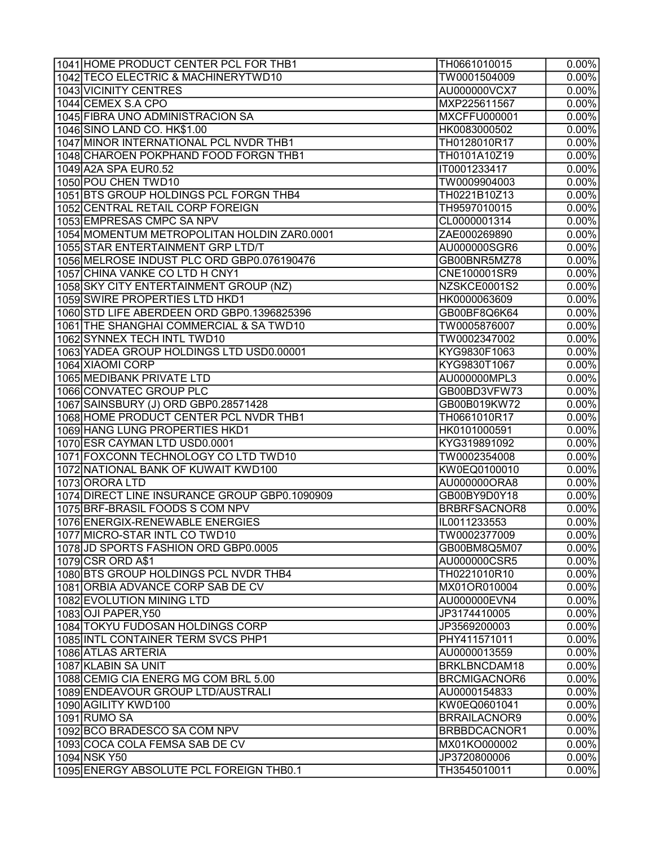| 1041 HOME PRODUCT CENTER PCL FOR THB1         | TH0661010015        | $0.00\%$            |
|-----------------------------------------------|---------------------|---------------------|
| 1042 TECO ELECTRIC & MACHINERYTWD10           | TW0001504009        | $\overline{0.00\%}$ |
| 1043 VICINITY CENTRES                         | AU000000VCX7        | $0.00\%$            |
| 1044 CEMEX S.A CPO                            | MXP225611567        | $0.00\%$            |
| 1045 FIBRA UNO ADMINISTRACION SA              | <b>MXCFFU000001</b> | $0.00\%$            |
| 1046 SINO LAND CO. HK\$1.00                   | HK0083000502        | $\overline{0.00\%}$ |
| 1047 MINOR INTERNATIONAL PCL NVDR THB1        | TH0128010R17        | $0.00\%$            |
| 1048 CHAROEN POKPHAND FOOD FORGN THB1         | TH0101A10Z19        | $0.00\%$            |
| 1049 A2A SPA EUR0.52                          | IT0001233417        | $0.00\%$            |
| 1050 POU CHEN TWD10                           | TW0009904003        | $0.00\%$            |
| 1051 BTS GROUP HOLDINGS PCL FORGN THB4        | TH0221B10Z13        | $0.00\%$            |
| 1052 CENTRAL RETAIL CORP FOREIGN              | TH9597010015        | $0.00\%$            |
| 1053 EMPRESAS CMPC SA NPV                     | CL0000001314        | $0.00\%$            |
| 1054 MOMENTUM METROPOLITAN HOLDIN ZAR0.0001   | ZAE000269890        | $0.00\%$            |
| 1055 STAR ENTERTAINMENT GRP LTD/T             | AU000000SGR6        | $0.00\%$            |
| 1056 MELROSE INDUST PLC ORD GBP0.076190476    | GB00BNR5MZ78        | $\overline{0.00\%}$ |
| 1057 CHINA VANKE CO LTD H CNY1                | CNE100001SR9        | $0.00\%$            |
| 1058 SKY CITY ENTERTAINMENT GROUP (NZ)        | NZSKCE0001S2        | $0.00\%$            |
| 1059 SWIRE PROPERTIES LTD HKD1                | HK0000063609        | 0.00%               |
| 1060 STD LIFE ABERDEEN ORD GBP0.1396825396    | GB00BF8Q6K64        | $0.00\%$            |
| 1061 THE SHANGHAI COMMERCIAL & SA TWD10       | TW0005876007        | $0.00\%$            |
| 1062 SYNNEX TECH INTL TWD10                   | TW0002347002        | $0.00\%$            |
| 1063 YADEA GROUP HOLDINGS LTD USD0.00001      | KYG9830F1063        | $0.00\%$            |
| 1064 XIAOMI CORP                              | KYG9830T1067        | $0.00\%$            |
| 1065 MEDIBANK PRIVATE LTD                     | AU000000MPL3        | $0.00\%$            |
| 1066 CONVATEC GROUP PLC                       | GB00BD3VFW73        | $0.00\%$            |
| 1067 SAINSBURY (J) ORD GBP0.28571428          | GB00B019KW72        | $0.00\%$            |
| 1068 HOME PRODUCT CENTER PCL NVDR THB1        | TH0661010R17        | $0.00\%$            |
| 1069 HANG LUNG PROPERTIES HKD1                | HK0101000591        | $0.00\%$            |
| 1070 ESR CAYMAN LTD USD0.0001                 | KYG319891092        | $0.00\%$            |
| 1071 FOXCONN TECHNOLOGY CO LTD TWD10          | TW0002354008        | $\overline{0.00\%}$ |
| 1072 NATIONAL BANK OF KUWAIT KWD100           | KW0EQ0100010        | $0.00\%$            |
| 1073 ORORA LTD                                | AU000000ORA8        | $0.00\%$            |
| 1074 DIRECT LINE INSURANCE GROUP GBP0.1090909 | GB00BY9D0Y18        | $0.00\%$            |
| 1075 BRF-BRASIL FOODS S COM NPV               | BRBRFSACNOR8        | $0.00\%$            |
| 1076 ENERGIX-RENEWABLE ENERGIES               | IL0011233553        | $0.00\%$            |
| 1077 MICRO-STAR INTL CO TWD10                 | TW0002377009        | $0.00\%$            |
| 1078 JD SPORTS FASHION ORD GBP0.0005          | GB00BM8Q5M07        | $0.00\%$            |
| 1079 CSR ORD A\$1                             | AU000000CSR5        | $0.00\%$            |
| 1080 BTS GROUP HOLDINGS PCL NVDR THB4         | TH0221010R10        | $0.00\%$            |
| 1081 ORBIA ADVANCE CORP SAB DE CV             | MX01OR010004        | $0.00\%$            |
| 1082 EVOLUTION MINING LTD                     | AU000000EVN4        | $0.00\%$            |
| 1083 OJI PAPER, Y50                           | JP3174410005        | $\overline{0.00\%}$ |
| 1084 TOKYU FUDOSAN HOLDINGS CORP              | JP3569200003        | $\overline{0.00\%}$ |
| 1085 INTL CONTAINER TERM SVCS PHP1            | PHY411571011        | $0.00\%$            |
| 1086 ATLAS ARTERIA                            | AU0000013559        | $0.00\%$            |
| 1087 KLABIN SA UNIT                           | BRKLBNCDAM18        | $0.00\%$            |
| 1088 CEMIG CIA ENERG MG COM BRL 5.00          | <b>BRCMIGACNOR6</b> | $\overline{0.00\%}$ |
| 1089 ENDEAVOUR GROUP LTD/AUSTRALI             | AU0000154833        | $\overline{0.00\%}$ |
| 1090 AGILITY KWD100                           | KW0EQ0601041        | $\overline{0.00\%}$ |
| 1091RUMO SA                                   | <b>BRRAILACNOR9</b> | $0.00\%$            |
| 1092 BCO BRADESCO SA COM NPV                  | BRBBDCACNOR1        | $0.00\%$            |
| 1093 COCA COLA FEMSA SAB DE CV                | MX01KO000002        | $0.00\%$            |
| 1094 NSK Y50                                  | JP3720800006        | $0.00\%$            |
| 1095 ENERGY ABSOLUTE PCL FOREIGN THB0.1       | TH3545010011        | 0.00%               |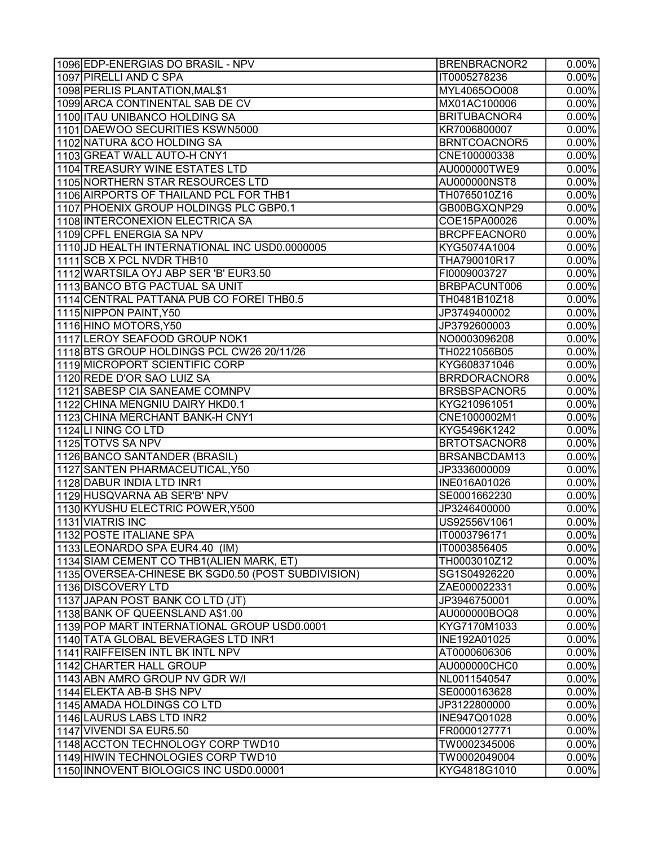| 1096 EDP-ENERGIAS DO BRASIL - NPV                  | <b>BRENBRACNOR2</b> | $0.00\%$            |
|----------------------------------------------------|---------------------|---------------------|
| 1097 PIRELLI AND C SPA                             | IT0005278236        | $\overline{0.00\%}$ |
| 1098 PERLIS PLANTATION, MAL\$1                     | MYL4065OO008        | $0.00\%$            |
| 1099 ARCA CONTINENTAL SAB DE CV                    | MX01AC100006        | $0.00\%$            |
| 1100 ITAU UNIBANCO HOLDING SA                      | BRITUBACNOR4        | $0.00\%$            |
| 1101 DAEWOO SECURITIES KSWN5000                    | KR7006800007        | $0.00\%$            |
| 1102 NATURA & CO HOLDING SA                        | BRNTCOACNOR5        | $\overline{0.00\%}$ |
| 1103 GREAT WALL AUTO-H CNY1                        | CNE100000338        | $\overline{0.00\%}$ |
| 1104 TREASURY WINE ESTATES LTD                     | AU000000TWE9        | $0.00\%$            |
| 1105 NORTHERN STAR RESOURCES LTD                   | AU000000NST8        | $0.00\%$            |
| 1106 AIRPORTS OF THAILAND PCL FOR THB1             | TH0765010Z16        | $0.00\%$            |
| 1107 PHOENIX GROUP HOLDINGS PLC GBP0.1             | GB00BGXQNP29        | $0.00\%$            |
| 1108 INTERCONEXION ELECTRICA SA                    | COE15PA00026        | $0.00\%$            |
| 1109 CPFL ENERGIA SA NPV                           | BRCPFEACNOR0        | $0.00\%$            |
| 1110 JD HEALTH INTERNATIONAL INC USD0.0000005      | KYG5074A1004        | $0.00\%$            |
| 1111 SCB X PCL NVDR THB10                          | THA790010R17        | $0.00\%$            |
| 1112 WARTSILA OYJ ABP SER 'B' EUR3.50              | FI0009003727        | $0.00\%$            |
| 1113 BANCO BTG PACTUAL SA UNIT                     | BRBPACUNT006        | $0.00\%$            |
| 1114 CENTRAL PATTANA PUB CO FOREI THB0.5           | TH0481B10Z18        | $0.00\%$            |
| 1115 NIPPON PAINT, Y50                             | JP3749400002        | $0.00\%$            |
| 1116 HINO MOTORS, Y50                              | JP3792600003        | $0.00\%$            |
| 1117 LEROY SEAFOOD GROUP NOK1                      | NO0003096208        | $0.00\%$            |
| 1118 BTS GROUP HOLDINGS PCL CW26 20/11/26          | TH0221056B05        | $0.00\%$            |
| 1119 MICROPORT SCIENTIFIC CORP                     | KYG608371046        | $0.00\%$            |
| 1120 REDE D'OR SAO LUIZ SA                         | BRRDORACNOR8        | $0.00\%$            |
| 1121 SABESP CIA SANEAME COMNPV                     | BRSBSPACNOR5        | $0.00\%$            |
| 1122 CHINA MENGNIU DAIRY HKD0.1                    | KYG210961051        | $0.00\%$            |
| 1123 CHINA MERCHANT BANK-H CNY1                    | CNE1000002M1        | $0.00\%$            |
| 1124 LINING COLTD                                  | KYG5496K1242        | $0.00\%$            |
| 1125 TOTVS SA NPV                                  | BRTOTSACNOR8        | $0.00\%$            |
| 1126 BANCO SANTANDER (BRASIL)                      | BRSANBCDAM13        | $0.00\%$            |
| 1127 SANTEN PHARMACEUTICAL, Y50                    | JP3336000009        | $\overline{0.00\%}$ |
| 1128 DABUR INDIA LTD INR1                          | INE016A01026        | 0.00%               |
| 1129 HUSQVARNA AB SER'B' NPV                       | SE0001662230        | $0.00\%$            |
| 1130 KYUSHU ELECTRIC POWER, Y500                   | JP3246400000        | $0.00\%$            |
| 1131 VIATRIS INC                                   | US92556V1061        | $0.00\%$            |
| 11132 POSTE ITALIANE SPA                           | IT0003796171        | $0.00\%$            |
| 1133 LEONARDO SPA EUR4.40 (IM)                     | IT0003856405        | $0.00\%$            |
| 1134 SIAM CEMENT CO THB1 (ALIEN MARK, ET)          | TH0003010Z12        | $0.00\%$            |
| 1135 OVERSEA-CHINESE BK SGD0.50 (POST SUBDIVISION) | SG1S04926220        | $0.00\%$            |
| 1136 DISCOVERY LTD                                 | ZAE000022331        | $0.00\%$            |
| 1137 JAPAN POST BANK CO LTD (JT)                   | JP3946750001        | $0.00\%$            |
| 1138 BANK OF QUEENSLAND A\$1.00                    | AU000000BOQ8        | $0.00\%$            |
| 1139 POP MART INTERNATIONAL GROUP USD0.0001        | KYG7170M1033        | $0.00\%$            |
| 1140 TATA GLOBAL BEVERAGES LTD INR1                | INE192A01025        | $0.00\%$            |
| 1141 RAIFFEISEN INTL BK INTL NPV                   | AT0000606306        | $0.00\%$            |
| 1142 CHARTER HALL GROUP                            | AU000000CHC0        | $0.00\%$            |
| 1143 ABN AMRO GROUP NV GDR W/I                     | NL0011540547        | $0.00\%$            |
| 1144 ELEKTA AB-B SHS NPV                           | SE0000163628        | $0.00\%$            |
| 1145 AMADA HOLDINGS COLTD                          | JP3122800000        | $0.00\%$            |
| 1146 LAURUS LABS LTD INR2                          | INE947Q01028        | $\overline{0.00\%}$ |
| 1147 VIVENDI SA EUR5.50                            | FR0000127771        | $0.00\%$            |
| 1148 ACCTON TECHNOLOGY CORP TWD10                  | TW0002345006        |                     |
|                                                    |                     | $0.00\%$            |
| 1149 HIWIN TECHNOLOGIES CORP TWD10                 | TW0002049004        | $0.00\%$            |
| 1150 INNOVENT BIOLOGICS INC USD0.00001             | KYG4818G1010        | $0.00\%$            |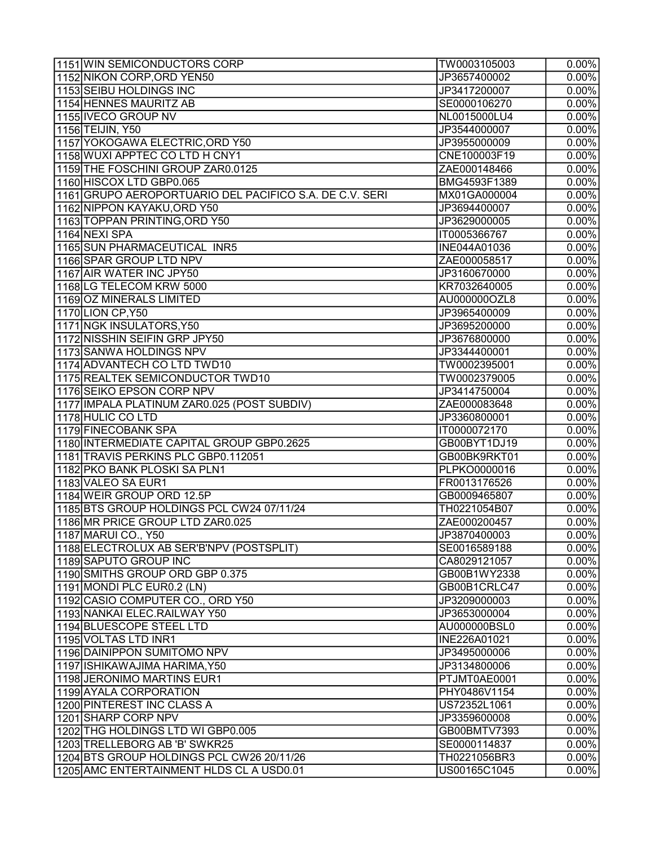| 1151 WIN SEMICONDUCTORS CORP                            | TW0003105003 | $0.00\%$            |
|---------------------------------------------------------|--------------|---------------------|
| 1152 NIKON CORP, ORD YEN50                              | JP3657400002 | $\overline{0.00\%}$ |
| 1153 SEIBU HOLDINGS INC                                 | JP3417200007 | $0.00\%$            |
| 1154 HENNES MAURITZ AB                                  | SE0000106270 | $0.00\%$            |
| 1155 IVECO GROUP NV                                     | NL0015000LU4 | $0.00\%$            |
| 1156 TEIJIN, Y50                                        | JP3544000007 | $0.00\%$            |
| 1157 YOKOGAWA ELECTRIC, ORD Y50                         | JP3955000009 | $0.00\%$            |
| 1158 WUXI APPTEC CO LTD H CNY1                          | CNE100003F19 | $0.00\%$            |
| 1159 THE FOSCHINI GROUP ZAR0.0125                       | ZAE000148466 | $0.00\%$            |
| 1160 HISCOX LTD GBP0.065                                | BMG4593F1389 | $0.00\%$            |
| 1161 GRUPO AEROPORTUARIO DEL PACIFICO S.A. DE C.V. SERI | MX01GA000004 | $0.00\%$            |
| 1162 NIPPON KAYAKU, ORD Y50                             | JP3694400007 | $0.00\%$            |
| 1163 TOPPAN PRINTING, ORD Y50                           | JP3629000005 | $0.00\%$            |
| 1164 NEXI SPA                                           | IT0005366767 | $0.00\%$            |
| 1165 SUN PHARMACEUTICAL INR5                            | INE044A01036 | $0.00\%$            |
| 1166 SPAR GROUP LTD NPV                                 | ZAE000058517 | $0.00\%$            |
| 1167 AIR WATER INC JPY50                                | JP3160670000 | $0.00\%$            |
| 1168 LG TELECOM KRW 5000                                | KR7032640005 | $0.00\%$            |
| 1169 OZ MINERALS LIMITED                                | AU000000OZL8 | $0.00\%$            |
| 1170 LION CP, Y50                                       | JP3965400009 | $0.00\%$            |
| 1171 NGK INSULATORS, Y50                                | JP3695200000 | $0.00\%$            |
| 1172 NISSHIN SEIFIN GRP JPY50                           | JP3676800000 | $0.00\%$            |
| 1173 SANWA HOLDINGS NPV                                 | JP3344400001 | $0.00\%$            |
| 1174 ADVANTECH CO LTD TWD10                             | TW0002395001 | $0.00\%$            |
| 1175 REALTEK SEMICONDUCTOR TWD10                        | TW0002379005 | $0.00\%$            |
| 1176 SEIKO EPSON CORP NPV                               |              | $0.00\%$            |
|                                                         | JP3414750004 |                     |
| 1177 IMPALA PLATINUM ZAR0.025 (POST SUBDIV)             | ZAE000083648 | $0.00\%$            |
| 1178 HULIC COLTD                                        | JP3360800001 | $0.00\%$            |
| 1179 FINECOBANK SPA                                     | IT0000072170 | $0.00\%$            |
| 1180 INTERMEDIATE CAPITAL GROUP GBP0.2625               | GB00BYT1DJ19 | $0.00\%$            |
| 1181 TRAVIS PERKINS PLC GBP0.112051                     | GB00BK9RKT01 | $0.00\%$            |
| 1182 PKO BANK PLOSKI SA PLN1                            | PLPKO0000016 | $\overline{0.00\%}$ |
| 1183 VALEO SA EUR1                                      | FR0013176526 | $\overline{0.00\%}$ |
| 1184 WEIR GROUP ORD 12.5P                               | GB0009465807 | $0.00\%$            |
| 1185 BTS GROUP HOLDINGS PCL CW24 07/11/24               | TH0221054B07 | $0.00\%$            |
| 1186 MR PRICE GROUP LTD ZAR0.025                        | ZAE000200457 | $0.00\%$            |
| 1187 MARUI CO., Y50                                     | JP3870400003 | $0.00\%$            |
| 1188 ELECTROLUX AB SER'B'NPV (POSTSPLIT)                | SE0016589188 | $0.00\%$            |
| 1189 SAPUTO GROUP INC                                   | CA8029121057 | $0.00\%$            |
| 1190 SMITHS GROUP ORD GBP 0.375                         | GB00B1WY2338 | $0.00\%$            |
| 1191 MONDI PLC EUR0.2 (LN)                              | GB00B1CRLC47 | $0.00\%$            |
| 1192 CASIO COMPUTER CO., ORD Y50                        | JP3209000003 | $0.00\%$            |
| 1193 NANKAI ELEC.RAILWAY Y50                            | JP3653000004 | $0.00\%$            |
| 1194 BLUESCOPE STEEL LTD                                | AU000000BSL0 | $0.00\%$            |
| 1195 VOLTAS LTD INR1                                    | INE226A01021 | $0.00\%$            |
| 1196 DAINIPPON SUMITOMO NPV                             | JP3495000006 | $0.00\%$            |
| 1197 ISHIKAWAJIMA HARIMA, Y50                           | JP3134800006 | $0.00\%$            |
| 1198 JERONIMO MARTINS EUR1                              | PTJMT0AE0001 | $0.00\%$            |
| 1199 AYALA CORPORATION                                  | PHY0486V1154 | $0.00\%$            |
| 1200 PINTEREST INC CLASS A                              | US72352L1061 | $0.00\%$            |
| 1201 SHARP CORP NPV                                     | JP3359600008 | $\overline{0.00\%}$ |
| 1202 THG HOLDINGS LTD WI GBP0.005                       | GB00BMTV7393 | $0.00\%$            |
| 1203 TRELLEBORG AB 'B' SWKR25                           | SE0000114837 | $0.00\%$            |
| 1204 BTS GROUP HOLDINGS PCL CW26 20/11/26               | TH0221056BR3 | $0.00\%$            |
| 1205 AMC ENTERTAINMENT HLDS CL A USD0.01                | US00165C1045 | $0.00\%$            |
|                                                         |              |                     |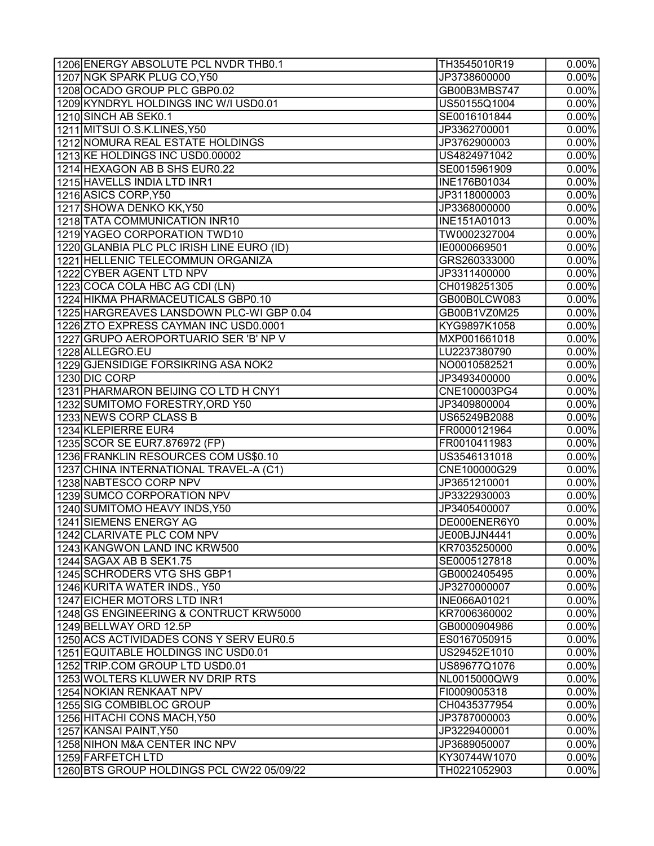| 1207 NGK SPARK PLUG CO, Y50<br>JP3738600000<br>$0.00\%$<br>1208 OCADO GROUP PLC GBP0.02<br>GB00B3MBS747<br>$0.00\%$<br>1209 KYNDRYL HOLDINGS INC W/I USD0.01<br>$0.00\%$<br>US50155Q1004<br>1210 SINCH AB SEK0.1<br>$0.00\%$<br>SE0016101844<br>1211 MITSUI O.S.K.LINES, Y50<br>JP3362700001<br>$0.00\%$<br>1212 NOMURA REAL ESTATE HOLDINGS<br>JP3762900003<br>$0.00\%$<br>1213 KE HOLDINGS INC USD0.00002<br>$0.00\%$<br>US4824971042<br>1214 HEXAGON AB B SHS EUR0.22<br>SE0015961909<br>1215 HAVELLS INDIA LTD INR1<br>INE176B01034<br>1216 ASICS CORP, Y50<br>JP3118000003<br>1217 SHOWA DENKO KK, Y50<br>JP3368000000<br>1218 TATA COMMUNICATION INR10<br>INE151A01013<br>1219 YAGEO CORPORATION TWD10<br>TW0002327004<br>1220 GLANBIA PLC PLC IRISH LINE EURO (ID)<br>IE0000669501<br>1221 HELLENIC TELECOMMUN ORGANIZA<br>GRS260333000<br>1222 CYBER AGENT LTD NPV<br>JP3311400000<br>1223 COCA COLA HBC AG CDI (LN)<br>CH0198251305<br>1224 HIKMA PHARMACEUTICALS GBP0.10<br>GB00B0LCW083<br>1225 HARGREAVES LANSDOWN PLC-WIGBP 0.04<br>GB00B1VZ0M25<br>1226 ZTO EXPRESS CAYMAN INC USD0.0001<br>KYG9897K1058<br>1227 GRUPO AEROPORTUARIO SER 'B' NP V<br>MXP001661018<br>1228 ALLEGRO.EU<br>LU2237380790<br>1229 GJENSIDIGE FORSIKRING ASA NOK2<br>NO0010582521<br>1230 DIC CORP<br>JP3493400000<br>1231 PHARMARON BEIJING CO LTD H CNY1<br>CNE100003PG4<br>1232 SUMITOMO FORESTRY,ORD Y50<br>JP3409800004<br>1233 NEWS CORP CLASS B<br>US65249B2088<br>1234 KLEPIERRE EUR4<br>FR0000121964<br>1235 SCOR SE EUR7.876972 (FP)<br>FR0010411983<br>1236 FRANKLIN RESOURCES COM US\$0.10<br>US3546131018<br>1237 CHINA INTERNATIONAL TRAVEL-A (C1)<br>CNE100000G29<br>1238 NABTESCO CORP NPV<br>JP3651210001<br>1239 SUMCO CORPORATION NPV<br>JP3322930003<br>1240 SUMITOMO HEAVY INDS, Y50<br>JP3405400007<br>1241 SIEMENS ENERGY AG<br>DE000ENER6Y0<br>1242 CLARIVATE PLC COM NPV<br>JE00BJJN4441<br>1243 KANGWON LAND INC KRW500<br>KR7035250000<br>SE0005127818<br>1245 SCHRODERS VTG SHS GBP1<br>GB0002405495<br>1246 KURITA WATER INDS., Y50<br>JP3270000007<br>1247 EICHER MOTORS LTD INR1<br>INE066A01021<br>1248 GS ENGINEERING & CONTRUCT KRW5000<br>KR7006360002<br>1249 BELLWAY ORD 12.5P<br>GB0000904986<br>1250 ACS ACTIVIDADES CONS Y SERV EUR0.5<br>ES0167050915<br>1251 EQUITABLE HOLDINGS INC USD0.01<br>US29452E1010<br>1252 TRIP.COM GROUP LTD USD0.01<br>US89677Q1076<br>1253 WOLTERS KLUWER NV DRIP RTS<br>NL0015000QW9<br>1254 NOKIAN RENKAAT NPV<br>FI0009005318<br>1255 SIG COMBIBLOC GROUP<br>CH0435377954<br>1256 HITACHI CONS MACH, Y50<br>JP3787000003<br>1257 KANSAI PAINT, Y50<br>JP3229400001<br>1258 NIHON M&A CENTER INC NPV<br>JP3689050007<br>1259 FARFETCH LTD<br>KY30744W1070<br>1260 BTS GROUP HOLDINGS PCL CW22 05/09/22<br>TH0221052903 | 1206 ENERGY ABSOLUTE PCL NVDR THB0.1 | TH3545010R19 | $0.00\%$ |
|----------------------------------------------------------------------------------------------------------------------------------------------------------------------------------------------------------------------------------------------------------------------------------------------------------------------------------------------------------------------------------------------------------------------------------------------------------------------------------------------------------------------------------------------------------------------------------------------------------------------------------------------------------------------------------------------------------------------------------------------------------------------------------------------------------------------------------------------------------------------------------------------------------------------------------------------------------------------------------------------------------------------------------------------------------------------------------------------------------------------------------------------------------------------------------------------------------------------------------------------------------------------------------------------------------------------------------------------------------------------------------------------------------------------------------------------------------------------------------------------------------------------------------------------------------------------------------------------------------------------------------------------------------------------------------------------------------------------------------------------------------------------------------------------------------------------------------------------------------------------------------------------------------------------------------------------------------------------------------------------------------------------------------------------------------------------------------------------------------------------------------------------------------------------------------------------------------------------------------------------------------------------------------------------------------------------------------------------------------------------------------------------------------------------------------------------------------------------------------------------------------------------------------------------------------------------------------------------------------------------------------------------------------------------------------------------------------------------------------------------------------------------------------------|--------------------------------------|--------------|----------|
|                                                                                                                                                                                                                                                                                                                                                                                                                                                                                                                                                                                                                                                                                                                                                                                                                                                                                                                                                                                                                                                                                                                                                                                                                                                                                                                                                                                                                                                                                                                                                                                                                                                                                                                                                                                                                                                                                                                                                                                                                                                                                                                                                                                                                                                                                                                                                                                                                                                                                                                                                                                                                                                                                                                                                                                        |                                      |              |          |
|                                                                                                                                                                                                                                                                                                                                                                                                                                                                                                                                                                                                                                                                                                                                                                                                                                                                                                                                                                                                                                                                                                                                                                                                                                                                                                                                                                                                                                                                                                                                                                                                                                                                                                                                                                                                                                                                                                                                                                                                                                                                                                                                                                                                                                                                                                                                                                                                                                                                                                                                                                                                                                                                                                                                                                                        |                                      |              |          |
|                                                                                                                                                                                                                                                                                                                                                                                                                                                                                                                                                                                                                                                                                                                                                                                                                                                                                                                                                                                                                                                                                                                                                                                                                                                                                                                                                                                                                                                                                                                                                                                                                                                                                                                                                                                                                                                                                                                                                                                                                                                                                                                                                                                                                                                                                                                                                                                                                                                                                                                                                                                                                                                                                                                                                                                        |                                      |              |          |
|                                                                                                                                                                                                                                                                                                                                                                                                                                                                                                                                                                                                                                                                                                                                                                                                                                                                                                                                                                                                                                                                                                                                                                                                                                                                                                                                                                                                                                                                                                                                                                                                                                                                                                                                                                                                                                                                                                                                                                                                                                                                                                                                                                                                                                                                                                                                                                                                                                                                                                                                                                                                                                                                                                                                                                                        |                                      |              |          |
|                                                                                                                                                                                                                                                                                                                                                                                                                                                                                                                                                                                                                                                                                                                                                                                                                                                                                                                                                                                                                                                                                                                                                                                                                                                                                                                                                                                                                                                                                                                                                                                                                                                                                                                                                                                                                                                                                                                                                                                                                                                                                                                                                                                                                                                                                                                                                                                                                                                                                                                                                                                                                                                                                                                                                                                        |                                      |              |          |
|                                                                                                                                                                                                                                                                                                                                                                                                                                                                                                                                                                                                                                                                                                                                                                                                                                                                                                                                                                                                                                                                                                                                                                                                                                                                                                                                                                                                                                                                                                                                                                                                                                                                                                                                                                                                                                                                                                                                                                                                                                                                                                                                                                                                                                                                                                                                                                                                                                                                                                                                                                                                                                                                                                                                                                                        |                                      |              |          |
|                                                                                                                                                                                                                                                                                                                                                                                                                                                                                                                                                                                                                                                                                                                                                                                                                                                                                                                                                                                                                                                                                                                                                                                                                                                                                                                                                                                                                                                                                                                                                                                                                                                                                                                                                                                                                                                                                                                                                                                                                                                                                                                                                                                                                                                                                                                                                                                                                                                                                                                                                                                                                                                                                                                                                                                        |                                      |              |          |
| $\overline{0.00\%}$<br>$0.00\%$<br>$\overline{0.00\%}$<br>$0.00\%$<br>$0.00\%$<br>$0.00\%$<br>$\overline{0.00\%}$<br>$0.00\%$<br>$0.00\%$<br>$0.00\%$<br>$0.00\%$<br>$0.00\%$<br>$0.00\%$<br>$0.00\%$<br>$0.00\%$                                                                                                                                                                                                                                                                                                                                                                                                                                                                                                                                                                                                                                                                                                                                                                                                                                                                                                                                                                                                                                                                                                                                                                                                                                                                                                                                                                                                                                                                                                                                                                                                                                                                                                                                                                                                                                                                                                                                                                                                                                                                                                                                                                                                                                                                                                                                                                                                                                                                                                                                                                      |                                      |              | $0.00\%$ |
|                                                                                                                                                                                                                                                                                                                                                                                                                                                                                                                                                                                                                                                                                                                                                                                                                                                                                                                                                                                                                                                                                                                                                                                                                                                                                                                                                                                                                                                                                                                                                                                                                                                                                                                                                                                                                                                                                                                                                                                                                                                                                                                                                                                                                                                                                                                                                                                                                                                                                                                                                                                                                                                                                                                                                                                        |                                      |              |          |
|                                                                                                                                                                                                                                                                                                                                                                                                                                                                                                                                                                                                                                                                                                                                                                                                                                                                                                                                                                                                                                                                                                                                                                                                                                                                                                                                                                                                                                                                                                                                                                                                                                                                                                                                                                                                                                                                                                                                                                                                                                                                                                                                                                                                                                                                                                                                                                                                                                                                                                                                                                                                                                                                                                                                                                                        |                                      |              |          |
|                                                                                                                                                                                                                                                                                                                                                                                                                                                                                                                                                                                                                                                                                                                                                                                                                                                                                                                                                                                                                                                                                                                                                                                                                                                                                                                                                                                                                                                                                                                                                                                                                                                                                                                                                                                                                                                                                                                                                                                                                                                                                                                                                                                                                                                                                                                                                                                                                                                                                                                                                                                                                                                                                                                                                                                        |                                      |              |          |
|                                                                                                                                                                                                                                                                                                                                                                                                                                                                                                                                                                                                                                                                                                                                                                                                                                                                                                                                                                                                                                                                                                                                                                                                                                                                                                                                                                                                                                                                                                                                                                                                                                                                                                                                                                                                                                                                                                                                                                                                                                                                                                                                                                                                                                                                                                                                                                                                                                                                                                                                                                                                                                                                                                                                                                                        |                                      |              |          |
|                                                                                                                                                                                                                                                                                                                                                                                                                                                                                                                                                                                                                                                                                                                                                                                                                                                                                                                                                                                                                                                                                                                                                                                                                                                                                                                                                                                                                                                                                                                                                                                                                                                                                                                                                                                                                                                                                                                                                                                                                                                                                                                                                                                                                                                                                                                                                                                                                                                                                                                                                                                                                                                                                                                                                                                        |                                      |              |          |
|                                                                                                                                                                                                                                                                                                                                                                                                                                                                                                                                                                                                                                                                                                                                                                                                                                                                                                                                                                                                                                                                                                                                                                                                                                                                                                                                                                                                                                                                                                                                                                                                                                                                                                                                                                                                                                                                                                                                                                                                                                                                                                                                                                                                                                                                                                                                                                                                                                                                                                                                                                                                                                                                                                                                                                                        |                                      |              |          |
|                                                                                                                                                                                                                                                                                                                                                                                                                                                                                                                                                                                                                                                                                                                                                                                                                                                                                                                                                                                                                                                                                                                                                                                                                                                                                                                                                                                                                                                                                                                                                                                                                                                                                                                                                                                                                                                                                                                                                                                                                                                                                                                                                                                                                                                                                                                                                                                                                                                                                                                                                                                                                                                                                                                                                                                        |                                      |              |          |
|                                                                                                                                                                                                                                                                                                                                                                                                                                                                                                                                                                                                                                                                                                                                                                                                                                                                                                                                                                                                                                                                                                                                                                                                                                                                                                                                                                                                                                                                                                                                                                                                                                                                                                                                                                                                                                                                                                                                                                                                                                                                                                                                                                                                                                                                                                                                                                                                                                                                                                                                                                                                                                                                                                                                                                                        |                                      |              |          |
|                                                                                                                                                                                                                                                                                                                                                                                                                                                                                                                                                                                                                                                                                                                                                                                                                                                                                                                                                                                                                                                                                                                                                                                                                                                                                                                                                                                                                                                                                                                                                                                                                                                                                                                                                                                                                                                                                                                                                                                                                                                                                                                                                                                                                                                                                                                                                                                                                                                                                                                                                                                                                                                                                                                                                                                        |                                      |              |          |
|                                                                                                                                                                                                                                                                                                                                                                                                                                                                                                                                                                                                                                                                                                                                                                                                                                                                                                                                                                                                                                                                                                                                                                                                                                                                                                                                                                                                                                                                                                                                                                                                                                                                                                                                                                                                                                                                                                                                                                                                                                                                                                                                                                                                                                                                                                                                                                                                                                                                                                                                                                                                                                                                                                                                                                                        |                                      |              |          |
|                                                                                                                                                                                                                                                                                                                                                                                                                                                                                                                                                                                                                                                                                                                                                                                                                                                                                                                                                                                                                                                                                                                                                                                                                                                                                                                                                                                                                                                                                                                                                                                                                                                                                                                                                                                                                                                                                                                                                                                                                                                                                                                                                                                                                                                                                                                                                                                                                                                                                                                                                                                                                                                                                                                                                                                        |                                      |              |          |
|                                                                                                                                                                                                                                                                                                                                                                                                                                                                                                                                                                                                                                                                                                                                                                                                                                                                                                                                                                                                                                                                                                                                                                                                                                                                                                                                                                                                                                                                                                                                                                                                                                                                                                                                                                                                                                                                                                                                                                                                                                                                                                                                                                                                                                                                                                                                                                                                                                                                                                                                                                                                                                                                                                                                                                                        |                                      |              |          |
|                                                                                                                                                                                                                                                                                                                                                                                                                                                                                                                                                                                                                                                                                                                                                                                                                                                                                                                                                                                                                                                                                                                                                                                                                                                                                                                                                                                                                                                                                                                                                                                                                                                                                                                                                                                                                                                                                                                                                                                                                                                                                                                                                                                                                                                                                                                                                                                                                                                                                                                                                                                                                                                                                                                                                                                        |                                      |              |          |
|                                                                                                                                                                                                                                                                                                                                                                                                                                                                                                                                                                                                                                                                                                                                                                                                                                                                                                                                                                                                                                                                                                                                                                                                                                                                                                                                                                                                                                                                                                                                                                                                                                                                                                                                                                                                                                                                                                                                                                                                                                                                                                                                                                                                                                                                                                                                                                                                                                                                                                                                                                                                                                                                                                                                                                                        |                                      |              |          |
| $0.00\%$<br>$0.00\%$<br>$0.00\%$<br>$0.00\%$<br>$0.00\%$<br>$0.00\%$<br>$0.00\%$<br>$0.00\%$<br>$0.00\%$<br>$0.00\%$<br>$0.00\%$<br>$0.00\%$<br>$0.00\%$<br>$0.00\%$<br>$0.00\%$<br>$0.00\%$<br>$\overline{0.00\%}$<br>$0.00\%$<br>$0.00\%$<br>$0.00\%$<br>$0.00\%$<br>$0.00\%$<br>$0.00\%$<br>$0.00\%$<br>$0.00\%$<br>$0.00\%$                                                                                                                                                                                                                                                                                                                                                                                                                                                                                                                                                                                                                                                                                                                                                                                                                                                                                                                                                                                                                                                                                                                                                                                                                                                                                                                                                                                                                                                                                                                                                                                                                                                                                                                                                                                                                                                                                                                                                                                                                                                                                                                                                                                                                                                                                                                                                                                                                                                        |                                      |              |          |
|                                                                                                                                                                                                                                                                                                                                                                                                                                                                                                                                                                                                                                                                                                                                                                                                                                                                                                                                                                                                                                                                                                                                                                                                                                                                                                                                                                                                                                                                                                                                                                                                                                                                                                                                                                                                                                                                                                                                                                                                                                                                                                                                                                                                                                                                                                                                                                                                                                                                                                                                                                                                                                                                                                                                                                                        |                                      |              |          |
|                                                                                                                                                                                                                                                                                                                                                                                                                                                                                                                                                                                                                                                                                                                                                                                                                                                                                                                                                                                                                                                                                                                                                                                                                                                                                                                                                                                                                                                                                                                                                                                                                                                                                                                                                                                                                                                                                                                                                                                                                                                                                                                                                                                                                                                                                                                                                                                                                                                                                                                                                                                                                                                                                                                                                                                        |                                      |              |          |
|                                                                                                                                                                                                                                                                                                                                                                                                                                                                                                                                                                                                                                                                                                                                                                                                                                                                                                                                                                                                                                                                                                                                                                                                                                                                                                                                                                                                                                                                                                                                                                                                                                                                                                                                                                                                                                                                                                                                                                                                                                                                                                                                                                                                                                                                                                                                                                                                                                                                                                                                                                                                                                                                                                                                                                                        |                                      |              |          |
|                                                                                                                                                                                                                                                                                                                                                                                                                                                                                                                                                                                                                                                                                                                                                                                                                                                                                                                                                                                                                                                                                                                                                                                                                                                                                                                                                                                                                                                                                                                                                                                                                                                                                                                                                                                                                                                                                                                                                                                                                                                                                                                                                                                                                                                                                                                                                                                                                                                                                                                                                                                                                                                                                                                                                                                        |                                      |              |          |
|                                                                                                                                                                                                                                                                                                                                                                                                                                                                                                                                                                                                                                                                                                                                                                                                                                                                                                                                                                                                                                                                                                                                                                                                                                                                                                                                                                                                                                                                                                                                                                                                                                                                                                                                                                                                                                                                                                                                                                                                                                                                                                                                                                                                                                                                                                                                                                                                                                                                                                                                                                                                                                                                                                                                                                                        |                                      |              |          |
|                                                                                                                                                                                                                                                                                                                                                                                                                                                                                                                                                                                                                                                                                                                                                                                                                                                                                                                                                                                                                                                                                                                                                                                                                                                                                                                                                                                                                                                                                                                                                                                                                                                                                                                                                                                                                                                                                                                                                                                                                                                                                                                                                                                                                                                                                                                                                                                                                                                                                                                                                                                                                                                                                                                                                                                        |                                      |              |          |
|                                                                                                                                                                                                                                                                                                                                                                                                                                                                                                                                                                                                                                                                                                                                                                                                                                                                                                                                                                                                                                                                                                                                                                                                                                                                                                                                                                                                                                                                                                                                                                                                                                                                                                                                                                                                                                                                                                                                                                                                                                                                                                                                                                                                                                                                                                                                                                                                                                                                                                                                                                                                                                                                                                                                                                                        |                                      |              |          |
|                                                                                                                                                                                                                                                                                                                                                                                                                                                                                                                                                                                                                                                                                                                                                                                                                                                                                                                                                                                                                                                                                                                                                                                                                                                                                                                                                                                                                                                                                                                                                                                                                                                                                                                                                                                                                                                                                                                                                                                                                                                                                                                                                                                                                                                                                                                                                                                                                                                                                                                                                                                                                                                                                                                                                                                        |                                      |              |          |
|                                                                                                                                                                                                                                                                                                                                                                                                                                                                                                                                                                                                                                                                                                                                                                                                                                                                                                                                                                                                                                                                                                                                                                                                                                                                                                                                                                                                                                                                                                                                                                                                                                                                                                                                                                                                                                                                                                                                                                                                                                                                                                                                                                                                                                                                                                                                                                                                                                                                                                                                                                                                                                                                                                                                                                                        |                                      |              |          |
|                                                                                                                                                                                                                                                                                                                                                                                                                                                                                                                                                                                                                                                                                                                                                                                                                                                                                                                                                                                                                                                                                                                                                                                                                                                                                                                                                                                                                                                                                                                                                                                                                                                                                                                                                                                                                                                                                                                                                                                                                                                                                                                                                                                                                                                                                                                                                                                                                                                                                                                                                                                                                                                                                                                                                                                        |                                      |              |          |
|                                                                                                                                                                                                                                                                                                                                                                                                                                                                                                                                                                                                                                                                                                                                                                                                                                                                                                                                                                                                                                                                                                                                                                                                                                                                                                                                                                                                                                                                                                                                                                                                                                                                                                                                                                                                                                                                                                                                                                                                                                                                                                                                                                                                                                                                                                                                                                                                                                                                                                                                                                                                                                                                                                                                                                                        |                                      |              |          |
|                                                                                                                                                                                                                                                                                                                                                                                                                                                                                                                                                                                                                                                                                                                                                                                                                                                                                                                                                                                                                                                                                                                                                                                                                                                                                                                                                                                                                                                                                                                                                                                                                                                                                                                                                                                                                                                                                                                                                                                                                                                                                                                                                                                                                                                                                                                                                                                                                                                                                                                                                                                                                                                                                                                                                                                        |                                      |              |          |
|                                                                                                                                                                                                                                                                                                                                                                                                                                                                                                                                                                                                                                                                                                                                                                                                                                                                                                                                                                                                                                                                                                                                                                                                                                                                                                                                                                                                                                                                                                                                                                                                                                                                                                                                                                                                                                                                                                                                                                                                                                                                                                                                                                                                                                                                                                                                                                                                                                                                                                                                                                                                                                                                                                                                                                                        |                                      |              |          |
|                                                                                                                                                                                                                                                                                                                                                                                                                                                                                                                                                                                                                                                                                                                                                                                                                                                                                                                                                                                                                                                                                                                                                                                                                                                                                                                                                                                                                                                                                                                                                                                                                                                                                                                                                                                                                                                                                                                                                                                                                                                                                                                                                                                                                                                                                                                                                                                                                                                                                                                                                                                                                                                                                                                                                                                        |                                      |              |          |
|                                                                                                                                                                                                                                                                                                                                                                                                                                                                                                                                                                                                                                                                                                                                                                                                                                                                                                                                                                                                                                                                                                                                                                                                                                                                                                                                                                                                                                                                                                                                                                                                                                                                                                                                                                                                                                                                                                                                                                                                                                                                                                                                                                                                                                                                                                                                                                                                                                                                                                                                                                                                                                                                                                                                                                                        | 1244 SAGAX AB B SEK1.75              |              |          |
|                                                                                                                                                                                                                                                                                                                                                                                                                                                                                                                                                                                                                                                                                                                                                                                                                                                                                                                                                                                                                                                                                                                                                                                                                                                                                                                                                                                                                                                                                                                                                                                                                                                                                                                                                                                                                                                                                                                                                                                                                                                                                                                                                                                                                                                                                                                                                                                                                                                                                                                                                                                                                                                                                                                                                                                        |                                      |              |          |
| $0.00\%$<br>$0.00\%$                                                                                                                                                                                                                                                                                                                                                                                                                                                                                                                                                                                                                                                                                                                                                                                                                                                                                                                                                                                                                                                                                                                                                                                                                                                                                                                                                                                                                                                                                                                                                                                                                                                                                                                                                                                                                                                                                                                                                                                                                                                                                                                                                                                                                                                                                                                                                                                                                                                                                                                                                                                                                                                                                                                                                                   |                                      |              |          |
|                                                                                                                                                                                                                                                                                                                                                                                                                                                                                                                                                                                                                                                                                                                                                                                                                                                                                                                                                                                                                                                                                                                                                                                                                                                                                                                                                                                                                                                                                                                                                                                                                                                                                                                                                                                                                                                                                                                                                                                                                                                                                                                                                                                                                                                                                                                                                                                                                                                                                                                                                                                                                                                                                                                                                                                        |                                      |              |          |
| $0.00\%$<br>$0.00\%$<br>0.00%                                                                                                                                                                                                                                                                                                                                                                                                                                                                                                                                                                                                                                                                                                                                                                                                                                                                                                                                                                                                                                                                                                                                                                                                                                                                                                                                                                                                                                                                                                                                                                                                                                                                                                                                                                                                                                                                                                                                                                                                                                                                                                                                                                                                                                                                                                                                                                                                                                                                                                                                                                                                                                                                                                                                                          |                                      |              |          |
|                                                                                                                                                                                                                                                                                                                                                                                                                                                                                                                                                                                                                                                                                                                                                                                                                                                                                                                                                                                                                                                                                                                                                                                                                                                                                                                                                                                                                                                                                                                                                                                                                                                                                                                                                                                                                                                                                                                                                                                                                                                                                                                                                                                                                                                                                                                                                                                                                                                                                                                                                                                                                                                                                                                                                                                        |                                      |              |          |
|                                                                                                                                                                                                                                                                                                                                                                                                                                                                                                                                                                                                                                                                                                                                                                                                                                                                                                                                                                                                                                                                                                                                                                                                                                                                                                                                                                                                                                                                                                                                                                                                                                                                                                                                                                                                                                                                                                                                                                                                                                                                                                                                                                                                                                                                                                                                                                                                                                                                                                                                                                                                                                                                                                                                                                                        |                                      |              |          |
|                                                                                                                                                                                                                                                                                                                                                                                                                                                                                                                                                                                                                                                                                                                                                                                                                                                                                                                                                                                                                                                                                                                                                                                                                                                                                                                                                                                                                                                                                                                                                                                                                                                                                                                                                                                                                                                                                                                                                                                                                                                                                                                                                                                                                                                                                                                                                                                                                                                                                                                                                                                                                                                                                                                                                                                        |                                      |              |          |
|                                                                                                                                                                                                                                                                                                                                                                                                                                                                                                                                                                                                                                                                                                                                                                                                                                                                                                                                                                                                                                                                                                                                                                                                                                                                                                                                                                                                                                                                                                                                                                                                                                                                                                                                                                                                                                                                                                                                                                                                                                                                                                                                                                                                                                                                                                                                                                                                                                                                                                                                                                                                                                                                                                                                                                                        |                                      |              |          |
|                                                                                                                                                                                                                                                                                                                                                                                                                                                                                                                                                                                                                                                                                                                                                                                                                                                                                                                                                                                                                                                                                                                                                                                                                                                                                                                                                                                                                                                                                                                                                                                                                                                                                                                                                                                                                                                                                                                                                                                                                                                                                                                                                                                                                                                                                                                                                                                                                                                                                                                                                                                                                                                                                                                                                                                        |                                      |              |          |
|                                                                                                                                                                                                                                                                                                                                                                                                                                                                                                                                                                                                                                                                                                                                                                                                                                                                                                                                                                                                                                                                                                                                                                                                                                                                                                                                                                                                                                                                                                                                                                                                                                                                                                                                                                                                                                                                                                                                                                                                                                                                                                                                                                                                                                                                                                                                                                                                                                                                                                                                                                                                                                                                                                                                                                                        |                                      |              |          |
|                                                                                                                                                                                                                                                                                                                                                                                                                                                                                                                                                                                                                                                                                                                                                                                                                                                                                                                                                                                                                                                                                                                                                                                                                                                                                                                                                                                                                                                                                                                                                                                                                                                                                                                                                                                                                                                                                                                                                                                                                                                                                                                                                                                                                                                                                                                                                                                                                                                                                                                                                                                                                                                                                                                                                                                        |                                      |              |          |
|                                                                                                                                                                                                                                                                                                                                                                                                                                                                                                                                                                                                                                                                                                                                                                                                                                                                                                                                                                                                                                                                                                                                                                                                                                                                                                                                                                                                                                                                                                                                                                                                                                                                                                                                                                                                                                                                                                                                                                                                                                                                                                                                                                                                                                                                                                                                                                                                                                                                                                                                                                                                                                                                                                                                                                                        |                                      |              |          |
|                                                                                                                                                                                                                                                                                                                                                                                                                                                                                                                                                                                                                                                                                                                                                                                                                                                                                                                                                                                                                                                                                                                                                                                                                                                                                                                                                                                                                                                                                                                                                                                                                                                                                                                                                                                                                                                                                                                                                                                                                                                                                                                                                                                                                                                                                                                                                                                                                                                                                                                                                                                                                                                                                                                                                                                        |                                      |              |          |
|                                                                                                                                                                                                                                                                                                                                                                                                                                                                                                                                                                                                                                                                                                                                                                                                                                                                                                                                                                                                                                                                                                                                                                                                                                                                                                                                                                                                                                                                                                                                                                                                                                                                                                                                                                                                                                                                                                                                                                                                                                                                                                                                                                                                                                                                                                                                                                                                                                                                                                                                                                                                                                                                                                                                                                                        |                                      |              |          |
|                                                                                                                                                                                                                                                                                                                                                                                                                                                                                                                                                                                                                                                                                                                                                                                                                                                                                                                                                                                                                                                                                                                                                                                                                                                                                                                                                                                                                                                                                                                                                                                                                                                                                                                                                                                                                                                                                                                                                                                                                                                                                                                                                                                                                                                                                                                                                                                                                                                                                                                                                                                                                                                                                                                                                                                        |                                      |              |          |
|                                                                                                                                                                                                                                                                                                                                                                                                                                                                                                                                                                                                                                                                                                                                                                                                                                                                                                                                                                                                                                                                                                                                                                                                                                                                                                                                                                                                                                                                                                                                                                                                                                                                                                                                                                                                                                                                                                                                                                                                                                                                                                                                                                                                                                                                                                                                                                                                                                                                                                                                                                                                                                                                                                                                                                                        |                                      |              |          |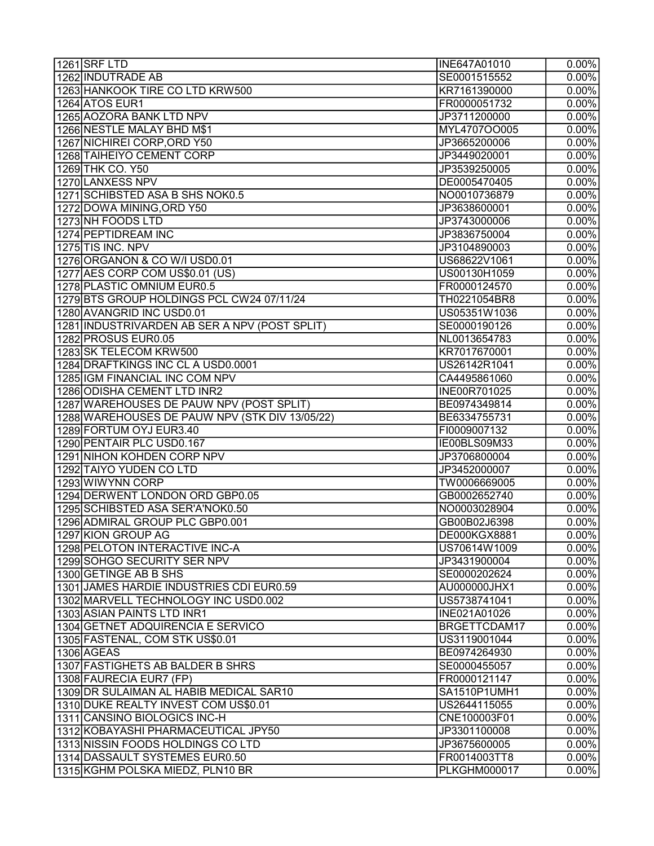| 1261 SRF LTD                                   | INE647A01010        | $0.00\%$            |
|------------------------------------------------|---------------------|---------------------|
| 1262 INDUTRADE AB                              | SE0001515552        | $\overline{0.00\%}$ |
| 1263 HANKOOK TIRE CO LTD KRW500                | KR7161390000        | $0.00\%$            |
| 1264 ATOS EUR1                                 | FR0000051732        | $0.00\%$            |
| 1265 AOZORA BANK LTD NPV                       | JP3711200000        | $0.00\%$            |
| 1266 NESTLE MALAY BHD M\$1                     | MYL4707OO005        | $0.00\%$            |
| 1267 NICHIREI CORP, ORD Y50                    | JP3665200006        | $0.00\%$            |
| 1268 TAIHEIYO CEMENT CORP                      | JP3449020001        | 0.00%               |
| 1269 THK CO. Y50                               | JP3539250005        | $0.00\%$            |
| 1270 LANXESS NPV                               | DE0005470405        | 0.00%               |
| 1271 SCHIBSTED ASA B SHS NOK0.5                | NO0010736879        | $0.00\%$            |
| 1272 DOWA MINING, ORD Y50                      | JP3638600001        | $0.00\%$            |
| 1273 NH FOODS LTD                              | JP3743000006        | $0.00\%$            |
| 1274 PEPTIDREAM INC                            | JP3836750004        | $0.00\%$            |
| 1275 TIS INC. NPV                              | JP3104890003        | $0.00\%$            |
| 1276 ORGANON & CO W/I USD0.01                  | US68622V1061        | $0.00\%$            |
| 1277 AES CORP COM US\$0.01 (US)                | US00130H1059        | $0.00\%$            |
| 1278 PLASTIC OMNIUM EUR0.5                     | FR0000124570        | $0.00\%$            |
| 1279 BTS GROUP HOLDINGS PCL CW24 07/11/24      | TH0221054BR8        | $0.00\%$            |
| 1280 AVANGRID INC USD0.01                      | US05351W1036        | $0.00\%$            |
| 1281 INDUSTRIVARDEN AB SER A NPV (POST SPLIT)  | SE0000190126        | $0.00\%$            |
| 1282 PROSUS EUR0.05                            | NL0013654783        | $0.00\%$            |
| 1283 SK TELECOM KRW500                         | KR7017670001        | $0.00\%$            |
| 1284 DRAFTKINGS INC CL A USD0.0001             | US26142R1041        | $0.00\%$            |
| 1285 IGM FINANCIAL INC COM NPV                 | CA4495861060        | $0.00\%$            |
| 1286 ODISHA CEMENT LTD INR2                    | INE00R701025        | $0.00\%$            |
| 1287 WAREHOUSES DE PAUW NPV (POST SPLIT)       | BE0974349814        | $0.00\%$            |
| 1288 WAREHOUSES DE PAUW NPV (STK DIV 13/05/22) | BE6334755731        | $0.00\%$            |
| 1289 FORTUM OYJ EUR3.40                        | FI0009007132        | $0.00\%$            |
| 1290 PENTAIR PLC USD0.167                      | IE00BLS09M33        | $0.00\%$            |
| 1291 NIHON KOHDEN CORP NPV                     | JP3706800004        | $0.00\%$            |
| 1292 TAIYO YUDEN CO LTD                        | JP3452000007        | $0.00\%$            |
| 1293 WIWYNN CORP                               | TW0006669005        | 0.00%               |
| 1294 DERWENT LONDON ORD GBP0.05                | GB0002652740        | $0.00\%$            |
| 1295 SCHIBSTED ASA SER'A'NOK0.50               | NO0003028904        | $0.00\%$            |
| 1296 ADMIRAL GROUP PLC GBP0.001                | GB00B02J6398        | $0.00\%$            |
| 1297 KION GROUP AG                             | DE000KGX8881        | $0.00\%$            |
| 1298 PELOTON INTERACTIVE INC-A                 | US70614W1009        | $0.00\%$            |
| 1299 SOHGO SECURITY SER NPV                    | JP3431900004        | $0.00\%$            |
| 1300 GETINGE AB B SHS                          | SE0000202624        | $0.00\%$            |
| 1301 JAMES HARDIE INDUSTRIES CDI EUR0.59       | AU000000JHX1        | $0.00\%$            |
| 1302 MARVELL TECHNOLOGY INC USD0.002           | US5738741041        | $0.00\%$            |
| 1303 ASIAN PAINTS LTD INR1                     | INE021A01026        | $\overline{0.00\%}$ |
| 1304 GETNET ADQUIRENCIA E SERVICO              | BRGETTCDAM17        | $0.00\%$            |
| 1305 FASTENAL, COM STK US\$0.01                | US3119001044        | $0.00\%$            |
| 1306 AGEAS                                     | BE0974264930        | $0.00\%$            |
| 1307 FASTIGHETS AB BALDER B SHRS               | SE0000455057        | $0.00\%$            |
| 1308 FAURECIA EUR7 (FP)                        | FR0000121147        | $0.00\%$            |
| 1309 DR SULAIMAN AL HABIB MEDICAL SAR10        | SA1510P1UMH1        | $0.00\%$            |
| 1310 DUKE REALTY INVEST COM US\$0.01           | US2644115055        | $0.00\%$            |
| 1311 CANSINO BIOLOGICS INC-H                   | CNE100003F01        | $0.00\%$            |
| 1312 KOBAYASHI PHARMACEUTICAL JPY50            | JP3301100008        | $0.00\%$            |
| 1313 NISSIN FOODS HOLDINGS COLTD               | JP3675600005        | $0.00\%$            |
| 1314 DASSAULT SYSTEMES EUR0.50                 | FR0014003TT8        | $0.00\%$            |
| 1315 KGHM POLSKA MIEDZ, PLN10 BR               | <b>PLKGHM000017</b> | 0.00%               |
|                                                |                     |                     |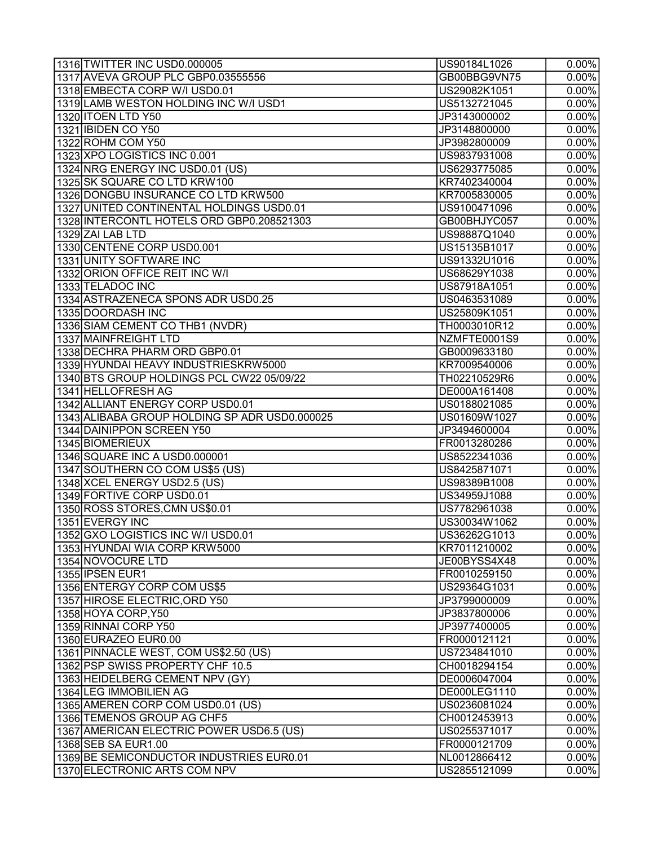| 1316 TWITTER INC USD0.000005                  | US90184L1026 | $0.00\%$            |
|-----------------------------------------------|--------------|---------------------|
| 1317 AVEVA GROUP PLC GBP0.03555556            | GB00BBG9VN75 | $0.00\%$            |
| 1318 EMBECTA CORP W/I USD0.01                 | US29082K1051 | $0.00\%$            |
| 1319 LAMB WESTON HOLDING INC W/I USD1         | US5132721045 | $0.00\%$            |
| 1320 ITOEN LTD Y50                            | JP3143000002 | $0.00\%$            |
| 1321 IBIDEN CO Y50                            | JP3148800000 | $0.00\%$            |
| 1322 ROHM COM Y50                             | JP3982800009 | $0.00\%$            |
| 1323 XPO LOGISTICS INC 0.001                  | US9837931008 | $0.00\%$            |
| 1324 NRG ENERGY INC USD0.01 (US)              | US6293775085 | $0.00\%$            |
| 1325 SK SQUARE CO LTD KRW100                  | KR7402340004 | $0.00\%$            |
| 1326 DONGBU INSURANCE CO LTD KRW500           | KR7005830005 | $0.00\%$            |
| 1327 UNITED CONTINENTAL HOLDINGS USD0.01      | US9100471096 | $0.00\%$            |
| 1328 INTERCONTL HOTELS ORD GBP0.208521303     | GB00BHJYC057 | $0.00\%$            |
| 1329 ZAI LAB LTD                              | US98887Q1040 | $0.00\%$            |
| 1330 CENTENE CORP USD0.001                    | US15135B1017 | $0.00\%$            |
| 1331 UNITY SOFTWARE INC                       | US91332U1016 | $0.00\%$            |
| 1332 ORION OFFICE REIT INC W/I                | US68629Y1038 | $0.00\%$            |
| 1333 TELADOC INC                              | US87918A1051 | $0.00\%$            |
| 1334 ASTRAZENECA SPONS ADR USD0.25            | US0463531089 | $0.00\%$            |
| 1335 DOORDASH INC                             | US25809K1051 | $0.00\%$            |
| 1336 SIAM CEMENT CO THB1 (NVDR)               | TH0003010R12 | $0.00\%$            |
| 1337 MAINFREIGHT LTD                          | NZMFTE0001S9 | $0.00\%$            |
| 1338 DECHRA PHARM ORD GBP0.01                 | GB0009633180 | $0.00\%$            |
| 1339 HYUNDAI HEAVY INDUSTRIESKRW5000          | KR7009540006 | $0.00\%$            |
| 1340 BTS GROUP HOLDINGS PCL CW22 05/09/22     | TH02210529R6 | $0.00\%$            |
| 1341 HELLOFRESH AG                            | DE000A161408 | $0.00\%$            |
| 1342 ALLIANT ENERGY CORP USD0.01              | US0188021085 | $0.00\%$            |
| 1343 ALIBABA GROUP HOLDING SP ADR USD0.000025 | US01609W1027 | $0.00\%$            |
| 1344 DAINIPPON SCREEN Y50                     | JP3494600004 | $0.00\%$            |
| 1345 BIOMERIEUX                               | FR0013280286 | $0.00\%$            |
| 1346 SQUARE INC A USD0.000001                 | US8522341036 | $0.00\%$            |
| 1347 SOUTHERN CO COM US\$5 (US)               | US8425871071 | $\overline{0.00\%}$ |
| 1348 XCEL ENERGY USD2.5 (US)                  | US98389B1008 | $0.00\%$            |
| 1349 FORTIVE CORP USD0.01                     | US34959J1088 | $0.00\%$            |
| 1350 ROSS STORES, CMN US\$0.01                | US7782961038 | $0.00\%$            |
| 1351 EVERGY INC                               | US30034W1062 | $0.00\%$            |
| 1352 GXO LOGISTICS INC W/I USD0.01            | US36262G1013 | 0.00%               |
| 1353 HYUNDAI WIA CORP KRW5000                 | KR7011210002 | $0.00\%$            |
| 1354 NOVOCURE LTD                             | JE00BYSS4X48 | $0.00\%$            |
| 1355 IPSEN EUR1                               | FR0010259150 | $0.00\%$            |
| 1356 ENTERGY CORP COM US\$5                   | US29364G1031 | $0.00\%$            |
| 1357 HIROSE ELECTRIC, ORD Y50                 |              | $0.00\%$            |
|                                               | JP3799000009 |                     |
| 1358 HOYA CORP, Y50                           | JP3837800006 | $0.00\%$            |
| 1359 RINNAI CORP Y50                          | JP3977400005 | $0.00\%$            |
| 1360 EURAZEO EUR0.00                          | FR0000121121 | $0.00\%$            |
| 1361 PINNACLE WEST, COM US\$2.50 (US)         | US7234841010 | $0.00\%$            |
| 1362 PSP SWISS PROPERTY CHF 10.5              | CH0018294154 | $0.00\%$            |
| 1363 HEIDELBERG CEMENT NPV (GY)               | DE0006047004 | $0.00\%$            |
| 1364 LEG IMMOBILIEN AG                        | DE000LEG1110 | $0.00\%$            |
| 1365 AMEREN CORP COM USD0.01 (US)             | US0236081024 | $0.00\%$            |
| 1366 TEMENOS GROUP AG CHF5                    | CH0012453913 | $0.00\%$            |
| 1367 AMERICAN ELECTRIC POWER USD6.5 (US)      | US0255371017 | $0.00\%$            |
| 1368 SEB SA EUR1.00                           | FR0000121709 | $0.00\%$            |
| 1369 BE SEMICONDUCTOR INDUSTRIES EUR0.01      | NL0012866412 | $0.00\%$            |
| 1370 ELECTRONIC ARTS COM NPV                  | US2855121099 | $0.00\%$            |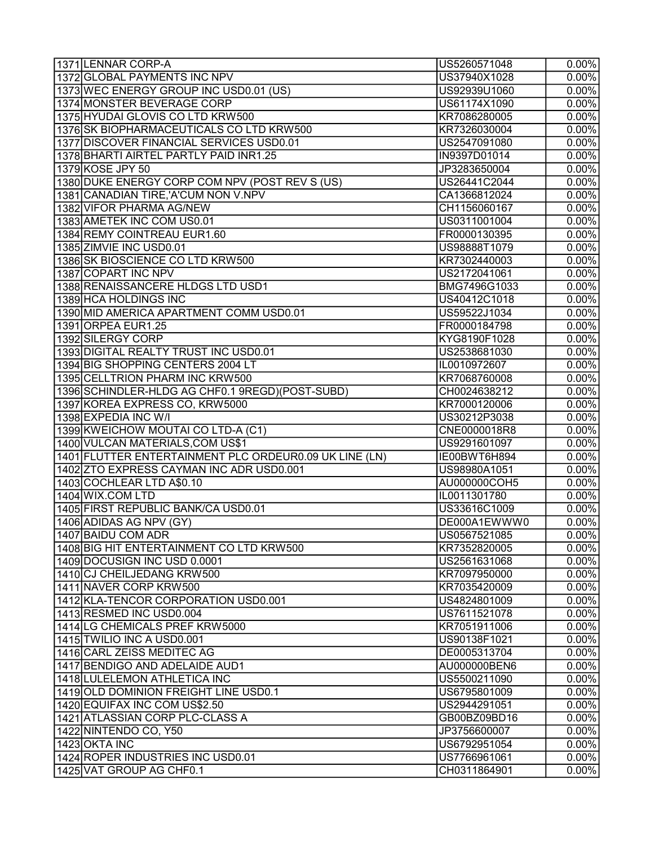| 1371 LENNAR CORP-A                                     | US5260571048 | $0.00\%$             |
|--------------------------------------------------------|--------------|----------------------|
| 1372 GLOBAL PAYMENTS INC NPV                           | US37940X1028 | $0.00\%$             |
| 1373 WEC ENERGY GROUP INC USD0.01 (US)                 | US92939U1060 | $0.00\%$             |
| 1374 MONSTER BEVERAGE CORP                             | US61174X1090 | $0.00\%$             |
| 1375 HYUDAI GLOVIS CO LTD KRW500                       | KR7086280005 | $0.00\%$             |
| 1376 SK BIOPHARMACEUTICALS CO LTD KRW500               | KR7326030004 | $0.00\%$             |
| 1377 DISCOVER FINANCIAL SERVICES USD0.01               | US2547091080 | $0.00\%$             |
| 1378 BHARTI AIRTEL PARTLY PAID INR1.25                 | IN9397D01014 | 0.00%                |
| 1379 KOSE JPY 50                                       | JP3283650004 | 0.00%                |
| 1380 DUKE ENERGY CORP COM NPV (POST REV S (US)         | US26441C2044 | $0.00\%$             |
| 1381 CANADIAN TIRE, 'A'CUM NON V.NPV                   | CA1366812024 | $0.00\%$             |
| 1382 VIFOR PHARMA AG/NEW                               | CH1156060167 | $0.00\%$             |
| 1383 AMETEK INC COM US0.01                             | US0311001004 | $0.00\%$             |
| 1384 REMY COINTREAU EUR1.60                            | FR0000130395 | $0.00\%$             |
| 1385 ZIMVIE INC USD0.01                                | US98888T1079 | $0.00\%$             |
| 1386 SK BIOSCIENCE CO LTD KRW500                       | KR7302440003 | $\overline{0.00\%}$  |
| 1387 COPART INC NPV                                    | US2172041061 | $0.00\%$             |
| 1388 RENAISSANCERE HLDGS LTD USD1                      | BMG7496G1033 | $\overline{0.00\%}$  |
| 1389 HCA HOLDINGS INC                                  | US40412C1018 | 0.00%                |
| 1390 MID AMERICA APARTMENT COMM USD0.01                | US59522J1034 | $0.00\%$             |
| 1391 ORPEA EUR1.25                                     | FR0000184798 | $0.00\%$             |
| 1392 SILERGY CORP                                      | KYG8190F1028 | $0.00\%$             |
| 1393 DIGITAL REALTY TRUST INC USD0.01                  | US2538681030 | 0.00%                |
| 1394 BIG SHOPPING CENTERS 2004 LT                      | IL0010972607 | $0.00\%$             |
| 1395 CELLTRION PHARM INC KRW500                        | KR7068760008 | $0.00\%$             |
| 1396 SCHINDLER-HLDG AG CHF0.1 9REGD) (POST-SUBD)       | CH0024638212 | $0.00\%$             |
| 1397 KOREA EXPRESS CO, KRW5000                         | KR7000120006 | $0.00\%$             |
| 1398 EXPEDIA INC W/I                                   | US30212P3038 | $0.00\%$             |
| 1399 KWEICHOW MOUTAI CO LTD-A (C1)                     | CNE0000018R8 | $0.00\%$             |
| 1400 VULCAN MATERIALS, COM US\$1                       | US9291601097 | $0.00\%$             |
| 1401 FLUTTER ENTERTAINMENT PLC ORDEUR0.09 UK LINE (LN) | IE00BWT6H894 | $0.00\%$             |
| 1402 ZTO EXPRESS CAYMAN INC ADR USD0.001               | US98980A1051 | $0.00\%$             |
|                                                        |              |                      |
| 1403 COCHLEAR LTD A\$0.10<br>1404 WIX.COM LTD          | AU000000COH5 | $0.00\%$<br>$0.00\%$ |
| 1405 FIRST REPUBLIC BANK/CA USD0.01                    | IL0011301780 |                      |
|                                                        | US33616C1009 | $0.00\%$             |
| 1406 ADIDAS AG NPV (GY)                                | DE000A1EWWW0 | $0.00\%$             |
| 1407 BAIDU COM ADR                                     | US0567521085 | $0.00\%$             |
| 1408 BIG HIT ENTERTAINMENT CO LTD KRW500               | KR7352820005 | $0.00\%$             |
| 1409 DOCUSIGN INC USD 0.0001                           | US2561631068 | $0.00\%$             |
| 1410 CJ CHEILJEDANG KRW500                             | KR7097950000 | $0.00\%$             |
| 1411 NAVER CORP KRW500                                 | KR7035420009 | $0.00\%$             |
| 1412 KLA-TENCOR CORPORATION USD0.001                   | US4824801009 | $0.00\%$             |
| 1413 RESMED INC USD0.004                               | US7611521078 | $0.00\%$             |
| 1414 LG CHEMICALS PREF KRW5000                         | KR7051911006 | $0.00\%$             |
| 1415 TWILIO INC A USD0.001                             | US90138F1021 | $0.00\%$             |
| 1416 CARL ZEISS MEDITEC AG                             | DE0005313704 | 0.00%                |
| 1417 BENDIGO AND ADELAIDE AUD1                         | AU000000BEN6 | $0.00\%$             |
| 1418 LULELEMON ATHLETICA INC                           | US5500211090 | 0.00%                |
| 1419 OLD DOMINION FREIGHT LINE USD0.1                  | US6795801009 | $0.00\%$             |
| 1420 EQUIFAX INC COM US\$2.50                          | US2944291051 | $0.00\%$             |
| 1421 ATLASSIAN CORP PLC-CLASS A                        | GB00BZ09BD16 | $0.00\%$             |
| 1422 NINTENDO CO, Y50                                  | JP3756600007 | $0.00\%$             |
| 1423 OKTA INC                                          | US6792951054 | $0.00\%$             |
| 1424 ROPER INDUSTRIES INC USD0.01                      | US7766961061 | $0.00\%$             |
| 1425 VAT GROUP AG CHF0.1                               | CH0311864901 | 0.00%                |